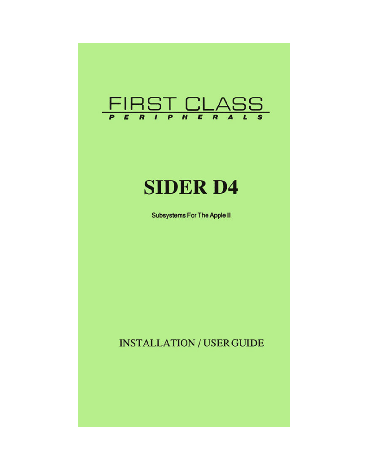

# **SIDER D4**

**Subsystems For The Apple II** 

# **INSTALLATION / USER GUIDE**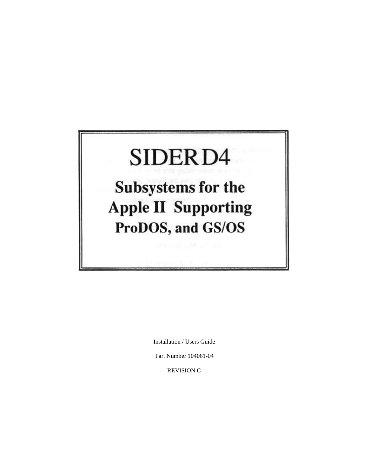# SIDER<sub>D4</sub>

**Subsystems for the Apple II Supporting** ProDOS, and GS/OS

Installation / Users Guide

Part Number 104061-04

REVISION C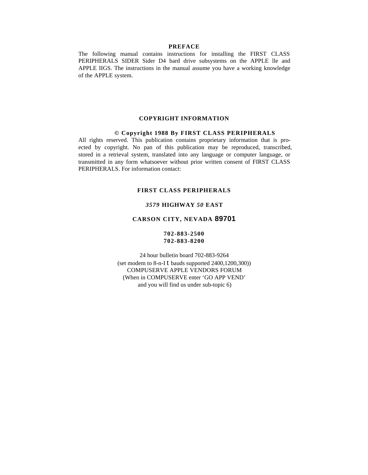## **PREFACE**

The following manual contains instructions for installing the FIRST CLASS PERIPHERALS SIDER Sider D4 bard drive subsystems on the APPLE lle and APPLE IIGS. The instructions in the manual assume you have a working knowledge of the APPLE system.

#### **COPYRIGHT INFORMATION**

#### **© Copyright 1988 By FIRST CLASS PERIPHERALS**

All rights reserved. This publication contains proprietary information that is proected by copyright. No pan of this publication may be reproduced, transcribed, stored in a retrieval system, translated into any language or computer language, or transmitted in any form whatsoever without prior written consent of FIRST CLASS PERIPHERALS. For information contact:

#### **FIRST CLASS PERIPHERALS**

# *3579* **HIGHWAY** *50* **EAST**

# **CARSON CITY, NEVADA 89701**

# **702-883-2500 702-883-8200**

24 hour bulletin board 702-883-9264 (set modem to  $8-n-I$  t bauds supported  $2400,1200,300$ )) COMPUSERVE APPLE VENDORS FORUM (When in COMPUSERVE enter 'GO APP VEND' and you will find us under sub-topic 6)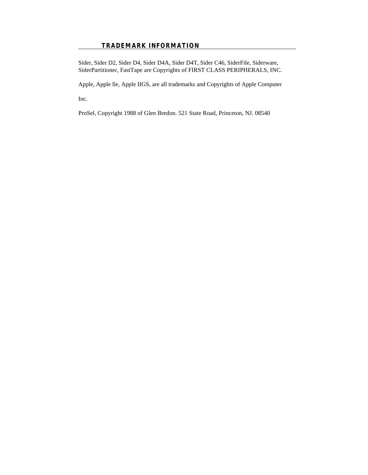# **TRADEMARK INFORMATION**

Sider, Sider D2, Sider D4, Sider D4A, Sider D4T, Sider C46, SiderFile, Siderware, SiderPartitioner, FastTape are Copyrights of FIRST CLASS PERIPHERALS, INC.

Apple, Apple lle, Apple IIGS, are all trademarks and Copyrights of Apple Computer

Inc.

ProSel, Copyright 1988 of Glen Bredon. 521 State Road, Princeton, NJ. 08540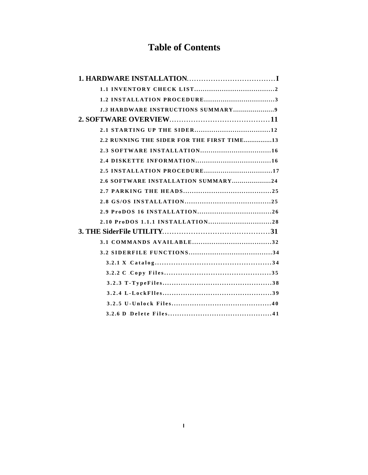# **Table of Contents**

| 2.2 RUNNING THE SIDER FOR THE FIRST TIME13 |
|--------------------------------------------|
|                                            |
|                                            |
| 2.5 INSTALLATION PROCEDURE17               |
| 2.6 SOFTWARE INSTALLATION SUMMARY24        |
|                                            |
|                                            |
|                                            |
|                                            |
|                                            |
|                                            |
|                                            |
|                                            |
|                                            |
|                                            |
|                                            |
|                                            |
|                                            |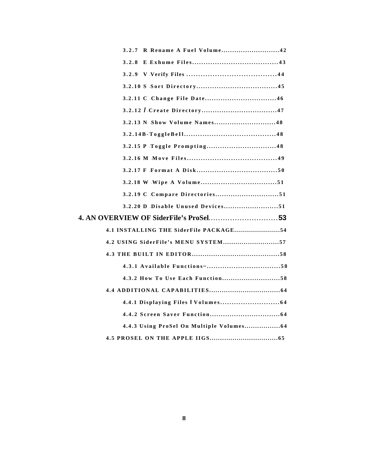|       | 3.2.7 R Rename A Fuel Volume42         |  |
|-------|----------------------------------------|--|
| 3.2.8 |                                        |  |
|       |                                        |  |
|       |                                        |  |
|       |                                        |  |
|       |                                        |  |
|       | 3.2.13 N Show Volume Names48           |  |
|       |                                        |  |
|       |                                        |  |
|       |                                        |  |
|       |                                        |  |
|       |                                        |  |
|       | 3.2.19 C Compare Directories51         |  |
|       | 3.2.20 D Disable Unused Devices51      |  |
|       | 4. AN OVERVIEW OF SiderFile's ProSel53 |  |
|       | 4.1 INSTALLING THE SiderFile PACKAGE54 |  |
|       | 4.2 USING SiderFile's MENU SYSTEM57    |  |
|       |                                        |  |
|       |                                        |  |
|       | 4.3.2 How To Use Each Function58       |  |
|       |                                        |  |
|       |                                        |  |
|       |                                        |  |
|       |                                        |  |
|       |                                        |  |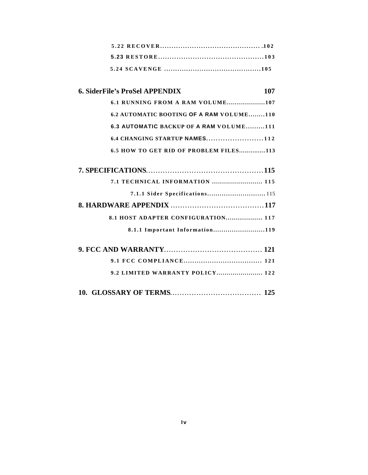# **6. SiderFile's ProSel APPENDIX 107 [6.1 RUNNING FROM A RAM VOLUME...................107](#page-114-0)**

| 6.2 AUTOMATIC BOOTING OF A RAM VOLUME110 |
|------------------------------------------|
| 6.3 AUTOMATIC BACKUP OF A RAM VOLUME111  |
|                                          |
| 6.5 HOW TO GET RID OF PROBLEM FILES113   |

| 7.1.1 Sider Specifications 115     |
|------------------------------------|
|                                    |
| 8.1 HOST ADAPTER CONFIGURATION 117 |
| 8.1.1 Important Information119     |
|                                    |

- **9.1 FCC COMPLIANCE.................................... 121 [9.2 LIMITED WARRANTY POLICY.......................](#page-129-0) 122**
- **[10. GLOSSARY OF TERMS......................................](#page-132-0) 125**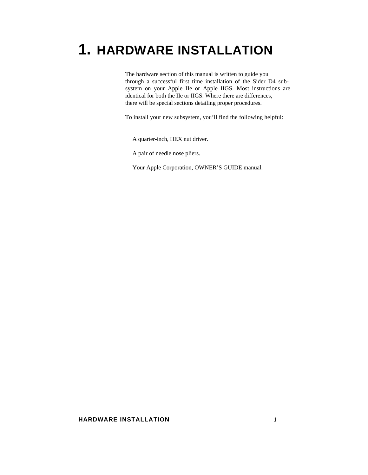# **1. HARDWARE INSTALLATION**

The hardware section of this manual is written to guide you through a successful first time installation of the Sider D4 subsystem on your Apple IIe or Apple IIGS. Most instructions are identical for both the IIe or IIGS. Where there are differences, there will be special sections detailing proper procedures.

To install your new subsystem, you'll find the following helpful:

A quarter-inch, HEX nut driver.

A pair of needle nose pliers.

<span id="page-8-0"></span>Your Apple Corporation, OWNER'S GUIDE manual.

# **HARDWARE INSTALLATION 1**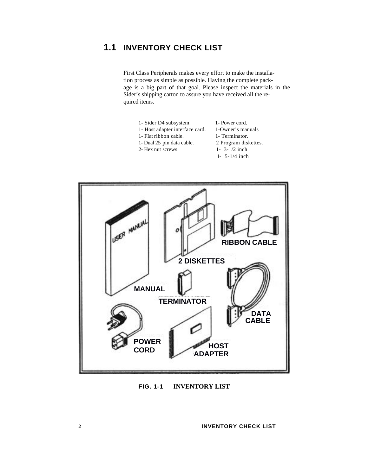# **1.1 INVENTORY CHECK LIST**

First Class Peripherals makes every effort to make the installation process as simple as possible. Having the complete package is a big part of that goal. Please inspect the materials in the Sider's shipping carton to assure you have received all the required items.

- 1- Sider D4 subsystem. 1- Power cord.
- 1- Host adapter interface card. 1-Owner's manuals
- 
- 1- Flat ribbon cable. 1- Terminator.
- 1- Dual 25 pin data cable. 2 Program diskettes.
- 2- Hex nut screws  $1 3-1/2$  inch
	- 1- 5-1/4 inch



**FIG. 1-1 INVENTORY LIST**

**2 INVENTORY CHECK LIST**

<span id="page-9-0"></span> $\overline{a}$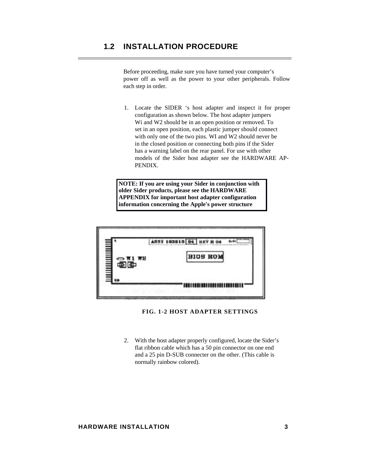# **1.2 INSTALLATION PROCEDURE**

 $\overline{a}$ 

Before proceeding, make sure you have turned your computer's power off as well as the power to your other peripherals. Follow each step in order.

1. Locate the SIDER 's host adapter and inspect it for proper configuration as shown below. The host adapter jumpers Wi and W2 should be in an open position or removed. To set in an open position, each plastic jumper should connect with only one of the two pins. WI and W2 should never be in the closed position or connecting both pins if the Sider has a warning label on the rear panel. For use with other models of the Sider host adapter see the HARDWARE AP-PENDIX.

**NOTE: If you are using your Sider in conjunction with older Sider products, please see the HARDWARE APPENDIX for important host adapter configuration information concerning the Apple's power structure**

<span id="page-10-0"></span>

# **FIG. 1-2 HOST ADAPTER SETTINGS**

2. With the host adapter properly configured, locate the Sider's flat ribbon cable which has a 50 pin connector on one end and a 25 pin D-SUB connecter on the other. (This cable is normally rainbow colored).

# **HARDWARE INSTALLATION 3**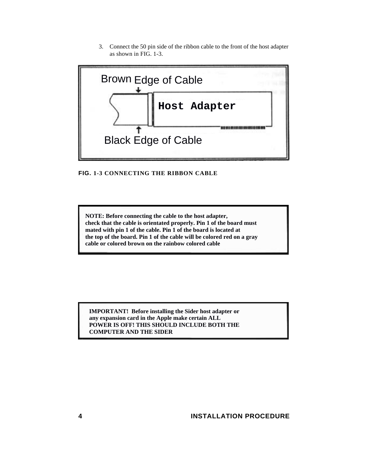3. Connect the 50 pin side of the ribbon cable to the front of the host adapter as shown in FIG. 1-3.



**FIG. 1-3 CONNECTING THE RIBBON CABLE**

**NOTE: Before connecting the cable to the host adapter, check that the cable is orientated properly. Pin 1 of the board must mated with pin 1 of the cable. Pin 1 of the board is located at the top of the board. Pin 1 of the cable will be colored red on a gray cable or colored brown on the rainbow colored cable**

**IMPORTANT! Before installing the Sider host adapter or any expansion card in the Apple make certain ALL POWER IS OFF! THIS SHOULD INCLUDE BOTH THE**

**4 INSTALLATION PROCEDURE**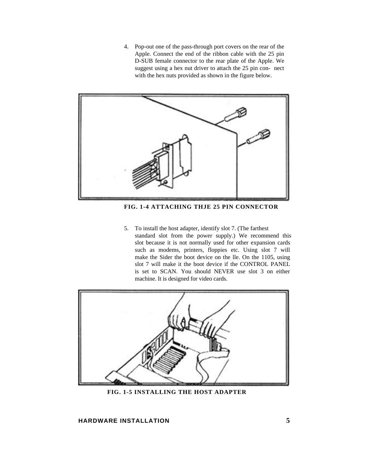4. Pop-out one of the pass-through port covers on the rear of the Apple. Connect the end of the ribbon cable with the 25 pin D-SUB female connector to the rear plate of the Apple. We suggest using a hex nut driver to attach the 25 pin con- nect with the hex nuts provided as shown in the figure below.



**FIG. 1-4 ATTACHING THJE 25 PIN CONNECTOR**

5. To install the host adapter, identify slot 7. (The farthest standard slot from the power supply.) We recommend this slot because it is not normally used for other expansion cards such as modems, printers, floppies etc. Using slot 7 will make the Sider the boot device on the lle. On the 1105, using slot 7 will make it the boot device if the CONTROL PANEL is set to SCAN. You should NEVER use slot 3 on either machine. It is designed for video cards.



**FIG. 1-5 INSTALLING THE HOST ADAPTER**

# **HARDWARE INSTALLATION 5**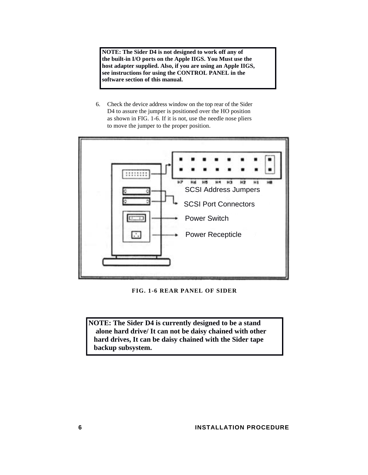**NOTE: The Sider D4 is not designed to work off any of the built-in I/O ports on the Apple IIGS. You Must use the host adapter supplied. Also, if you are using an Apple IIGS, see instructions for using the CONTROL PANEL in the software section of this manual.**

6. Check the device address window on the top rear of the Sider D4 to assure the jumper is positioned over the HO position as shown in FIG. 1-6. If it is not, use the needle nose pliers to move the jumper to the proper position.



**FIG. 1-6 REAR PANEL OF SIDER**

**NOTE: The Sider D4 is currently designed to be a stand alone hard drive/ It can not be daisy chained with other hard drives, It can be daisy chained with the Sider tape**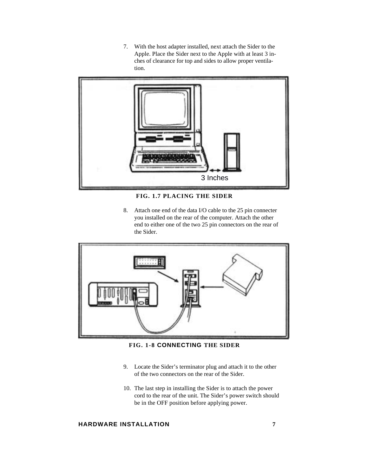7. With the host adapter installed, next attach the Sider to the Apple. Place the Sider next to the Apple with at least 3 inches of clearance for top and sides to allow proper ventilation.



**FIG. 1.7 PLACING THE SIDER**

8. Attach one end of the data I/O cable to the 25 pin connecter you installed on the rear of the computer. Attach the other end to either one of the two 25 pin connectors on the rear of the Sider.



**FIG. 1-8 CONNECTING THE SIDER**

- 9. Locate the Sider's terminator plug and attach it to the other of the two connectors on the rear of the Sider.
- 10. The last step in installing the Sider is to attach the power cord to the rear of the unit. The Sider's power switch should be in the OFF position before applying power.

# **HARDWARE INSTALLATION 7**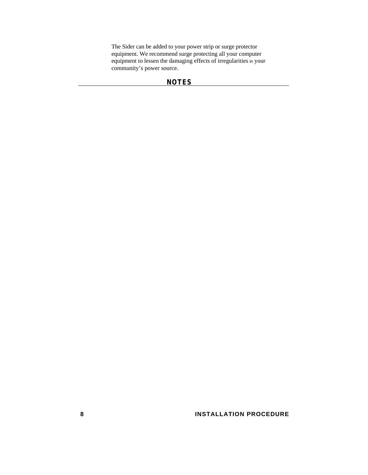The Sider can be added to your power strip or surge protector equipment. We recommend surge protecting all your computer equipment to lessen the damaging effects of irregularities in your community's power source.

# **NOTES**

**8** INSTALLATION PROCEDURE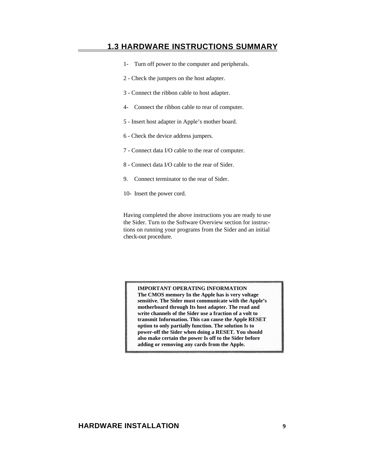# **1.3 HARDWARE INSTRUCTIONS SUMMARY**

- 1- Turn off power to the computer and peripherals.
- 2 Check the jumpers on the host adapter.
- 3 Connect the ribbon cable to host adapter.
- 4- Connect the ribbon cable to rear of computer.
- 5 Insert host adapter in Apple's mother board.
- 6 Check the device address jumpers.
- 7 Connect data I/O cable to the rear of computer.
- 8 Connect data I/O cable to the rear of Sider.
- 9. Connect terminator to the rear of Sider.
- 10- Insert the power cord.

<span id="page-16-0"></span>Having completed the above instructions you are ready to use the Sider. Turn to the Software Overview section for instructions on running your programs from the Sider and an initial check-out procedure.

**IMPORTANT OPERATING INFORMATION The CMOS memory In the Apple has is very voltage sensitive. The Sider must communicate with the Apple's motherboard through Its host adapter. The read and write channels of the Sider use a fraction of a volt to transmit Information. This can cause the Apple RESET option to only partially function. The solution Is to power-off the Sider when doing a RESET. You should also make certain the power Is off to the Sider before adding or removing any cards from the Apple.**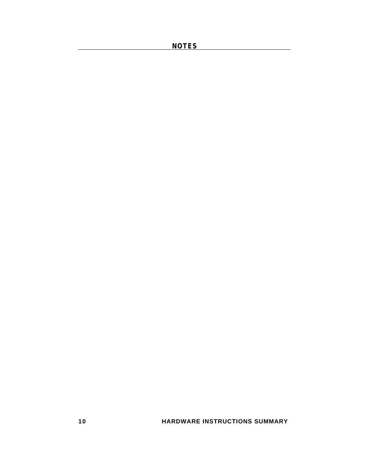**NOTES** 

**10 HARDWARE INSTRUCTIONS SUMMARY**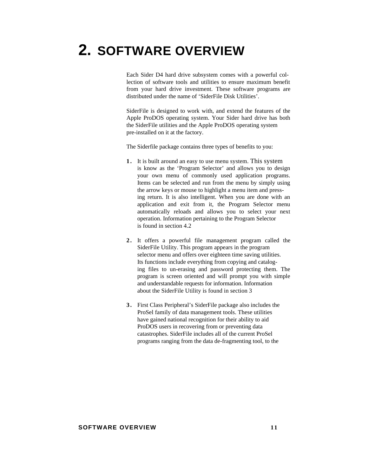# **2. SOFTWARE OVERVIEW**

Each Sider D4 hard drive subsystem comes with a powerful collection of software tools and utilities to ensure maximum benefit from your hard drive investment. These software programs are distributed under the name of 'SiderFile Disk Utilities'.

SiderFile is designed to work with, and extend the features of the Apple ProDOS operating system. Your Sider hard drive has both the SiderFile utilities and the Apple ProDOS operating system pre-installed on it at the factory.

The Siderfile package contains three types of benefits to you:

- **1 .** It is built around an easy to use menu system. This system is know as the 'Program Selector' and allows you to design your own menu of commonly used application programs. Items can be selected and run from the menu by simply using the arrow keys or mouse to highlight a menu item and pressing return. It is also intelligent. When you are done with an application and exit from it, the Program Selector menu automatically reloads and allows you to select your next operation. Information pertaining to the Program Selector is found in section 4.2
- <span id="page-18-0"></span>**2 .** It offers a powerful file management program called the SiderFile Utility. This program appears in the program selector menu and offers over eighteen time saving utilities. Its functions include everything from copying and cataloging files to un-erasing and password protecting them. The program is screen oriented and will prompt you with simple and understandable requests for information. Information about the SiderFile Utility is found in section 3
- **3 .** First Class Peripheral's SiderFile package also includes the ProSel family of data management tools. These utilities have gained national recognition for their ability to aid ProDOS users in recovering from or preventing data catastrophes. SiderFile includes all of the current ProSel programs ranging from the data de-fragmenting tool, to the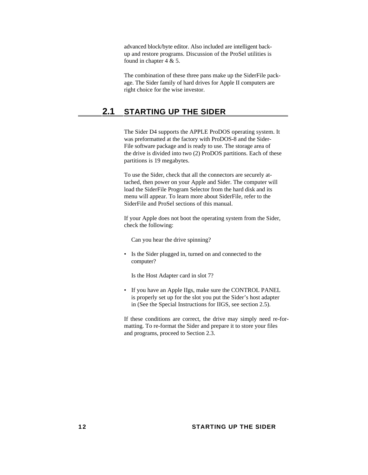advanced block/byte editor. Also included are intelligent backup and restore programs. Discussion of the ProSel utilities is found in chapter  $4 & 5$ .

The combination of these three pans make up the SiderFile package. The Sider family of hard drives for Apple II computers are right choice for the wise investor.

# **2.1 STARTING UP THE SIDER**

The Sider D4 supports the APPLE ProDOS operating system. It was preformatted at the factory with ProDOS-8 and the Sider-File software package and is ready to use. The storage area of the drive is divided into two (2) ProDOS partitions. Each of these partitions is 19 megabytes.

To use the Sider, check that all the connectors are securely attached, then power on your Apple and Sider. The computer will load the SiderFile Program Selector from the hard disk and its menu will appear. To learn more about SiderFile, refer to the SiderFile and ProSel sections of this manual.

<span id="page-19-0"></span>If your Apple does not boot the operating system from the Sider, check the following:

Can you hear the drive spinning?

• Is the Sider plugged in, turned on and connected to the computer?

Is the Host Adapter card in slot 7?

• If you have an Apple IIgs, make sure the CONTROL PANEL is properly set up for the slot you put the Sider's host adapter in (See the Special Instructions for IIGS, see section 2.5).

If these conditions are correct, the drive may simply need re-formatting. To re-format the Sider and prepare it to store your files and programs, proceed to Section 2.3.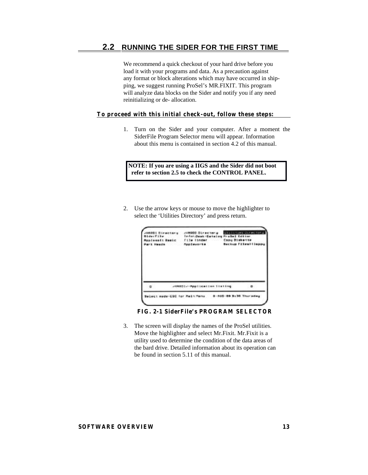<span id="page-20-0"></span>We recommend a quick checkout of your hard drive before you load it with your programs and data. As a precaution against any format or block alterations which may have occurred in shipping, we suggest running ProSel's MR.FIXIT. This program will analyze data blocks on the Sider and notify you if any need reinitializing or de- allocation.

# **To proceed with this initial check-out, follow these steps:**

1. Turn on the Sider and your computer. After a moment the SiderFile Program Selector menu will appear. Information about this menu is contained in section 4.2 of this manual.

**NOTE: If you are using a IIGS and the Sider did not boot refer to section 2.5 to check the CONTROL PANEL.**

2. Use the arrow keys or mouse to move the highlighter to select the 'Utilities Directory' and press return.

| α | 2HMRD12-Mpp11em11em 11st1mg | - 61 |  |
|---|-----------------------------|------|--|

**FIG. 2-1 SiderFile's PROGRAM SELECTOR**

3. The screen will display the names of the ProSel utilities. Move the highlighter and select Mr.Fixit. Mr.Fixit is a utility used to determine the condition of the data areas of the bard drive. Detailed information about its operation can be found in section 5.11 of this manual.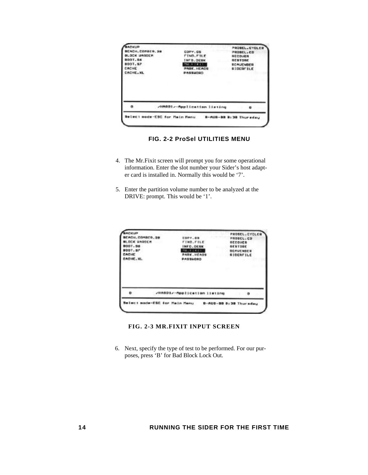|                                                | /HARDI/-Application listing                                 | ٠                                             |
|------------------------------------------------|-------------------------------------------------------------|-----------------------------------------------|
|                                                |                                                             |                                               |
| CACHE.<br><b>CACHE, XL</b>                     | <b>THE R. P. R. F. L.</b><br><b>PARK, HEADS</b><br>PASSUORD | <b><i>RC AUR NOED</i></b><br><b>SIDERFILE</b> |
| <b>BODY.RA</b><br>8007.87                      | INFO, DEBK                                                  | <b>RESTORE</b>                                |
| <b>EACH, COMBER, 28</b><br><b>BLOCK UNDOCH</b> | COPY, GS<br>FIND. FILE                                      | PROBEL.ED<br><b><i>RECOURN</i></b>            |

 **FIG. 2-2 ProSel UTILITIES MENU**

- 4. The Mr.Fixit screen will prompt you for some operational information. Enter the slot number your Sider's host adapter card is installed in. Normally this would be '7'.
- 5. Enter the partition volume number to be analyzed at the DRIVE: prompt. This would be '1'.

| o                                                   | /HARD1/-Application listing                        | ு                                             |
|-----------------------------------------------------|----------------------------------------------------|-----------------------------------------------|
| <b>BOOT.SP</b><br>CACHE<br>ADHE, NL                 | <b>MRAY DEED</b><br><b>PARK, HEAGS</b><br>PASSMOND | <b><i>BEAUCHBER</i></b><br><b>SIDERFILE</b>   |
| BEACH, COMBED, 28<br><b>ILOCK UNDOER</b><br>8001.56 | COPY.OR<br>FIND.FILE<br>INFO.DESK                  | PROSEL.CO<br><b>DECOUER</b><br><b>GESTORE</b> |

# **FIG. 2-3 MR.FIXIT INPUT SCREEN**

6. Next, specify the type of test to be performed. For our purposes, press 'B' for Bad Block Lock Out.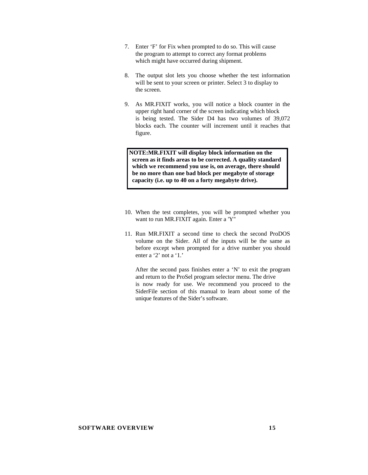- 7. Enter 'F' for Fix when prompted to do so. This will cause the program to attempt to correct any format problems which might have occurred during shipment.
- 8. The output slot lets you choose whether the test information will be sent to your screen or printer. Select 3 to display to the screen.
- 9. As MR.FIXIT works, you will notice a block counter in the upper right hand corner of the screen indicating which block is being tested. The Sider D4 has two volumes of 39,072 blocks each. The counter will increment until it reaches that figure.

**NOTE: MR.FIXIT will display block information on the screen as it finds areas to be corrected. A quality standard which we recommend you use is, on average, there should be no more than one bad block per megabyte of storage capacity (i.e. up to 40 on a forty megabyte drive).**

- 10. When the test completes, you will be prompted whether you want to run MR.FIXIT again. Enter a 'Y"
- 11. Run MR.FIXIT a second time to check the second ProDOS volume on the Sider. All of the inputs will be the same as before except when prompted for a drive number you should enter a '2' not a '1.'

After the second pass finishes enter a 'N' to exit the program and return to the ProSel program selector menu. The drive is now ready for use. We recommend you proceed to the SiderFile section of this manual to learn about some of the unique features of the Sider's software.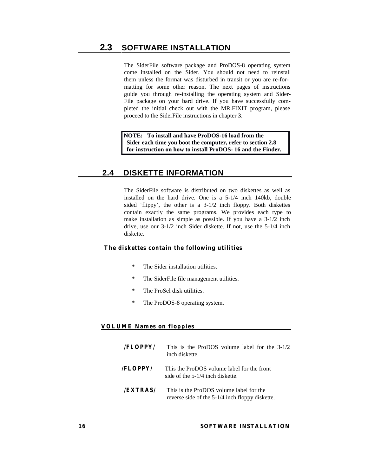# **2.3 SOFTWARE INSTALLATION**

The SiderFile software package and ProDOS-8 operating system come installed on the Sider. You should not need to reinstall them unless the format was disturbed in transit or you are re-formatting for some other reason. The next pages of instructions guide you through re-installing the operating system and Sider-File package on your bard drive. If you have successfully completed the initial check out with the MR.FIXIT program, please proceed to the SiderFile instructions in chapter 3.

**NOTE: To install and have ProDOS-16 load from the Sider each time you boot the computer, refer to section 2.8 for instruction on how to install ProDOS- 16 and the Finder.**

# **2.4 DISKETTE INFORMATION**

The SiderFile software is distributed on two diskettes as well as installed on the hard drive. One is a 5-1/4 inch 140kb, double sided 'flippy', the other is a 3-1/2 inch floppy. Both diskettes contain exactly the same programs. We provides each type to make installation as simple as possible. If you have a 3-1/2 inch drive, use our 3-1/2 inch Sider diskette. If not, use the 5-1/4 inch diskette.

## <span id="page-23-0"></span>**The diskettes contain the following utilities**

- The Sider installation utilities.
- \* The SiderFile file management utilities.
- \* The ProSel disk utilities.
- \* The ProDOS-8 operating system.

# **VOLUME Names on floppies**

- **/FLOPPY/** This is the ProDOS volume label for the 3-1/2 inch diskette. **/FLOPPY/** This the ProDOS volume label for the front side of the 5-1/4 inch diskette.
- **/EXTRAS/** This is the ProDOS volume label for the reverse side of the 5-1/4 inch floppy diskette.

# **16 SOFTWARE INSTALLATION**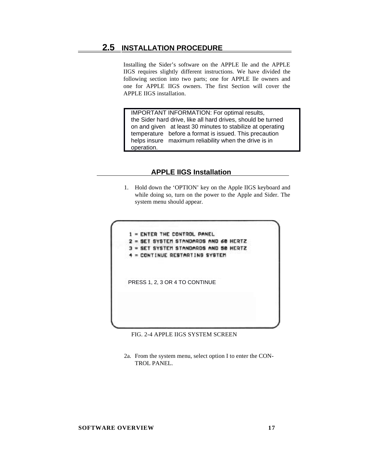# **2.5 INSTALLATION PROCEDURE**

Installing the Sider's software on the APPLE lle and the APPLE IIGS requires slightly different instructions. We have divided the following section into two parts; one for APPLE lle owners and one for APPLE IIGS owners. The first Section will cover the APPLE IIGS installation.

 IMPORTANT INFORMATION: For optimal results, the Sider hard drive, like all hard drives, should be turned on and given at least 30 minutes to stabilize at operating temperature before a format is issued. This precaution helps insure maximum reliability when the drive is in operation.

# **APPLE IIGS Installation**

1. Hold down the 'OPTION' key on the Apple IIGS keyboard and while doing so, turn on the power to the Apple and Sider. The system menu should appear.

<span id="page-24-0"></span>1 = ENTER THE CONTROL PANEL 2 = SET SYSTEM STANDARDS AND 60 HERTZ SET SYSTEM STANDARDS AND 50 HERTZ = CONTINUE RESTARTING SYSTEM PRESS 1, 2, 3 OR 4 TO CONTINUE

- FIG. 2-4 APPLE IIGS SYSTEM SCREEN
- 2a. From the system menu, select option I to enter the CON-TROL PANEL.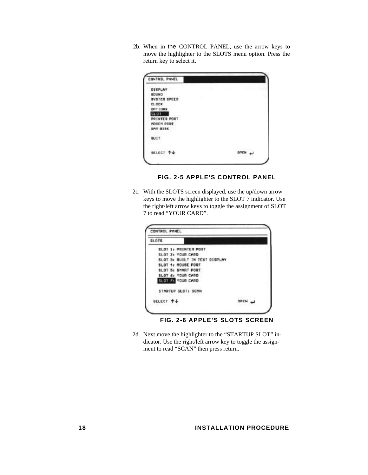2b. When in the CONTROL PANEL, use the arrow keys to move the highlighter to the SLOTS menu option. Press the return key to select it.

| CONTROL PANEL       |                 |
|---------------------|-----------------|
| DISPLAY             |                 |
| <b>SDUMD</b>        |                 |
| <b>BYSTER SPEED</b> |                 |
| <b>CLOCK</b>        |                 |
| OPTIONS             |                 |
| 31.01               |                 |
| <b>POTHTER PORT</b> |                 |
| MODER PORT          |                 |
| <b>RAN DISK</b>     |                 |
| <b>QUIT</b>         |                 |
| SELECT T+           | <b>NOV JIMO</b> |

**FIG. 2-5 APPLE'S CONTROL PANEL**

2c. With the SLOTS screen displayed, use the up/down arrow keys to move the highlighter to the SLOT 7 indicator. Use the right/left arrow keys to toggle the assignment of SLOT 7 to read "YOUR CARD".

| <b>SLOTS</b> |                               |      |  |
|--------------|-------------------------------|------|--|
|              | <b>GLOT 1: PRINTER PORT</b>   |      |  |
|              | SLOT 2: YOUR CARD             |      |  |
|              | SLOT 3x BUILT IN TEXT DISPLAY |      |  |
|              | SLOT 4: MOUBE PORT            |      |  |
|              | SLOT 5+ SHART PORT            |      |  |
|              | SLOT 6: YOUR CARD             |      |  |
|              | SLOTEZE YOUR CARD             |      |  |
|              | STARTUP SLOT: SCAN            |      |  |
| BELECT 4+    |                               | OPEN |  |

**FIG. 2-6 APPLE'S SLOTS SCREEN**

2d. Next move the highlighter to the "STARTUP SLOT" indicator. Use the right/left arrow key to toggle the assignment to read "SCAN" then press return.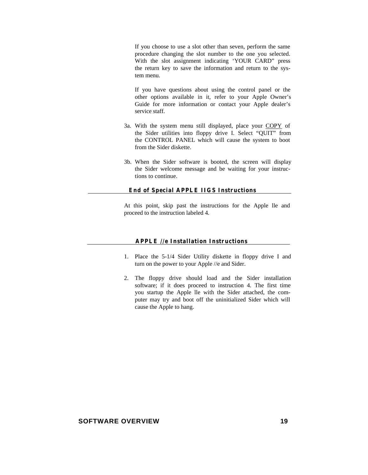If you choose to use a slot other than seven, perform the same procedure changing the slot number to the one you selected. With the slot assignment indicating 'YOUR CARD" press the return key to save the information and return to the system menu.

If you have questions about using the control panel or the other options available in it*,* refer to your Apple Owner's Guide for more information or contact your Apple dealer's service staff.

- 3a. With the system menu still displayed, place your COPY of the Sider utilities into floppy drive I. Select "QUIT" from the CONTROL PANEL which will cause the system to boot from the Sider diskette.
- 3b. When the Sider software is booted, the screen will display the Sider welcome message and be waiting for your instructions to continue.

#### **End of Special APPLE IIGS Instructions**

At this point, skip past the instructions for the Apple lle and proceed to the instruction labeled 4.

# **APPLE //e Installation Instructions**

- 1. Place the 5-1/4 Sider Utility diskette in floppy drive I and turn on the power to your Apple //e and Sider.
- 2. The floppy drive should load and the Sider installation software; if it does proceed to instruction 4. The first time you startup the Apple lle with the Sider attached, the computer may try and boot off the uninitialized Sider which will cause the Apple to hang.

## **SOFTWARE OVERVIEW 19**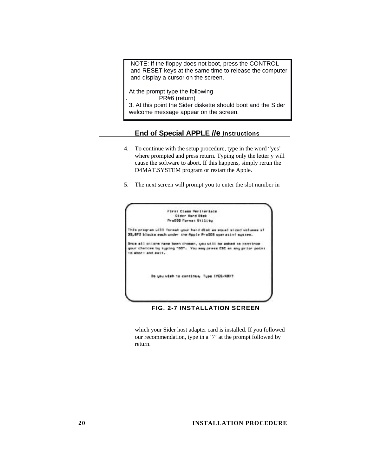NOTE: If the floppy does not boot, press the CONTROL and RESET keys at the same time to release the computer and display a cursor on the screen.

 At the prompt type the following . PR#6 (return) 3. At this point the Sider diskette should boot and the Sider welcome message appear on the screen.

# **End of Special APPLE //e Instructions**

- 4. To continue with the setup procedure, type in the word "yes' where prompted and press return. Typing only the letter y will cause the software to abort. If this happens, simply rerun the D4MAT.SYSTEM program or restart the Apple.
- 5. The next screen will prompt you to enter the slot number in



**FIG. 2-7 INSTALLATION SCREEN**

which your Sider host adapter card is installed. If you followed our recommendation, type in a '7' at the prompt followed by return.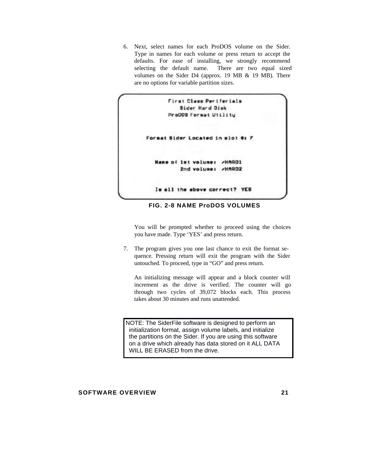6. Next, select names for each ProDOS volume on the Sider. Type in names for each volume or press return to accept the defaults. For ease of installing, we strongly recommend selecting the default name. There are two equal sized volumes on the Sider D4 (approx. 19 MB & 19 MB). There are no options for variable partition sizes.



**FIG. 2-8 NAME ProDOS VOLUMES**

You will be prompted whether to proceed using the choices you have made. Type 'YES' and press return.

7. The program gives you one last chance to exit the format sequence. Pressing return will exit the program with the Sider untouched. To proceed, type in "GO" and press return.

An initializing message will appear and a block counter will increment as the drive is verified. The counter will go through two cycles of 39,072 blocks each. This process takes about 30 minutes and runs unattended.

NOTE: The SiderFile software is designed to perform an initialization format, assign volume labels, and initialize the partitions on the Sider. If you are using this software on a drive which already has data stored on it ALL DATA WILL BE ERASED from the drive.

# **SOFTWARE OVERVIEW 21**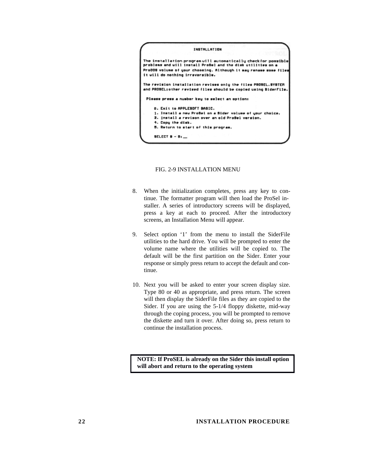

FIG. 2-9 INSTALLATION MENU

- 8. When the initialization completes, press any key to continue. The formatter program will then load the ProSel installer. A series of introductory screens will be displayed, press a key at each to proceed. After the introductory screens, an Installation Menu will appear.
- 9. Select option '1' from the menu to install the SiderFile utilities to the hard drive. You will be prompted to enter the volume name where the utilities will be copied to. The default will be the first partition on the Sider. Enter your response or simply press return to accept the default and continue.
- 10. Next you will be asked to enter your screen display size. Type 80 or 40 as appropriate, and press return. The screen will then display the SiderFile files as they are copied to the Sider. If you are using the 5-1/4 floppy diskette, mid-way through the coping process, you will be prompted to remove the diskette and turn it over. After doing so, press return to continue the installation process.

 **NOTE: If ProSEL is already on the Sider this install option will abort and return to the operating system**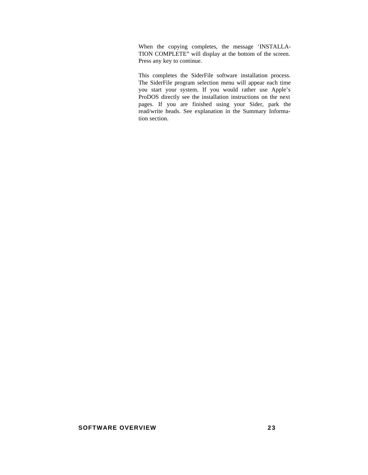When the copying completes, the message 'INSTALLA-TION COMPLETE" will display at the bottom of the screen. Press any key to continue.

This completes the SiderFile software installation process. The SiderFile program selection menu will appear each time you start your system. If you would rather use Apple's ProDOS directly see the installation instructions on the next pages. If you are finished using your Sider, park the read/write heads. See explanation in the Summary Information section.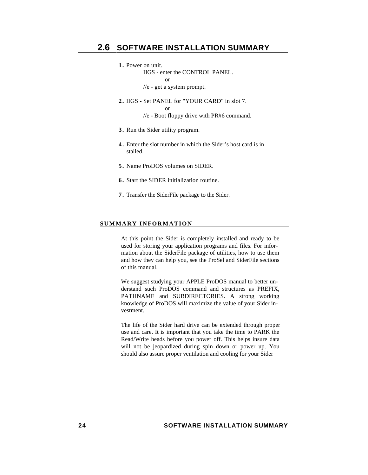**1 .** Power on unit.

IIGS - enter the CONTROL PANEL.

or

or

//e - get a system prompt.

**2 .** IIGS - Set PANEL for "YOUR CARD" in slot 7.

//e - Boot floppy drive with PR#6 command.

- **3 .** Run the Sider utility program.
- **4 .** Enter the slot number in which the Sider's host card is in stalled.
- **5 .** Name ProDOS volumes on SIDER.
- **6 .** Start the SIDER initialization routine.
- **7 .** Transfer the SiderFile package to the Sider.

#### <span id="page-31-0"></span>**SUMMARY INFORMATION**

At this point the Sider is completely installed and ready to be used for storing your application programs and files. For information about the SiderFile package of utilities, how to use them and how they can help you, see the ProSel and SiderFile sections of this manual.

We suggest studying your APPLE ProDOS manual to better understand such ProDOS command and structures as PREFIX, PATHNAME and SUBDIRECTORIES. A strong working knowledge of ProDOS will maximize the value of your Sider investment.

The life of the Sider hard drive can be extended through proper use and care. It is important that you take the time to PARK the Read/Write heads before you power off. This helps insure data will not be jeopardized during spin down or power up. You should also assure proper ventilation and cooling for your Sider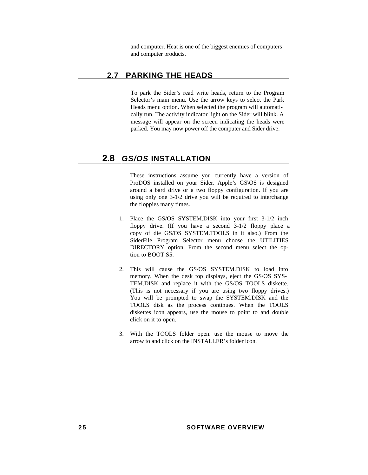and computer. Heat is one of the biggest enemies of computers and computer products.

# **2.7 PARKING THE HEADS**

To park the Sider's read write heads, return to the Program Selector's main menu. Use the arrow keys to select the Park Heads menu option. When selected the program will automatically run. The activity indicator light on the Sider will blink. A message will appear on the screen indicating the heads were parked. You may now power off the computer and Sider drive.

# <span id="page-32-0"></span> **2.8** *GS/OS* **INSTALLATION**

These instructions assume you currently have a version of ProDOS installed on your Sider. Apple's GS\OS is designed around a bard drive or a two floppy configuration. If you are using only one 3-1/2 drive you will be required to interchange the floppies many times.

- 1. Place the GS/OS SYSTEM.DISK into your first 3-1/2 inch floppy drive. (If you have a second 3-1/2 floppy place a copy of die GS/OS SYSTEM.TOOLS in it also.) From the SiderFile Program Selector menu choose the UTILITIES DIRECTORY option. From the second menu select the option to BOOT.S5.
- 2. This will cause the GS/OS SYSTEM.DISK to load into memory. When the desk top displays, eject the GS/OS SYS-TEM.DISK and replace it with the GS/OS TOOLS diskette. (This is not necessary if you are using two floppy drives.) You will be prompted to swap the SYSTEM.DISK and the TOOLS disk as the process continues. When the TOOLS diskettes icon appears, use the mouse to point to and double click on it to open.
- 3. With the TOOLS folder open. use the mouse to move the arrow to and click on the INSTALLER's folder icon.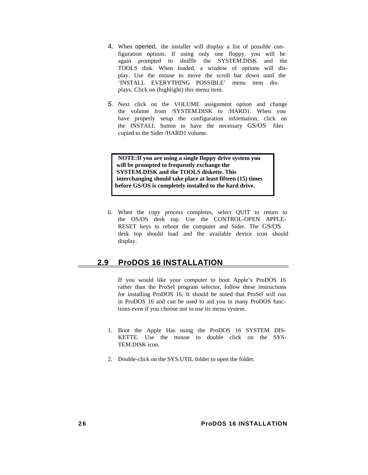- <span id="page-33-0"></span>4. When opened, the installer will display a list of possible configuration options. If using only one floppy, you will be again prompted to shuffle the SYSTEM.DISK and the TOOLS disk. When loaded, a window of options will display. Use the mouse to move the scroll bar down until the 'INSTALL EVERYTHING POSSIBLE' menu item displays. Click on (highlight) this menu item.
- *5.* Next click on the VOLUME assignment option and change the volume from /SYSTEM.DISK to /HARD1. When you have properly setup the configuration information, click on the INSTALL button to have the necessary GS/OS files copied to the Sider /HARD1 volume.

**NOTE:** If you are using a single floppy drive system you  **will be prompted to frequently exchange the SYSTEM.DISK and the TOOLS diskette. This interchanging should take place at least fifteen (15) times before GS/OS is completely installed to the hard drive.**

6. When the copy process completes, select QUIT to return to the OS/OS desk top. Use the CONTROL-OPEN APPLE-RESET keys to reboot the computer and Sider. The GS/OS desk top should load and the available device icon should display.

# **2.9 ProDOS 16 INSTALLATION**

If you would like your computer to boot Apple's ProDOS 16 rather than the ProSel program selector, follow these instructions for installing ProDOS 16. It should be noted that ProSel will run in ProDOS 16 and can be used to aid you in many ProDOS functions even if you choose not to use its menu system.

- 1. Boot the Apple Has using the ProDOS 16 SYSTEM DIS-KETTE. Use the mouse to double click on the SYS-TEM.DISK icon.
- 2. Double-click on the SYS.UTIL folder to open the folder.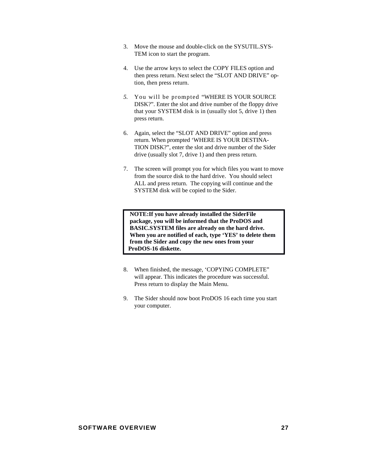- 3. Move the mouse and double-click on the SYSUTIL.SYS-TEM icon to start the program.
- 4. Use the arrow keys to select the COPY FILES option and then press return. Next select the "SLOT AND DRIVE" option, then press return.
- *5.* You will be prompted "WHERE IS YOUR SOURCE DISK?". Enter the slot and drive number of the floppy drive that your SYSTEM disk is in (usually slot 5, drive 1) then press return.
- 6. Again, select the "SLOT AND DRIVE" option and press return. When prompted 'WHERE IS YOUR DESTINA-TION DISK?", enter the slot and drive number of the Sider drive (usually slot 7, drive 1) and then press return.
- 7. The screen will prompt you for which files you want to move from the source disk to the hard drive. You should select ALL and press return. The copying will continue and the SYSTEM disk will be copied to the Sider.

**NOTE:** If you have already installed the SiderFile  **package, you will be informed that the ProDOS and BASIC.SYSTEM files are already on the hard drive. When you are notified of each, type 'YES' to delete them from the Sider and copy the new ones from your ProDOS-16 diskette.**

- 8. When finished, the message, 'COPYING COMPLETE" will appear. This indicates the procedure was successful. Press return to display the Main Menu.
- 9. The Sider should now boot ProDOS 16 each time you start your computer.

#### **SOFTWARE OVERVIEW 27**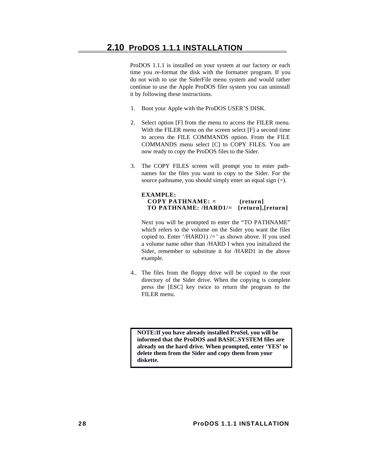ProDOS 1.1.1 is installed on your system at our factory or each time you re-format the disk with the formatter program. If you do not wish to use the SiderFile menu system and would rather continue to use the Apple ProDOS filer system you can uninstall it by following these instructions.

- 1. Boot your Apple with the ProDOS USER'S DISK.
- 2. Select option [F] from the menu to access the FILER menu. With the FILER menu on the screen select [F] a second time to access the FILE COMMANDS option. From the FILE COMMANDS menu select [C] to COPY FILES. You are now ready to copy the ProDOS files to the Sider.
- <span id="page-35-0"></span>3. The COPY FILES screen will prompt you to enter pathnames for the files you want to copy to the Sider. For the source pathname, you should simply enter an equal sign (=).

# **EXAMPLE: COPY PATHNAME: = (return] TO PATHNAME: /HARD1/= [return],[return]**

Next you will be prompted to enter the "TO PATHNAME" which refers to the volume on the Sider you want the files copied to. Enter '/HARD1) */='* as shown above. If you used a volume name other than /HARD I when you initialized the Sider, remember to substitute it for /HARD1 in the above example.

4.. The files from the floppy drive will be copied to the root directory of the Sider drive. When the copying is complete press the [ESC] key twice to return the program to the FILER menu.

**NOTE:** If you have already installed ProSel, you will be  **informed that the ProDOS and BASIC.SYSTEM files are already on the hard drive. When prompted, enter 'YES' to delete them from the Sider and copy them from your diskette.**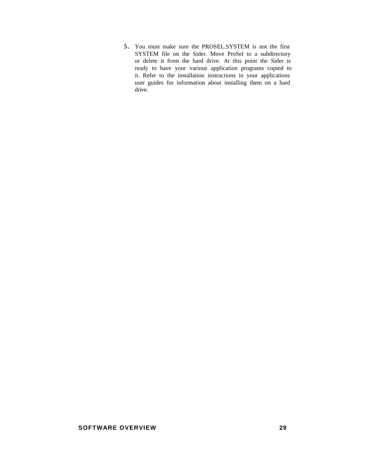**5 .** You must make sure the PROSEL.SYSTEM is not the first SYSTEM file on the Sider. Move ProSel to a subdirectory or delete it from the hard drive. At this point the Sider is ready to have your various application programs copied to it. Refer to the installation instructions in your applications user guides for information about installing them on a hard drive.

#### **SOFTWARE OVERVIEW 29**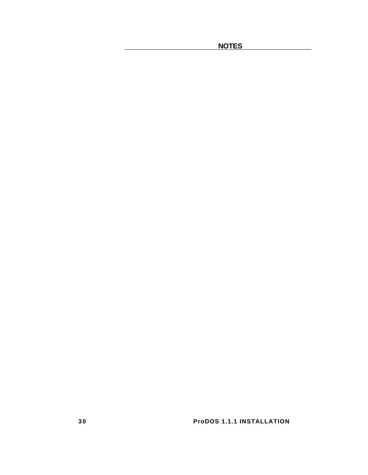**NOTES** 

**30** ProDOS 1.1.1 INSTALLATION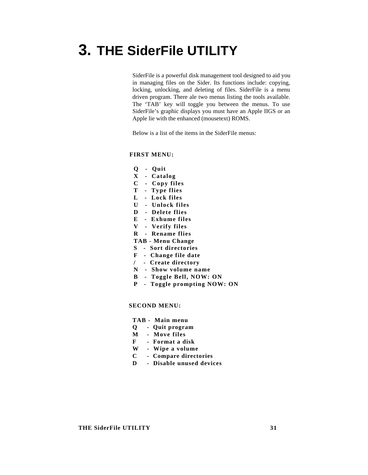# **3. THE SiderFile UTILITY**

SiderFile is a powerful disk management tool designed to aid you in managing files on the Sider. Its functions include: copying, locking, unlocking, and deleting of files. SiderFile is a menu driven program. There ale two menus listing the tools available. The 'TAB' key will toggle you between the menus. To use SiderFile's graphic displays you must have an Apple IIGS or an Apple lie with the enhanced (mousetext) ROMS.

Below is a list of the items in the SiderFile menus:

#### **FIRST MENU:**

- **Q Quit**
- **X Catalog**
- **C Copy files**
- **T Type flies**
- **L Lock files**
- **U Unlock files**
- **D Delete flies**
- **E Exhume files**
- **V Verify files**
- **R Rename flies**

#### **TAB - Menu Change**

- **S Sort directories**
- **F Change file date**
- **/ Create directory**
- **N Show volume name**
- **B Toggle Bell, NOW: ON**
- **P Toggle prompting NOW: ON**

#### **SECOND MENU:**

- **TAB Main menu**
- **Q Quit program**
- **M Move files**
- **F Format a disk**
- **W Wipe a volume**
- **C Compare directories**
- **D Disable unused devices**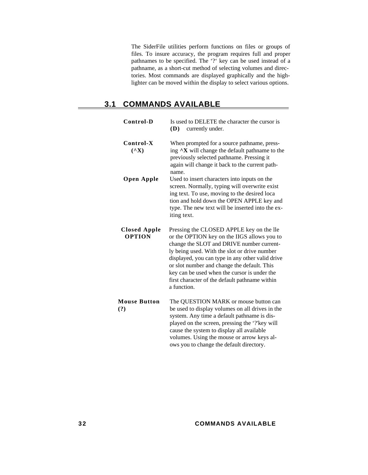The SiderFile utilities perform functions on files or groups of files. To insure accuracy, the program requires full and proper pathnames to be specified. The '?' key can be used instead of a pathname, as a short-cut method of selecting volumes and directories. Most commands are displayed graphically and the highlighter can be moved within the display to select various options.

 $\equiv$ 

# **3.1 COMMANDS AVAILABLE**

| Control-D                            | Is used to DELETE the character the cursor is<br>(D)<br>currently under.                                                                                                                                                                                                                                                                                                                                 |
|--------------------------------------|----------------------------------------------------------------------------------------------------------------------------------------------------------------------------------------------------------------------------------------------------------------------------------------------------------------------------------------------------------------------------------------------------------|
| Control-X<br>$({}^{\wedge}{\rm X})$  | When prompted for a source pathname, press-<br>ing $\Delta X$ will change the default pathname to the<br>previously selected pathname. Pressing it<br>again will change it back to the current path-<br>name.                                                                                                                                                                                            |
| Open Apple                           | Used to insert characters into inputs on the<br>screen. Normally, typing will overwrite exist<br>ing text. To use, moving to the desired loca<br>tion and hold down the OPEN APPLE key and<br>type. The new text will be inserted into the ex-<br>iting text.                                                                                                                                            |
| <b>Closed Apple</b><br><b>OPTION</b> | Pressing the CLOSED APPLE key on the lle<br>or the OPTION key on the IIGS allows you to<br>change the SLOT and DRIVE number current-<br>ly being used. With the slot or drive number<br>displayed, you can type in any other valid drive<br>or slot number and change the default. This<br>key can be used when the cursor is under the<br>first character of the default pathname within<br>a function. |
| <b>Mouse Button</b><br>(?)           | The QUESTION MARK or mouse button can<br>be used to display volumes on all drives in the<br>system. Any time a default pathname is dis-<br>played on the screen, pressing the '?'key will<br>cause the system to display all available<br>volumes. Using the mouse or arrow keys al-<br>ows you to change the default directory.                                                                         |

**3 2 COMMANDS AVAILABLE**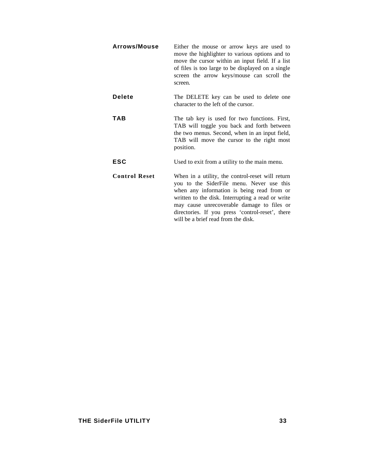| <b>Arrows/Mouse</b>  | Either the mouse or arrow keys are used to<br>move the highlighter to various options and to<br>move the cursor within an input field. If a list<br>of files is too large to be displayed on a single<br>screen the arrow keys/mouse can scroll the<br>screen. |
|----------------------|----------------------------------------------------------------------------------------------------------------------------------------------------------------------------------------------------------------------------------------------------------------|
| Delete               | The DELETE key can be used to delete one<br>character to the left of the cursor.                                                                                                                                                                               |
| TAB                  | The tab key is used for two functions. First,<br>TAB will toggle you back and forth between<br>the two menus. Second, when in an input field,<br>TAB will move the cursor to the right most<br>position.                                                       |
| ESC                  | Used to exit from a utility to the main menu.                                                                                                                                                                                                                  |
| <b>Control Reset</b> | When in a utility, the control-reset will return<br>you to the SiderFile menu. Never use this<br>when any information is being read from or<br>written to the disk. Interrupting a read or write<br>may cause unrecoverable damage to files or                 |

directories. If you press 'control-reset', there

will be a brief read from the disk.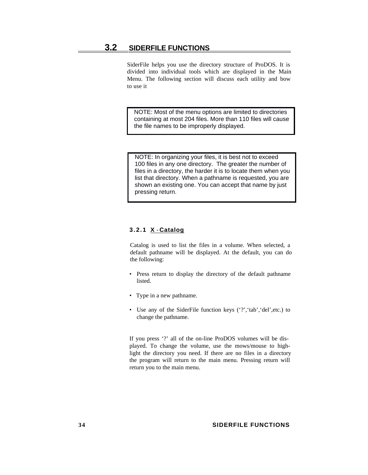# **3.2 SIDERFILE FUNCTIONS**

SiderFile helps you use the directory structure of ProDOS. It is divided into individual tools which are displayed in the Main Menu. The following section will discuss each utility and bow to use it

 NOTE: Most of the menu options are limited to directories containing at most 204 files. More than 110 files will cause the file names to be improperly displayed.

NOTE: In organizing your files, it is best not to exceed 100 files in any one directory. The greater the number of files in a directory, the harder it is to locate them when you list that directory. When a pathname is requested, you are shown an existing one. You can accept that name by just pressing return.

### **3.2.1 X** - **Catalog**

Catalog is used to list the files in a volume. When selected, a default pathname will be displayed. At the default, you can do the following:

- Press return to display the directory of the default pathname listed.
- Type in a new pathname.
- Use any of the SiderFile function keys ('?','tab','del',etc.) to change the pathname.

If you press '?' all of the on-line ProDOS volumes will be displayed. To change the volume, use the mows/mouse to highlight the directory you need. If there are no files in a directory the program will return to the main menu. Pressing return will return you to the main menu.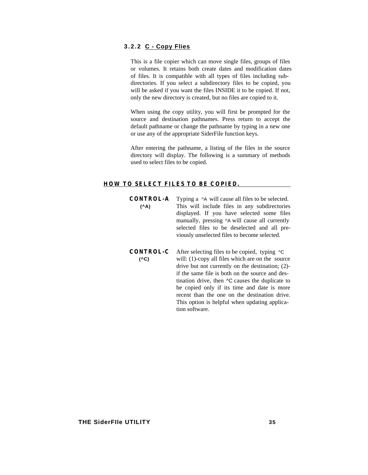# **3.2.2 C - Copy Flies**

This is a file copier which can move single files, groups of files or volumes. It retains both create dates and modification dates of files. It is compatible with all types of files including subdirectories. If you select a subdirectory files to be copied, you will be asked if you want the files INSIDE it to be copied. If not, only the new directory is created, but no files are copied to it.

When using the copy utility, you will first be prompted for the source and destination pathnames. Press return to accept the default pathname or change the pathname by typing in a new one or use any of the appropriate SiderFile function keys.

After entering the pathname, a listing of the files in the source directory will display. The following is a summary of methods used to select files to be copied.

#### **HOW TO SELECT FILES TO BE COPIED.**

- **CONTROL-A** Typing a ^A will cause all files to be selected. **(^A)** This will include files in any subdirectories displayed. If you have selected some files manually, pressing ^A will cause all currently selected files to be deselected and all previously unselected files to become selected.
- **CONTROL-C** After selecting files to be copied, typing ^C **(^C)** will: (1)-copy all files which are on the source drive but not currently on the destination; (2) if the same file is both on the source and destination drive, then ^C causes the duplicate to be copied only if its time and date is more recent than the one on the destination drive. This option is helpful when updating application software.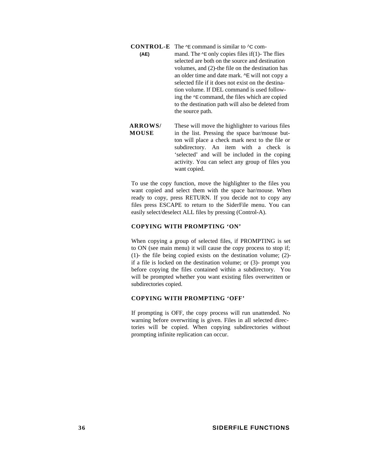**CONTROL-E** The ^E command is similar to ^C com-

- **(AE)** mand. The  $\leq$  only copies files if(1)- The flies selected are both on the source and destination volumes, and (2)-the file on the destination has an older time and date mark. ^E will not copy a selected file if it does not exist on the destination volume. If DEL command is used following the ^E command, the files which are copied to the destination path will also be deleted from the source path.
- **ARROWS/** These will move the highlighter to various files **MOUSE** in the list. Pressing the space bar/mouse button will place a check mark next to the file or subdirectory. An item with a check is 'selected' and will be included in the coping activity. You can select any group of files you want copied.

To use the copy function, move the highlighter to the files you want copied and select them with the space bar/mouse. When ready to copy, press RETURN. If you decide not to copy any files press ESCAPE to return to the SiderFile menu. You can easily select/deselect ALL files by pressing (Control-A).

#### **COPYING WITH PROMPTING 'ON'**

When copying a group of selected files, if PROMPTING is set to ON (see main menu) it will cause the copy process to stop if; (1)- the file being copied exists on the destination volume; (2) if a file is locked on the destination volume; or (3)- prompt you before copying the files contained within a subdirectory. You will be prompted whether you want existing files overwritten or subdirectories copied.

#### **COPYING WITH PROMPTING 'OFF'**

If prompting is OFF, the copy process will run unattended. No warning before overwriting is given. Files in all selected directories will be copied. When copying subdirectories without prompting infinite replication can occur.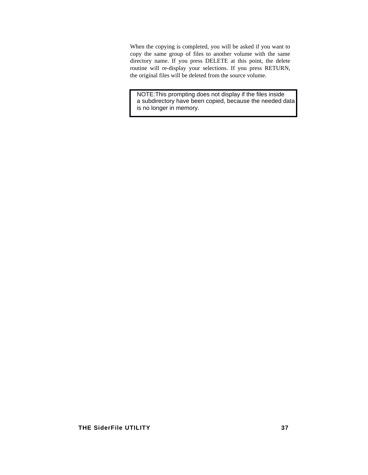When the copying is completed, you will be asked if you want to copy the same group of files to another volume with the same directory name. If you press DELETE at this point, the delete routine will re-display your selections. If you press RETURN, the original files will be deleted from the source volume.

NOTE: This prompting does not display if the files inside a subdirectory have been copied, because the needed data is no longer in memory.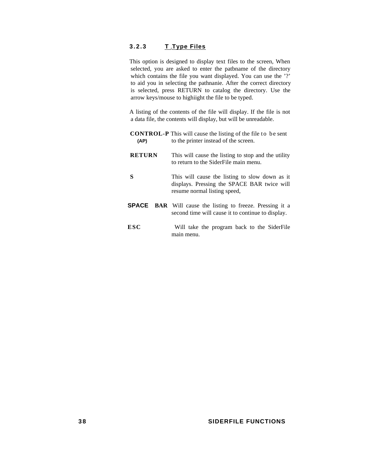# **3.2.3 T - Type Files**

This option is designed to display text files to the screen, When selected, you are asked to enter the patbname of the directory which contains the file you want displayed. You can use the '?' to aid you in selecting the pathnanie. After the correct directory is selected, press RETURN to catalog the directory. Use the arrow keys/mouse to highiight the file to be typed.

A listing of the contents of the file will display. If the file is not a data file, the contents will display, but will be unreadable.

| (AP)          | <b>CONTROL-P</b> This will cause the listing of the file to be sent<br>to the printer instead of the screen.                  |
|---------------|-------------------------------------------------------------------------------------------------------------------------------|
| <b>RETURN</b> | This will cause the listing to stop and the utility<br>to return to the SiderFile main menu.                                  |
| S             | This will cause the listing to slow down as it<br>displays. Pressing the SPACE BAR twice will<br>resume normal listing speed, |
|               | <b>SPACE</b> BAR Will cause the listing to freeze. Pressing it a<br>second time will cause it to continue to display.         |
| ESC           | Will take the program back to the SiderFile<br>main menu.                                                                     |

#### **3 8 SIDERFILE FUNCTIONS**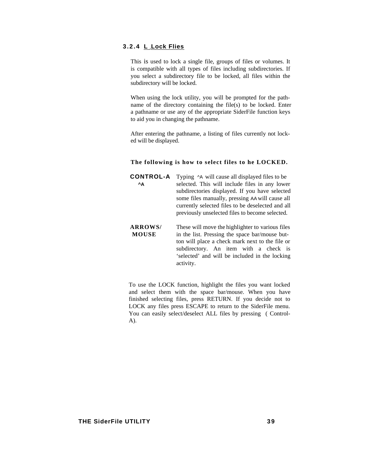## **3.2.4 L** - **Lock Flies**

This is used to lock a single file, groups of files or volumes. It is compatible with all types of files including subdirectories. If you select a subdirectory file to be locked, all files within the subdirectory will be locked.

When using the lock utility, you will be prompted for the pathname of the directory containing the file(s) to be locked. Enter a pathname or use any of the appropriate SiderFile function keys to aid you in changing the pathname.

After entering the pathname, a listing of files currently not locked will be displayed.

#### **The following is how to select files to he LOCKED.**

**CONTROL-A** Typing ^A will cause all displayed files to be **A** selected. This will include files in any lower subdirectories displayed. If you have selected some files manually, pressing AA will cause all currently selected files to be deselected and all previously unselected files to become selected.

**ARROWS/** These will move the highlighter to various files **MOUSE** in the list. Pressing the space bar/mouse button will place a check mark next to the file or subdirectory. An item with a check is 'selected' and will be included in the locking activity.

To use the LOCK function, highlight the files you want locked and select them with the space bar/mouse. When you have finished selecting files, press RETURN. If you decide not to LOCK any files press ESCAPE to return to the SiderFile menu. You can easily select/deselect ALL files by pressing ( Control-A).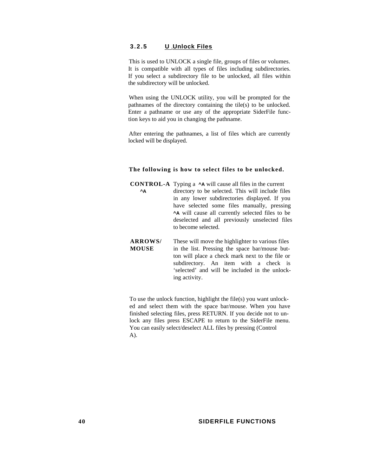# **3.2.5 U - Unlock Files**

This is used to UNLOCK a single file, groups of files or volumes. It is compatible with all types of files including subdirectories. If you select a subdirectory file to be unlocked, all files within the subdirectory will be unlocked.

When using the UNLOCK utility, you will be prompted for the pathnames of the directory containing the tile(s) to be unlocked. Enter a pathname or use any of the appropriate SiderFile function keys to aid you in changing the pathname.

After entering the pathnames, a list of files which are currently locked will be displayed.

#### **The following is how to select files to be unlocked.**

**CONTROL-A** Typing a **^A** will cause all files in the current  **^A** directory to be selected. This will include files in any lower subdirectories displayed. If you have selected some files manually, pressing **^A** will cause all currently selected files to be deselected and all previously unselected files to become selected.

**ARROWS/** These will move the highlighter to various files **MOUSE** in the list. Pressing the space bar/mouse button will place a check mark next to the file or subdirectory. An item with a check is 'selected' and will be included in the unlocking activity.

To use the unlock function, highlight the file(s) you want unlocked and select them with the space bar/mouse. When you have finished selecting files, press RETURN. If you decide not to unlock any files press ESCAPE to return to the SiderFile menu. You can easily select/deselect ALL files by pressing (Control A).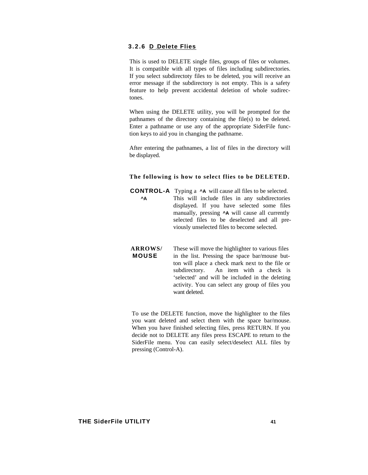### **3.2.6 D** - **Delete Flies**

This is used to DELETE single files, groups of files or volumes. It is compatible with all types of files including subdirectories. If you select subdirectoty files to be deleted, you will receive an error message if the subdirectory is not empty. This is a safety feature to help prevent accidental deletion of whole sudirectones.

When using the DELETE utility, you will be prompted for the pathnames of the directory containing the file(s) to be deleted. Enter a pathname or use any of the appropriate SiderFile function keys to aid you in changing the pathname.

After entering the pathnames, a list of files in the directory will be displayed.

#### **The following is how to select flies to be DELETED.**

**CONTROL-A** Typing a **^A** will cause all files to be selected.  **^A** This will include files in any subdirectories displayed. If you have selected some files manually, pressing **^A** will cause all currently selected files to be deselected and all previously unselected files to become selected.

**ARROWS/** These will move the highlighter to various files **MOUSE** in the list. Pressing the space bar/mouse button will place a check mark next to the file or subdirectory. An item with a check is 'selected' and will be included in the deleting activity. You can select any group of files you want deleted.

To use the DELETE function, move the highlighter to the files you want deleted and select them with the space bar/mouse. When you have finished selecting files, press RETURN. If you decide not to DELETE any files press ESCAPE to return to the SiderFile menu. You can easily select/deselect ALL files by pressing (Control-A).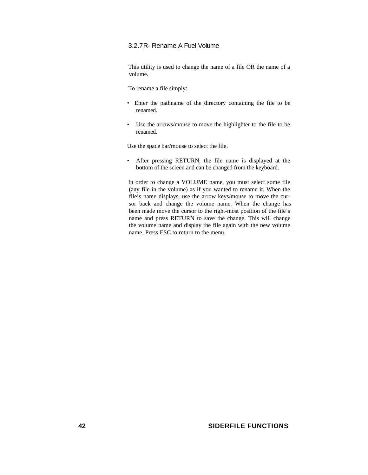# 3.2.7R- Rename A Fuel Volume

This utility is used to change the name of a file OR the name of a volume.

To rename a file simply:

- Enter the pathname of the directory containing the file to be renamed.
- Use the arrows/mouse to move the highlighter to the file to be renamed.

Use the space bar/mouse to select the file.

• After pressing RETURN, the file name is displayed at the bottom of the screen and can be changed from the keyboard.

In order to change a VOLUME name, you must select some file (any file in the volume) as if you wanted to rename it. When the file's name displays, use the arrow keys/mouse to move the cursor back and change the volume name. When the change has been made move the cursor to the right-most position of the file's name and press RETURN to save the change. This will change the volume name and display the file again with the new volume name. Press ESC to return to the menu.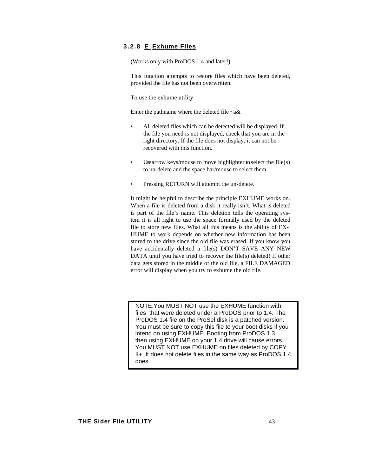## **3.2.8 E** - **Exhume Flies**

(Works only with ProDOS 1.4 and later!)

This function attempts to restore files which have been deleted, provided the file has not been overwritten.

To use the exhume utility:

Enter the pathname where the deleted file  $-a\&$ 

- All deleted files which can be detected will be displayed. If the file you need is not displayed, check that you are in the right directory. If the file does not display, it can not be recovered with this function.
- Use arrow keys/mouse to move highlighter to select the file(s) to un-delete and the space bar/mouse to select them.
- Pressing RETURN will attempt the un-delete.

It might be helpful to describe the principle EXHUME works on. When a file is deleted from a disk it really isn't. What is deleted is part of the file's name. This deletion tells the operating system it is all right to use the space formally used by the deleted file to store new files. What all this means is the ability of EX-HUME to work depends on whether new information has been stored to the drive since the old file was erased. If you know you have accidentally deleted a file(s) DON'T SAVE ANY NEW DATA until you have tried to recover the file(s) deleted! If other data gets stored in the middle of the old file, a FILE DAMAGED error will display when you try to exhume the old file.

NOTE: You MUST NOT use the EXHUME function with files that were deleted under a ProDOS prior to 1.4. The ProDOS 1.4 file on the ProSel disk is a patched version. You must be sure to copy this file to your boot disks if you intend on using EXHUME. Booting from ProDOS 1.3 then using EXHUME on your 1.4 drive will cause errors. You MUST NOT use EXHUME on files deleted by COPY II+. It does not delete files in the same way as ProDOS 1.4 does.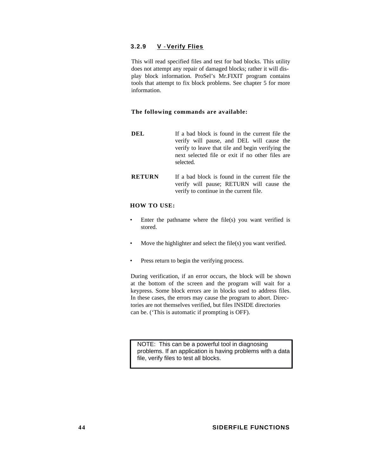# **3.2.9 V** - **Verify Flies**

This will read specified files and test for bad blocks. This utility does not attempt any repair of damaged blocks; rather it will display block information. ProSel's Mr.FIXIT program contains tools that attempt to fix block problems. See chapter 5 for more information.

#### **The following commands are available:**

- **DEL** If a bad block is found in the current file the verify will pause, and DEL will cause the verify to leave that tile and begin verifying the next selected file or exit if no other files are selected.
- **RETURN** If a bad block is found in the current file the verify will pause; RETURN will cause the verify to continue in the current file.

#### **HOW TO USE:**

- Enter the pathname where the file(s) you want verified is stored.
- Move the highlighter and select the file(s) you want verified.
- Press return to begin the verifying process.

During verification, if an error occurs, the block will be shown at the bottom of the screen and the program will wait for a keypress. Some block errors are in blocks used to address files. In these cases, the errors may cause the program to abort. Directories are not themselves verified, but files INSIDE directories can be. ('This is automatic if prompting is OFF).

NOTE: This can be a powerful tool in diagnosing problems. If an application is having problems with a data file, verify files to test all blocks.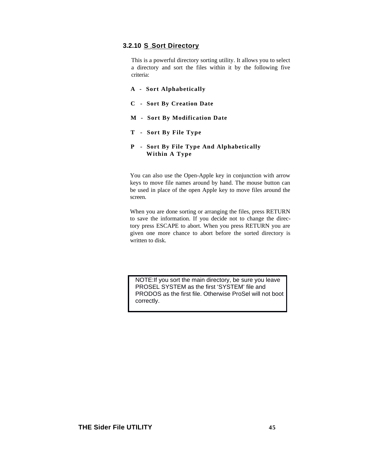# **3.2.10 S - Sort Directory**

This is a powerful directory sorting utility. It allows you to select a directory and sort the files within it by the following five criteria:

- **A Sort Alphabetically**
- **C Sort By Creation Date**
- **M Sort By Modification Date**
- **T Sort By File Type**
- **P Sort By File Type And Alphabetically Within A Type**

You can also use the Open-Apple key in conjunction with arrow keys to move file names around by hand. The mouse button can be used in place of the open Apple key to move files around the screen.

When you are done sorting or arranging the files, press RETURN to save the information. If you decide not to change the directory press ESCAPE to abort. When you press RETURN you are given one more chance to abort before the sorted directory is written to disk.

NOTE: If you sort the main directory, be sure you leave PROSEL SYSTEM as the first 'SYSTEM' file and PRODOS as the first file. Otherwise ProSel will not boot correctly.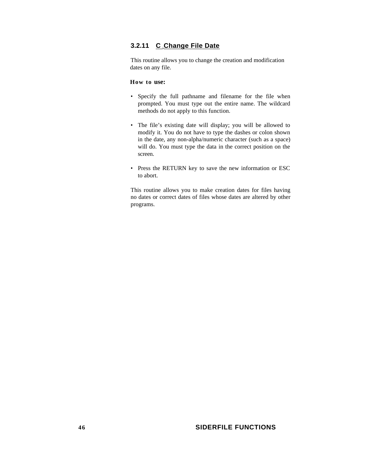# **3.2.11 C - Change File Date**

This routine allows you to change the creation and modification dates on any file.

#### **How to use:**

- Specify the full pathname and filename for the file when prompted. You must type out the entire name. The wildcard methods do not apply to this function.
- The file's existing date will display; you will be allowed to modify it. You do not have to type the dashes or colon shown in the date, any non-alpha/numeric character (such as a space) will do. You must type the data in the correct position on the screen.
- Press the RETURN key to save the new information or ESC to abort.

This routine allows you to make creation dates for files having no dates or correct dates of files whose dates are altered by other programs.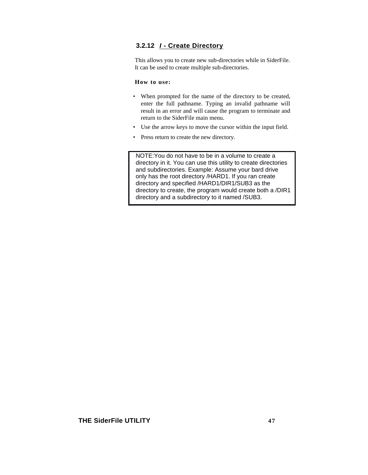# **3.2.12** *I* **- Create Directory**

This allows you to create new sub-directories while in SiderFile. It can be used to create multiple sub-directories.

#### **How to use:**

- When prompted for the name of the directory to be created, enter the full pathname. Typing an invalid pathname will result in an error and will cause the program to terminate and return to the SiderFile main menu.
- Use the arrow keys to move the cursor within the input field.
- Press return to create the new directory.

NOTE: You do not have to be in a volume to create a directory in it. You can use this utility to create directories and subdirectories. Example: Assume your bard drive only has the root directory /HARD1. If you ran create directory and specified /HARD1/DIR1/SUB3 as the directory to create, the program would create both a /DIR1 directory and a subdirectory to it named /SUB3.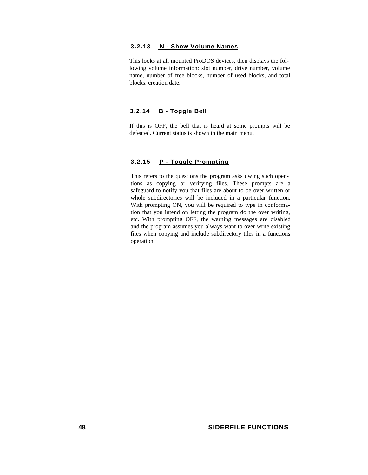## **3.2.13 N - Show Volume Names**

This looks at all mounted ProDOS devices, then displays the following volume information: slot number, drive number, volume name, number of free blocks, number of used blocks, and total blocks, creation date.

#### **3.2.14 B - Toggle Bell**

If this is OFF, the bell that is heard at some prompts will be defeated. Current status is shown in the main menu.

#### **3.2.15 P - Toggle Prompting**

This refers to the questions the program asks dwing such opentions as copying or verifying files. These prompts are a safeguard to notify you that files are about to be over written or whole subdirectories will be included in a particular function. With prompting ON, you will be required to type in conformation that you intend on letting the program do the over writing, etc. With prompting OFF, the warning messages are disabled and the program assumes you always want to over write existing files when copying and include subdirectory tiles in a functions operation.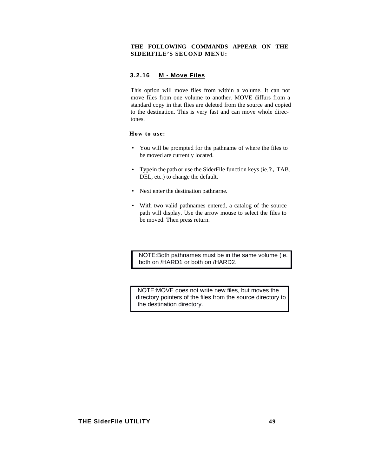### **THE FOLLOWING COMMANDS APPEAR ON THE SIDERFILE'S SECOND MENU:**

### **3.2.16 M - Move Files**

This option will move files from within a volume. It can not move files from one volume to another. MOVE diffurs from a standard copy in that flies are deleted from the source and copied to the destination. This is very fast and can move whole directones.

#### **How to use:**

- You will be prompted for the pathname of where the files to be moved are currently located.
- Type in the path or use the SiderFile function keys (ie.?, TAB. DEL, etc.) to change the default.
- Next enter the destination pathnarne.
- With two valid pathnames entered, a catalog of the source path will display. Use the arrow mouse to select the files to be moved. Then press return.

NOTE: Both pathnames must be in the same volume (ie. both on /HARD1 or both on /HARD2.

NOTE: MOVE does not write new files, but moves the directory pointers of the files from the source directory to the destination directory.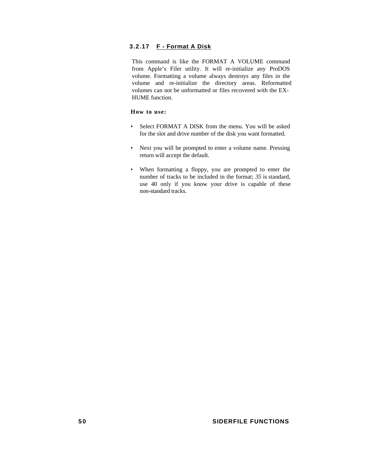# **3.2.17 F - Format A Disk**

This command is like the FORMAT A VOLUME command from Apple's Filer utility. It will re-initialize any ProDOS volume. Formatting a volume always destroys any files in the volume and re-initialize the directory areas. Reformatted volumes can not be unformatted or files recovered with the EX-HUME function.

#### **How to use:**

- Select FORMAT A DISK from the menu. You will be asked for the slot and drive number of the disk you want formatted.
- Next you will be prompted to enter a volume name. Pressing return will accept the default.
- When formatting a floppy, you are prompted to enter the number of tracks to be included in the format; *35* is standard, use 40 only if you know your drive is capable of these non-standard tracks.

#### **5 0 SIDERFILE FUNCTIONS**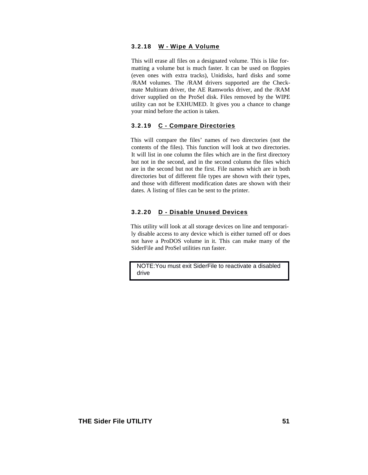#### **3.2.18 W - Wipe A Volume**

This will erase all files on a designated volume. This is like formatting a volume but is much faster. It can be used on floppies (even ones with extra tracks), Unidisks, hard disks and some /RAM volumes. The /RAM drivers supported are the Checkmate Multiram driver, the AE Ramworks driver, and the /RAM driver supplied on the ProSel disk. Files removed by the WIPE utility can not be EXHUMED. It gives you a chance to change your mind before the action is taken.

#### **3.2.19 C - Compare Directories**

This will compare the files' names of two directories (not the contents of the files). This function will look at two directories. It will list in one column the files which are in the first directory but not in the second, and in the second column the files which are in the second but not the first. File names which are in both directories but of different file types are shown with their types, and those with different modification dates are shown with their dates. A listing of files can be sent to the printer.

## **3.2.20 D - Disable Unused Devices**

This utility will look at all storage devices on line and temporarily disable access to any device which is either turned off or does not have a ProDOS volume in it. This can make many of the SiderFile and ProSel utilities run faster.

NOTE: You must exit SiderFile to reactivate a disabled drive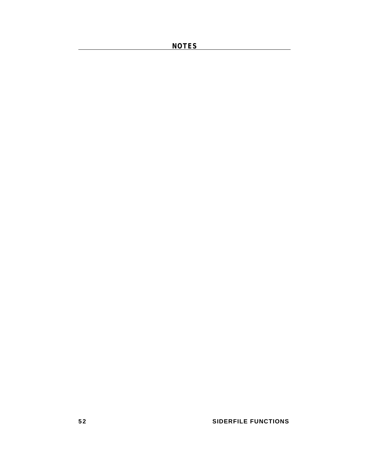**NOTES** 

# **52** SIDERFILE FUNCTIONS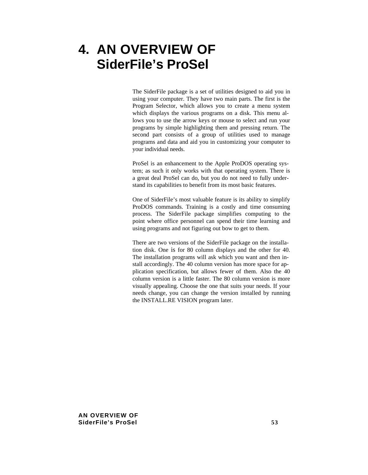# **4. AN OVERVIEW OF SiderFile's ProSel**

The SiderFile package is a set of utilities designed to aid you in using your computer. They have two main parts. The first is the Program Selector, which allows you to create a menu system which displays the various programs on a disk. This menu allows you to use the arrow keys or mouse to select and run your programs by simple highlighting them and pressing return. The second part consists of a group of utilities used to manage programs and data and aid you in customizing your computer to your individual needs.

ProSel is an enhancement to the Apple ProDOS operating system; as such it only works with that operating system. There is a great deal ProSel can do, but you do not need to fully understand its capabilities to benefit from its most basic features.

One of SiderFile's most valuable feature is its ability to simplify ProDOS commands. Training is a costly and time consuming process. The SiderFile package simplifies computing to the point where office personnel can spend their time learning and using programs and not figuring out bow to get to them.

There are two versions of the SiderFile package on the installation disk. One is for 80 column displays and the other for 40. The installation programs will ask which you want and then install accordingly. The 40 column version has more space for application specification, but allows fewer of them. Also the 40 column version is a little faster. The 80 column version is more visually appealing. Choose the one that suits your needs. If your needs change, you can change the version installed by running the INSTALL.RE VISION program later.

**AN OVERVIEW OF SiderFile's ProSel 53**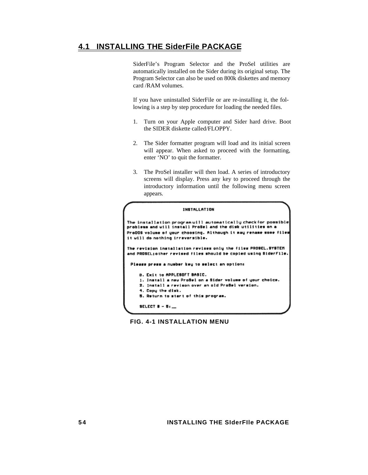# **4.1 INSTALLING THE SiderFile PACKAGE**

SiderFile's Program Selector and the ProSel utilities are automatically installed on the Sider during its original setup. The Program Selector can also be used on 800k diskettes and memory card /RAM volumes.

If you have uninstalled SiderFile or are re-installing it, the following is a step by step procedure for loading the needed files.

- 1. Turn on your Apple computer and Sider hard drive. Boot the SIDER diskette called/FLOPPY.
- 2. The Sider formatter program will load and its initial screen will appear. When asked to proceed with the formatting, enter 'NO' to quit the formatter.
- 3. The ProSel installer will then load. A series of introductory screens will display. Press any key to proceed through the introductory information until the following menu screen appears.

# **FIG. 4-1 INSTALLATION MENU**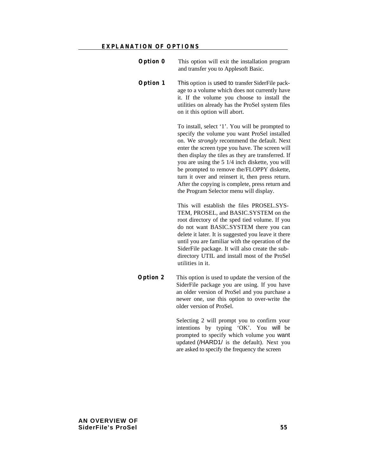- **Option 0** This option will exit the installation program and transfer you to Applesoft Basic.
- **Option 1** This option is used to transfer SiderFile package to a volume which does not currently have it. If the volume you choose to install the utilities on already has the ProSel system files on it this option will abort.

To install, select '1'. You will be prompted to specify the volume you want ProSel installed on. We *strongly* recommend the default. Next enter the screen type you have. The screen will then display the tiles as they are transferred. If you are using the 5 1/4 inch diskette, you will be prompted to remove the/FLOPPY diskette, turn it over and reinsert it, then press return. After the copying is complete, press return and the Program Selector menu will display.

This will establish the files PROSEL.SYS-TEM, PROSEL, and BASIC.SYSTEM on the root directory of the sped tied volume. If you do not want BASIC.SYSTEM there you can delete it later. It is suggested you leave it there until you are familiar with the operation of the SiderFile package. It will also create the subdirectory UTIL and install most of the ProSel utilities in it.

**Option 2** This option is used to update the version of the SiderFile package you are using. If you have an older version of ProSel and you purchase a newer one, use this option to over-write the older version of ProSel.

> Selecting 2 will prompt you to confirm your intentions by typing 'OK'. You will be prompted to specify which volume you want updated (/HARD1/ is the default). Next you are asked to specify the frequency the screen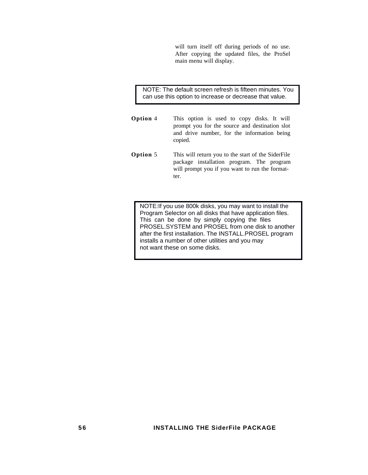will turn itself off during periods of no use. After copying the updated files, the ProSel main menu will display.

 NOTE: The default screen refresh is fifteen minutes. You can use this option to increase or decrease that value.

- **Option** 4 This option is used to copy disks. It will prompt you for the source and destination slot and drive number, for the information being copied.
- **Option 5** This will return you to the start of the SiderFile package installation program. The program will prompt you if you want to run the formatter.

NOTE: If you use 800k disks, you may want to install the Program Selector on all disks that have application files. This can be done by simply copying the files PROSEL.SYSTEM and PROSEL from one disk to another after the first installation. The INSTALL.PROSEL program installs a number of other utilities and you may not want these on some disks.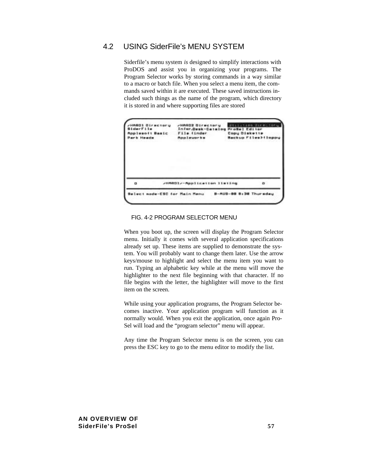# 4.2 USING SiderFile's MENU SYSTEM

Siderfile's menu system *is* designed to simplify interactions with ProDOS and assist you in organizing your programs. The Program Selector works by storing commands in a way similar to a macro or batch file. When you select a menu item, the commands saved within it are executed. These saved instructions included such things as the name of the program, which directory it is stored in and where supporting files are stored

| HABOI Directory<br>B1derF11e<br>Applesoft Basic<br>Park Heads | <b>JHARD2 Directory</b><br>Infor.Desk-Catalog<br>File iinder<br><b>Appleuscks</b> | ProSel Editor<br>Copy Diskette | Utilities Ulrectory<br><b>Backup Files&gt;ileppy</b> |
|---------------------------------------------------------------|-----------------------------------------------------------------------------------|--------------------------------|------------------------------------------------------|
|                                                               | /HAODI/-Application listing                                                       |                                |                                                      |
|                                                               |                                                                                   |                                |                                                      |

# FIG. 4-2 PROGRAM SELECTOR MENU

When you boot up, the screen will display the Program Selector menu. Initially it comes with several application specifications already set up. These items are supplied to demonstrate the system. You will probably want to change them later. Use the arrow keys/mouse to highlight and select the menu item you want to run. Typing an alphabetic key while at the menu will move the highlighter to the next file beginning with that character. If no file begins with the letter, the highlighter will move to the first item on the screen.

While using your application programs, the Program Selector becomes inactive. Your application program will function as it normally would. When you exit the application, once again Pro-Sel will load and the "program selector" menu will appear.

Any time the Program Selector menu is on the screen, you can press the ESC key to go to the menu editor to modify the list.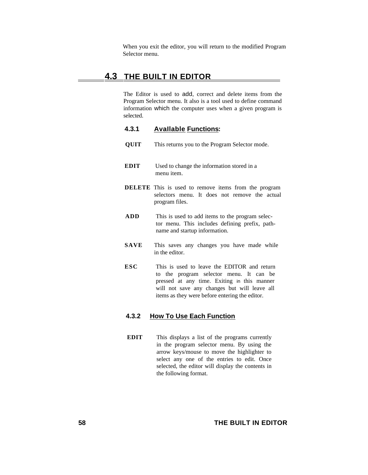When you exit the editor, you will return to the modified Program Selector menu.

# **4.3 THE BUILT IN EDITOR**

The Editor is used to add, correct and delete items from the Program Selector menu. It also is a tool used to define command information which the computer uses when a given program is selected.

## **4.3.1 AvaIlable Functions:**

- **QUIT** This returns you to the Program Selector mode.
- **EDIT** Used to change the information stored in a menu item.
- **DELETE** This is used to remove items from the program selectors menu. It does not remove the actual program files.
- **ADD** This is used to add items to the program selector menu. This includes defining prefix, pathname and startup information.
- **SAVE** This saves any changes you have made while in the editor.
- **ESC** This is used to leave the EDITOR and return to the program selector menu. It can be pressed at any time. Exiting in this manner will not save any changes but will leave all items as they were before entering the editor.

## **4.3.2 How To Use Each Function**

**EDIT** This displays a list of the programs currently in the program selector menu. By using the arrow keys/mouse to move the highlighter to select any one of the entries to edit. Once selected, the editor will display the contents in the following format.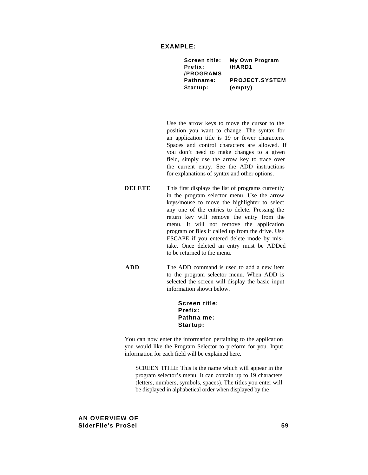| My Own Program        |
|-----------------------|
| /HARD1                |
|                       |
| <b>PROJECT.SYSTEM</b> |
| (empty)               |
|                       |

Use the arrow keys to move the cursor to the position you want to change. The syntax for an application title is 19 or fewer characters. Spaces and control characters are allowed. If you don't need to make changes to a given field, simply use the arrow key to trace over the current entry. See the ADD instructions for explanations of syntax and other options.

- **DELETE** This first displays the list of programs currently in the program selector menu. Use the arrow keys/mouse to move the highlighter to select any one of the entries to delete. Pressing the return key will remove the entry from the menu. It will not remove the application program or files it called up from the drive. Use ESCAPE if you entered delete mode by mistake. Once deleted an entry must be ADDed to be returned to the menu.
- **ADD** The ADD command is used to add a new item to the program selector menu. When ADD is selected the screen will display the basic input information shown below.

#### **Screen title: Prefix: Pathna me: Startup:**

You can now enter the information pertaining to the application you would like the Program Selector to preform for you. Input information for each field will be explained here.

SCREEN TITLE: This is the name which will appear in the program selector's menu. It can contain up to 19 characters (letters, numbers, symbols, spaces). The titles you enter will be displayed in alphabetical order when displayed by the

### **AN OVERVIEW OF SiderFile's ProSel 59**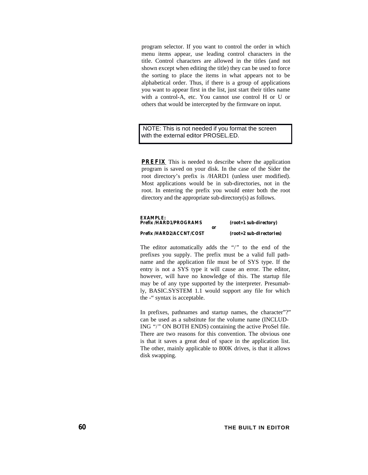program selector. If you want to control the order in which menu items appear, use leading control characters in the title. Control characters are allowed in the titles (and not shown except when editing the title) they can be used to force the sorting to place the items in what appears not to be alphabetical order. Thus, if there is a group of applications you want to appear first in the list, just start their titles name with a control-A, etc. You cannot use control H or U or others that would be intercepted by the firmware on input.

 NOTE: This is not needed if you format the screen with the external editor PROSEL.ED.

**PREFIX** This is needed to describe where the application program is saved on your disk. In the case of the Sider the root directory's prefix is /HARD1 (unless user modified). Most applications would be in sub-directories, not in the root. In entering the prefix you would enter both the root directory and the appropriate sub-directory(s) as follows.

| <b>EXAMPLE:</b><br>Prefix/HARD1/PROGRAMS<br>or |  | $(root+1 sub-directory)$   |  |
|------------------------------------------------|--|----------------------------|--|
| Prefix/HARD2/ACCNT/COST                        |  | $(root+2 sub-dIrectorIes)$ |  |

The editor automatically adds the *"*/*"* to the end of the prefixes you supply. The prefix must be a valid full pathname and the application file must be of SYS type. If the entry is not a SYS type it will cause an error. The editor, however, will have no knowledge of this. The startup file may be of any type supported by the interpreter. Presumably, BASIC.SYSTEM 1.1 would support any file for which the -" syntax is acceptable.

In prefixes, pathnames and startup names, the character"?" can be used as a substitute for the volume name (INCLUD-ING *"*/*"* ON BOTH ENDS) containing the active ProSel file. There are two reasons for this convention. The obvious one is that it saves a great deal of space in the application list. The other, mainly applicable to 800K drives, is that it allows disk swapping.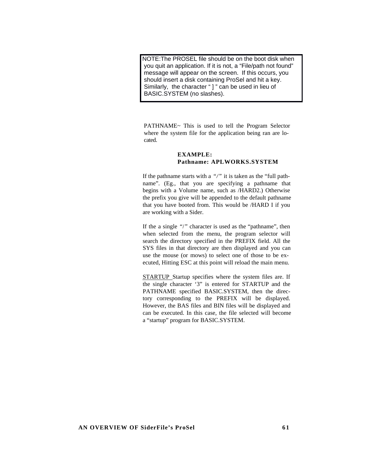NOTE: The PROSEL file should be on the boot disk when you quit an application. If it is not, a "File/path not found" message will appear on the screen. If this occurs, you should insert a disk containing ProSel and hit a key. Similarly, the character " ] " can be used in lieu of BASIC.SYSTEM (no slashes).

PATHNAME~ This is used to tell the Program Selector where the system file for the application being ran are located.

## **EXAMPLE: Pathname: APLWORKS.SYSTEM**

If the pathname starts with a *"/"* it is taken as the "full pathname". (Eg., that you are specifying a pathname that begins with a Volume name, such as /HARD2.) Otherwise the prefix you give will be appended to the default pathname that you have booted from. This would be /HARD I if you are working with a Sider.

If the a single *"*/*"* character is used as the "pathname", then when selected from the menu, the program selector will search the directory specified in the PREFIX field. All the SYS files in that directory are then displayed and you can use the mouse (or mows) to select one of those to be executed, Hitting ESC at this point will reload the main menu.

STARTUP Startup specifies where the system files are. If the single character '3" is entered for STARTUP and the PATHNAME specified BASIC.SYSTEM, then the directory corresponding to the PREFIX will be displayed. However, the BAS files and BIN files will be displayed and can be executed. In this case, the file selected will become a "startup" program for BASIC.SYSTEM.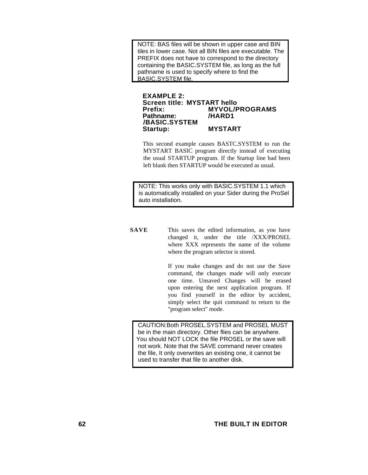NOTE: BAS files will be shown in upper case and BIN tiles in lower case. Not all BIN files are executable. The PREFIX does not have to correspond to the directory containing the BASIC.SYSTEM file, as long as the full pathname is used to specify where to find the BASIC.SYSTEM file.

#### **EXAMPLE 2: Screen title: MYSTART hello Prefix: MYVOL/PROGRAMS Pathname: /BASIC.SYSTEM Startup: MYSTART**

This second example causes BASTC.SYSTEM to run the MYSTART BASIC program directly instead of executing the usual STARTUP program. If the Startup line bad been left blank then STARTUP would be executed as usual.

 NOTE: This works only with BASIC.SYSTEM 1.1 which is automatically installed on your Sider during the ProSel auto installation.

**SAVE** This saves the edited information, as you have changed it, under the title /XXX/PROSEL where XXX represents the name of the volume where the program selector is stored.

> If you make changes and do not use the Save command, the changes made will only execute one time. Unsaved Changes will be erased upon entering the next application program. If you find yourself in the editor by accident, simply select the quit command to return to the "program select" mode.

CAUTION: Both PROSEL.SYSTEM and PROSEL MUST be in the main directory. Other flies can be anywhere. You should NOT LOCK the file PROSEL or the save will not work. Note that the SAVE command never creates the file, It only overwrites an existing one, it cannot be used to transfer that file to another disk.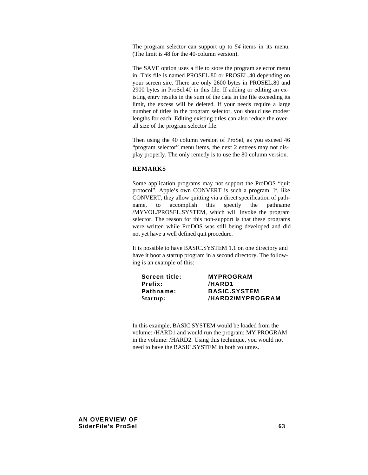The program selector can support up to *54* items in its menu. (The limit is 48 for the 40-column version).

The SAVE option uses a file to store the program selector menu in. This file is named PROSEL.80 or PROSEL.40 depending on your screen sire. There are only 2600 bytes in PROSEL.80 and 2900 bytes in ProSel.40 in this file. If adding or editing an existing entry results in the sum of the data in the file exceeding its limit, the excess will be deleted. If your needs require a large number of titles in the program selector, you should use modest lengths for each. Editing existing titles can also reduce the overall size of the program selector file.

Then using the 40 column version of ProSel, as you exceed 46 "program selector" menu items, the next 2 entrees may not display properly. The only remedy is to use the 80 column version.

#### **REMARKS**

Some application programs may not support the ProDOS "quit protocol". Apple's own CONVERT is such a program. If, like CONVERT, they allow quitting via a direct specification of pathname, to accomplish this specify the pathname /MYVOL/PROSEL.SYSTEM, which will invoke the program selector. The reason for this non-support is that these programs were written while ProDOS was still being developed and did not yet have a well defined quit procedure.

It is possible to have BASIC.SYSTEM 1.1 on one directory and have it boot a startup program in a second directory. The following is an example of this:

| <b>Screen title:</b> | <b>MYPROGRAM</b>    |
|----------------------|---------------------|
| <b>Prefix:</b>       | /HARD1              |
| Pathname:            | <b>BASIC.SYSTEM</b> |
| Startup:             | /HARD2/MYPROGRAM    |

In this example, BASIC.SYSTEM would be loaded from the volume: /HARD1 and would run the program: MY PROGRAM in the volume: /HARD2. Using this technique, you would not need to have the BASIC.SYSTEM in both volumes.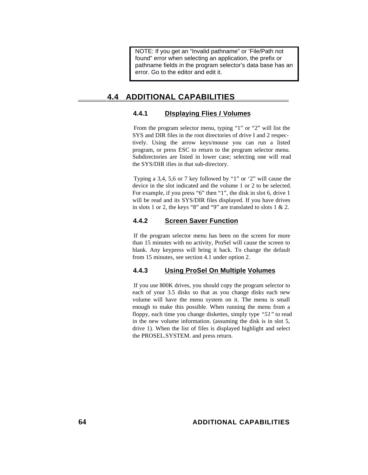NOTE: If you get an "Invalid pathname" or 'File/Path not found" error when selecting an application, the prefix or pathname fields in the program selector's data base has an error. Go to the editor and edit it.

# **4.4 ADDITIONAL CAPABILITIES**

# **4.4.1 DIsplaying Flies** *I* **Volumes**

From the program selector menu, typing "1" or "2" will list the SYS and DIR files in the root directories of drive I and 2 respectively. Using the arrow keys/mouse you can run a listed program, or press ESC to return to the program selector menu. Subdirectories are listed in lower case; selecting one will read the SYS/DIR ifies in that sub-directory.

Typing a 3,4, 5,6 or 7 key followed by "1" or '2" will cause the device in the slot indicated and the volume 1 or 2 to be selected. For example, if you press "6" then "1", the disk in slot 6, drive 1 will be read and its SYS/DIR files displayed. If you have drives in slots 1 or 2, the keys "8" and "9" are translated to slots  $1 \& 2$ .

# **4.4.2 Screen Saver Function**

If the program selector menu has been on the screen for more than 15 minutes with no activity, ProSel will cause the screen to blank. Any keypress will bring it back. To change the default from 15 minutes, see section 4.1 under option 2.

# **4.4.3 Using ProSel On Multiple Volumes**

If you use 800K drives, you should copy the program selector to each of your 3.5 disks so that as you change disks each new volume will have the menu system on it. The menu is small enough to make this possible. When running the menu from a floppy, each time you change diskettes, simply type *"51"* to read in the new volume information. (assuming the disk is in slot 5, drive 1). When the list of files is displayed highlight and select the PROSEL.SYSTEM. and press return.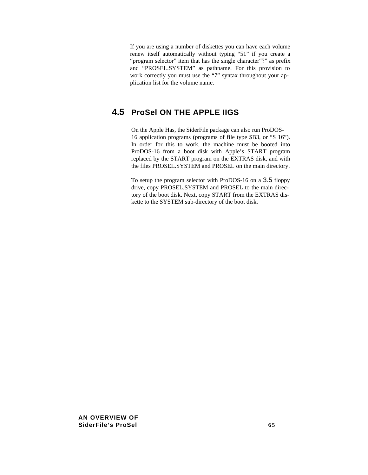If you are using a number of diskettes you can have each volume renew itself automatically without typing "51" if you create a "program selector" item that has the single character"?" as prefix and "PROSEL.SYSTEM" as pathname. For this provision to work correctly you must use the "7" syntax throughout your application list for the volume name.

# **4.5 ProSel ON THE APPLE IIGS**

On the Apple Has, the SiderFile package can also run ProDOS-16 application programs (programs of file type \$B3, or "S 16"). In order for this to work, the machine must be booted into ProDOS-16 from a boot disk with Apple's START program replaced by the START program on the EXTRAS disk, and with the files PROSEL.SYSTEM and PROSEL on the main directory.

To setup the program selector with ProDOS-16 on a 3.5 floppy drive, copy PROSEL.SYSTEM and PROSEL to the main directory of the boot disk. Next, copy START from the EXTRAS diskette to the SYSTEM sub-directory of the boot disk.

**AN OVERVIEW OF SiderFile's ProSel 65**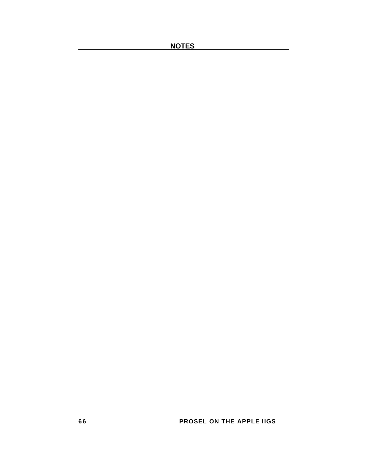**NOTES** 

**6 6 PROSEL ON THE APPLE IIGS**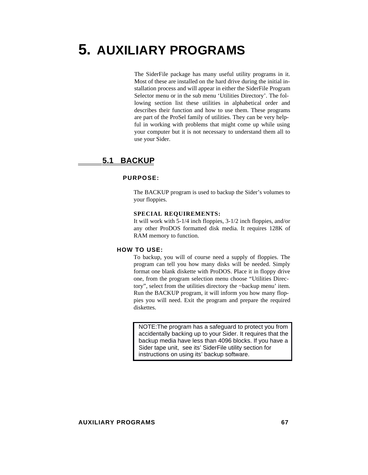# **5. AUXILIARY PROGRAMS**

The SiderFile package has many useful utility programs in it. Most of these are installed on the hard drive during the initial installation process and will appear in either the SiderFile Program Selector menu or in the sub menu 'Utilities Directory'. The following section list these utilities in alphabetical order and describes their function and how to use them. These programs are part of the ProSel family of utilities. They can be very helpful in working with problems that might come up while using your computer but it is not necessary to understand them all to use your Sider.

# **5.1 BACKUP**

# **PURPOSE:**

The BACKUP program is used to backup the Sider's volumes to your floppies.

#### **SPECIAL REQUIREMENTS:**

It will work with 5-1/4 inch floppies, 3-1/2 inch floppies, and/or any other ProDOS formatted disk media. It requires 128K of RAM memory to function.

#### **HOW TO USE:**

To backup, you will of course need a supply of floppies. The program can tell you how many disks will be needed. Simply format one blank diskette with ProDOS. Place it in floppy drive one, from the program selection menu choose "Utilities Directory", select from the utilities directory the ~backup menu' item. Run the BACKUP program, it will inform you how many floppies you will need. Exit the program and prepare the required diskettes.

NOTE: The program has a safeguard to protect you from accidentally backing up to your Sider. It requires that the backup media have less than 4096 blocks. If you have a Sider tape unit, see its' SiderFile utility section for instructions on using its' backup software.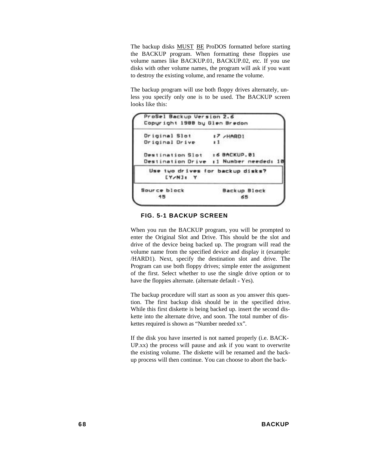The backup disks MUST BE ProDOS formatted before starting the BACKUP program. When formatting these floppies use volume names like BACKUP.01, BACKUP.02, etc. If you use disks with other volume names, the program will ask if you want to destroy the existing volume, and rename the volume.

The backup program will use both floppy drives alternately, unless you specify only one is to be used. The BACKUP screen looks like this:



**FIG. 5-1 BACKUP SCREEN**

When you run the BACKUP program, you will be prompted to enter the Original Slot and Drive. This should be the slot and drive of the device being backed up. The program will read the volume name from the specified device and display it (example: /HARD1). Next, specify the destination slot and drive. The Program can use both floppy drives; simple enter the assignment of the first. Select whether to use the single drive option or to have the floppies alternate. (alternate default = Yes).

The backup procedure will start as soon as you answer this question. The first backup disk should be in the specified drive. While this first diskette is being backed up. insert the second diskette into the alternate drive, and soon. The total number of diskettes required is shown as "Number needed xx".

If the disk you have inserted is not named properly (i.e. BACK-UP.xx) the process will pause and ask if you want to overwrite the existing volume. The diskette will be renamed and the backup process will then continue. You can choose to abort the back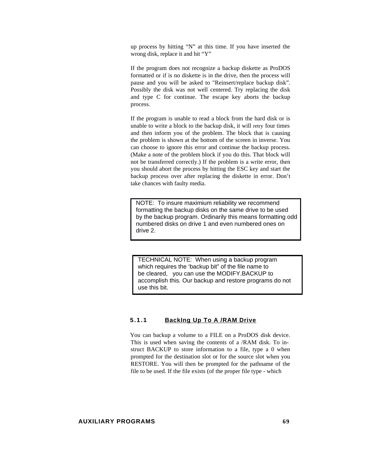up process by hitting "N" at this time. If you have inserted the wrong disk, replace it and hit "Y"

If the program does not recognize a backup diskette as ProDOS formatted or if is no diskette is in the drive, then the process will pause and you will be asked to "Reinsert/replace backup disk". Possibly the disk was not well centered. Try replacing the disk and type C for continue. The escape key aborts the backup process.

If the program is unable to read a block from the hard disk or is unable to write a block to the backup disk, it will retry four times and then inform you of the problem. The block that is causing the problem is shown at the bottom of the screen in inverse. You can choose to ignore this error and continue the backup process. (Make a note of the problem block if you do this. That block will not be transferred correctly.) If the problem is a write error, then you should abort the process by hitting the ESC key and start the backup process over after replacing the diskette in error. Don't take chances with faulty media.

NOTE: To insure maximium reliability we recommend formatting the backup disks on the same drive to be used by the backup program. Ordinarily this means formatting odd numbered disks on drive 1 and even numbered ones on drive 2.

 TECHNICAL NOTE: When using a backup program which requires the 'backup bit" of the file name to be cleared, you can use the MODIFY.BACKUP to accomplish this. Our backup and restore programs do not use this bit.

# **5.1.1 BackIng Up To A /RAM Drive**

You can backup a volume to a FILE on a ProDOS disk device. This is used when saving the contents of a /RAM disk. To instruct BACKUP to store information to a file, type a 0 when prompted for the destination slot or for the source slot when you RESTORE. You will then be prompted for the pathname of the file to be used. If the file exists (of the proper file type - which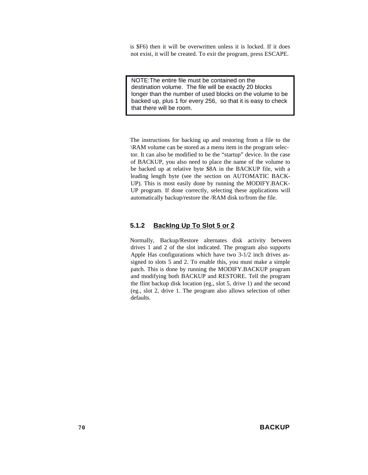is \$F6) then it will be overwritten unless it is locked. If it does not exist, it will be created. To exit the program, press ESCAPE.

NOTE: The entire file must be contained on the destination volume. The file will be exactly 20 blocks longer than the number of used blocks on the volume to be backed up, plus 1 for every 256, so that it is easy to check that there will be room.

The instructions for backing up and restoring from a file to the \RAM volume can be stored as a menu item in the program selector. It can also be modified to be the "startup" device. In the case of BACKUP, you also need to place the name of the volume to be backed up at relative byte \$8A in the BACKUP file, with a leading length byte (see the section on AUTOMATIC BACK-UP). This is most easily done by running the MODIFY.BACK-UP program. If done correctly, selecting these applications will automatically backup/restore the /RAM disk to/from the file.

# **5.1.2 BackIng Up To Slot 5 or 2**

Normally, Backup/Restore alternates disk activity between drives 1 and 2 of the slot indicated. The program also supports Apple Has configurations which have two 3-1/2 inch drives assigned to slots 5 and 2. To enable this, you must make a simple patch. This is done by running the MODIFY.BACKUP program and modifying both BACKUP and RESTORE. Tell the program the flint backup disk location (eg., slot 5, drive 1) and the second (eg., slot 2, drive 1. The program also allows selection of other defaults.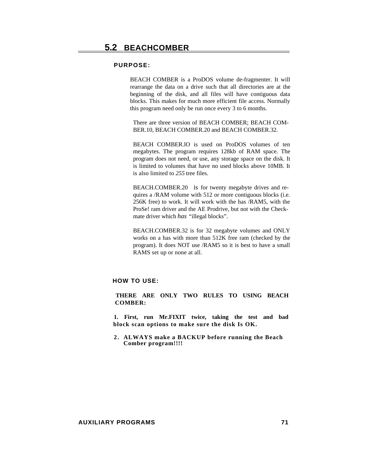BEACH COMBER is a ProDOS volume de-fragmenter. It will rearrange the data on a drive such that all directories are at the beginning of the disk, and all files will have contiguous data blocks. This makes for much more efficient file access. Normally this program need only be run once every 3 to 6 months.

There are three version of BEACH COMBER; BEACH COM-BER.10, BEACH COMBER.20 and BEACH COMBER.32.

BEACH COMBER.lO is used on ProDOS volumes of ten megabytes. The program requires 128kb of RAM space. The program does not need, or use, any storage space on the disk. It is limited to volumes that have no used blocks above 10MB. It is also limited to *255* tree files.

BEACH.COMBER.20 is for twenty megabyte drives and requires a /RAM volume with 512 or more contiguous blocks (i.e. 256K free) to work. It will work with the has /RAM5, with the ProSe! ram driver and the AE Prodrive, but not with the Checkmate driver which *has* "illegal blocks".

BEACH.COMBER.32 is for 32 megabyte volumes and ONLY works on a has with more than 512K free ram (checked by the program). It does NOT use /RAM5 so it is best to have a small RAMS set up or none at all.

# **HOW TO USE:**

## **THERE ARE ONLY TWO RULES TO USING BEACH COMBER:**

**1. First, run Mr.FIXIT twice, taking the test and bad block scan options to make sure the disk Is OK.**

**2 . ALWAYS make a BACKUP before running the Beach Comber program!!!!**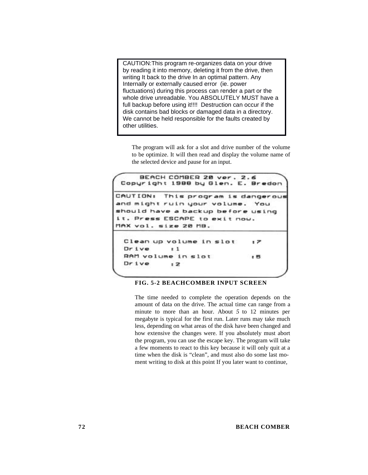CAUTION: This program re-organizes data on your drive by reading it into memory, deleting it from the drive, then writing It back to the drive In an optimal pattern. Any Internally or externally caused error (ie. power fluctuations) during this process can render a part or the whole drive unreadable. You ABSOLUTELY MUST have a full backup before using it!!!! Destruction can occur if the disk contains bad blocks or damaged data in a directory. We cannot be held responsible for the faults created by other utilities.

The program will ask for a slot and drive number of the volume to be optimize. It will then read and display the volume name of the selected device and pause for an input.

```
BEACH COMBER 28 ver. 2.6
 Copyright 1988 by Glen. E. Bredon
CAUTION:
          This program is dangerous
and might ruin your volume.
                               You
should have a backup before using
it. Press ESCAPE to exit now.
MAX vol. size 20 MB.
 Clean up volume in slot
                              : 2
 Drive
            1RAM volume in slot
                              .5Dr<sub>1</sub>: 2
```
#### **FIG. 5-2 BEACHCOMBER INPUT SCREEN**

The time needed to complete the operation depends on the amount of data on the drive. The actual time can range from a minute to more than an hour. About *5* to 12 minutes per megabyte is typical for the first run. Later runs may take much less, depending on what areas of the disk have been changed and how extensive the changes were. If you absolutely must abort the program, you can use the escape key. The program will take a few moments to react to this key because it will only quit at a time when the disk is "clean", and must also do some last moment writing to disk at this point If you later want to continue,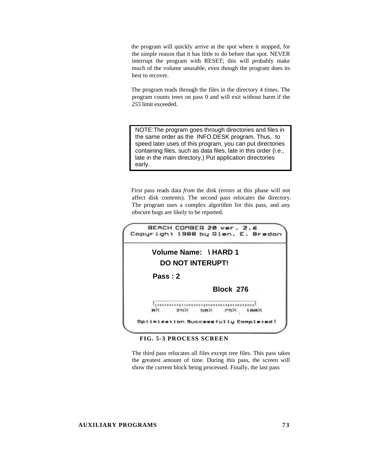the program will quickly arrive at the spot where it stopped, for the simple reason that it has little to do before that spot. NEVER interrupt the program with RESET; this will probably make much of the volume unusable, even though the program does its best to recover.

The program reads through the files in the directory 4 times. The program counts trees on pass 0 and will exit without harm if the *255* limit exceeded.

NOTE: The program goes through directories and files in the same order as the INFO.DESK program. Thus, to speed later uses of this program, you can put directories containing files, such as data files, late in this order (i.e., late in the main directory.) Put application directories early.

First pass reads data *from* the disk (errors at this phase will not affect disk contents). The second pass relocates the directory. The program uses a complex algorithm for this pass, and any obscure bugs are likely to be reported.



## **FIG. 5-3 PROCESS SCREEN**

The third pass relocates all files except tree files. This pass takes the greatest amount of time. During this pass, the screen will show the current block being processed. Finally, the last pass

#### **AUXILIARY PROGRAMS 73**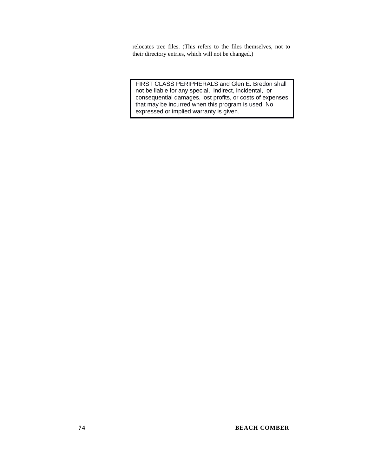relocates tree files. (This refers to the files themselves, not to their directory entries, which will not be changed.)

 FIRST CLASS PERIPHERALS and Glen E. Bredon shall not be liable for any special, indirect, incidental, or consequential damages, lost profits, or costs of expenses that may be incurred when this program is used. No expressed or implied warranty is given.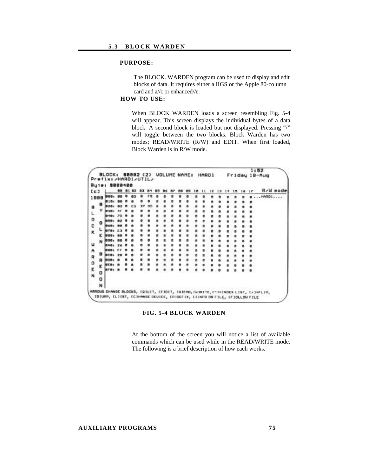The BLOCK. WARDEN program can be used to display and edit blocks of data. It requires either a IIGS or the Apple 80-column card and a//c or enhanced//e.

# **HOW TO USE:**

When BLOCK WARDEN loads a screen resembling Fig. 5-4 will appear. This screen displays the individual bytes of a data block. A second block is loaded but not displayed. Pressing "/" will toggle between the two blocks. Block Warden has two modes; READ/WRITE (R/W) and EDIT. When first loaded, Block Warden is in R/W mode.

| Ec J   | \$888188 |  |  |  |  |  |  |  |  |  | Re Hi    | mod |
|--------|----------|--|--|--|--|--|--|--|--|--|----------|-----|
| 1988   |          |  |  |  |  |  |  |  |  |  | 1.100001 |     |
|        |          |  |  |  |  |  |  |  |  |  |          |     |
| в      | 828      |  |  |  |  |  |  |  |  |  |          |     |
|        | 838      |  |  |  |  |  |  |  |  |  |          |     |
| ۰      | 医术语      |  |  |  |  |  |  |  |  |  |          |     |
| a      |          |  |  |  |  |  |  |  |  |  |          |     |
|        |          |  |  |  |  |  |  |  |  |  |          |     |
| κ      |          |  |  |  |  |  |  |  |  |  |          |     |
|        |          |  |  |  |  |  |  |  |  |  |          |     |
| N      |          |  |  |  |  |  |  |  |  |  |          |     |
|        |          |  |  |  |  |  |  |  |  |  |          |     |
| в      |          |  |  |  |  |  |  |  |  |  |          |     |
|        |          |  |  |  |  |  |  |  |  |  |          |     |
| ۰      |          |  |  |  |  |  |  |  |  |  |          |     |
| ε      |          |  |  |  |  |  |  |  |  |  |          |     |
| o      |          |  |  |  |  |  |  |  |  |  |          |     |
| N<br>٥ |          |  |  |  |  |  |  |  |  |  |          |     |
| N      |          |  |  |  |  |  |  |  |  |  |          |     |

**FIG. 5-4 BLOCK WARDEN**

At the bottom of the screen you will notice a list of available commands which can be used while in the READ/WRITE mode. The following is a brief description of how each works.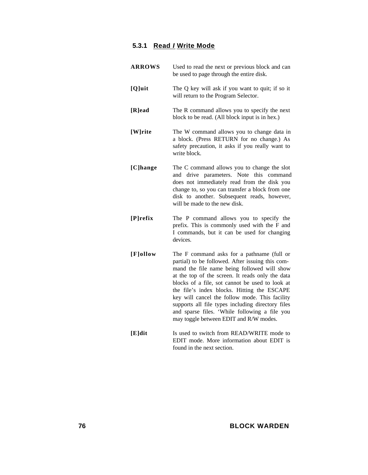# **5.3.1 Read** *I* **Write Mode**

| <b>ARROWS</b> | Used to read the next or previous block and can<br>be used to page through the entire disk.                                                                                                                                                                                                                                                                                                                                                                                                           |
|---------------|-------------------------------------------------------------------------------------------------------------------------------------------------------------------------------------------------------------------------------------------------------------------------------------------------------------------------------------------------------------------------------------------------------------------------------------------------------------------------------------------------------|
| [Q]uit        | The Q key will ask if you want to quit; if so it<br>will return to the Program Selector.                                                                                                                                                                                                                                                                                                                                                                                                              |
| [R]ead        | The R command allows you to specify the next<br>block to be read. (All block input is in hex.)                                                                                                                                                                                                                                                                                                                                                                                                        |
| [W]rite       | The W command allows you to change data in<br>a block. (Press RETURN for no change.) As<br>safety precaution, it asks if you really want to<br>write block.                                                                                                                                                                                                                                                                                                                                           |
| [C]hange      | The C command allows you to change the slot<br>and drive parameters. Note this command<br>does not immediately read from the disk you<br>change to, so you can transfer a block from one<br>disk to another. Subsequent reads, however,<br>will be made to the new disk.                                                                                                                                                                                                                              |
| [P]refix      | The P command allows you to specify the<br>prefix. This is commonly used with the F and<br>I commands, but it can be used for changing<br>devices.                                                                                                                                                                                                                                                                                                                                                    |
| [F]ollow      | The F command asks for a pathname (full or<br>partial) to be followed. After issuing this com-<br>mand the file name being followed will show<br>at the top of the screen. It reads only the data<br>blocks of a file, sot cannot be used to look at<br>the file's index blocks. Hitting the ESCAPE<br>key will cancel the follow mode. This facility<br>supports all file types including directory files<br>and sparse files. 'While following a file you<br>may toggle between EDIT and R/W modes. |
| [E]dit        | Is used to switch from READ/WRITE mode to<br>EDIT mode. More information about EDIT is<br>found in the next section.                                                                                                                                                                                                                                                                                                                                                                                  |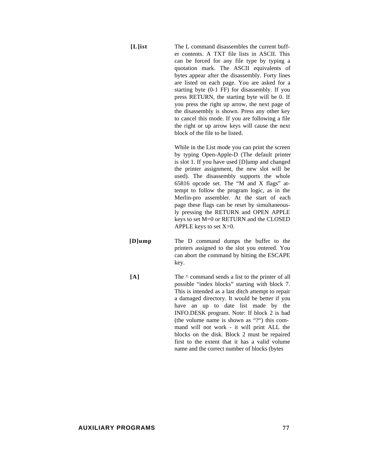**[L]ist** The L command disassembles the current buffer contents. A TXT file lists in ASCII. This can be forced for any file type by typing a quotation mark. The ASCII equivalents of bytes appear after the disassembly. Forty lines are listed on each page. You are asked for a starting byte (0-1 FF) for disassembly. If you press RETURN, the starting byte will be 0. If you press the right up arrow, the next page of the disassembly is shown. Press any other key to cancel this mode. If you are following a file the right or up arrow keys will cause the next block of the file to be listed.

> While in the List mode you can print the screen by typing Open-Apple-D (The default printer is slot 1. If you have used [D]ump and changed the printer assignment, the new slot will be used). The disassembly supports the whole 65816 opcode set. The "M and X flags" attempt to follow the program logic, as in the Merlin-pro assembler. At the start of each page these flags can be reset by simultaneously pressing the RETURN and OPEN APPLE keys to set M=0 or RETURN and the CLOSED APPLE keys to set X=0.

- **[D]ump** The D command dumps the buffer to the printers assigned to the slot you entered. You can abort the command by hitting the ESCAPE key.
- **[A]** The ^ command sends a list to the printer of all possible "index blocks" starting with block 7. This is intended as a last ditch attempt to repair a damaged directory. It would be better if you have an up to date list made by the INFO.DESK program. Note: If block 2 is bad (the volume name is shown as "?") this command will not work - it will print ALL the blocks on the disk. Block 2 must be repaired first to the extent that it has a valid volume name and the correct number of blocks (bytes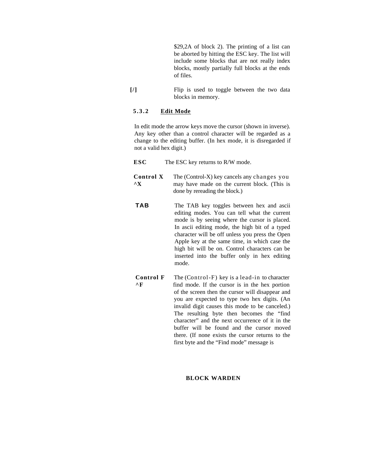\$29,2A of block 2). The printing of a list can be aborted by hitting the ESC key. The list will include some blocks that are not really index blocks, mostly partially full blocks at the ends of files.

**[/]** Flip is used to toggle between the two data blocks in memory.

#### **5.3.2 Edit Mode**

In edit mode the arrow keys move the cursor (shown in inverse). Any key other than a control character will be regarded as a change to the editing buffer. (In hex mode, it is disregarded if not a valid hex digit.)

| ESC | The ESC key returns to R/W mode. |
|-----|----------------------------------|
|-----|----------------------------------|

**Control X** The (Control-X) key cancels any changes you **<sup>^</sup>X** may have made on the current block. (This is done by rereading the block.)

- **TAB** The TAB key toggles between hex and ascii editing modes. You can tell what the current mode is by seeing where the cursor is placed. In ascii editing mode, the high bit of a typed character will be off unless you press the Open Apple key at the same time, in which case the high bit will be on. Control characters can be inserted into the buffer only in hex editing mode.
- **Control F** The (Control-F) key is a lead-in to character  $\wedge$ **F** find mode. If the cursor is in the hex portion find mode. If the cursor is in the hex portion of the screen then the cursor will disappear and you are expected to type two hex digits. (An invalid digit causes this mode to be canceled.) The resulting byte then becomes the "find character" and the next occurrence of it in the buffer will be found and the cursor moved there. (If none exists the cursor returns to the first byte and the "Find mode" message is

#### **BLOCK WARDEN**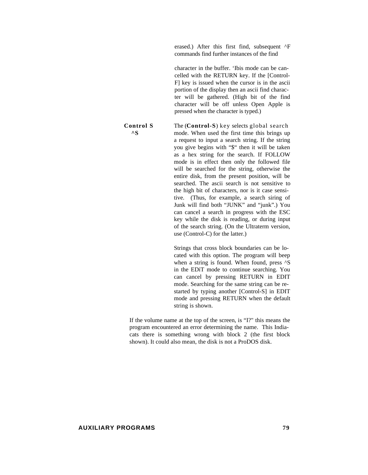erased.) After this first find, subsequent ^F commands find further instances of the find

character in the buffer. 'Ibis mode can be cancelled with the RETURN key. If the [Control-F] key is issued when the cursor is in the ascii portion of the display then an ascii find character will be gathered. (High bit of the find character will be off unless Open Apple is pressed when the character is typed.)

## **Control S** The (**Control-S**) key selects global search **^S** mode. When used the first time this brings up a request to input a search string. If the string you give begins with "\$" then it will be taken as a hex string for the search. If FOLLOW mode is in effect then only the followed file

will be searched for the string, otherwise the entire disk, from the present position, will be searched. The ascii search is not sensitive to the high bit of characters, nor is it case sensitive. (Thus, for example, a search siring of Junk will find both "JUNK" and "junk".) You can cancel a search in progress with the ESC key while the disk is reading, or during input of the search string. (On the Ultraterm version, use (Control-C) for the latter.)

Strings that cross block boundaries can be located with this option. The program will beep when a string is found. When found, press  $\triangle$ S in the EDiT mode to continue searching. You can cancel by pressing RETURN in EDIT mode. Searching for the same string can be restarted by typing another [Control-S] in EDIT mode and pressing RETURN when the default string is shown.

If the volume name at the top of the screen, is "I?" this means the program encountered an error determining the name. This Indiacats there is something wrong with block 2 (the first block shown). It could also mean, the disk is not a ProDOS disk.

#### **AUXILIARY PROGRAMS 79**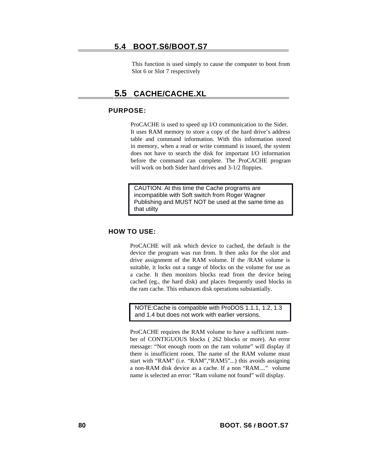# **5.4 BOOT.S6/BOOT.S7**

This function is used simply to cause the computer to boot from Slot 6 or Slot 7 respectively

# **5.5 CACHE/CACHE.XL**

## **PURPOSE:**

ProCACHE is used to speed up I/O communication to the Sider. It uses RAM memory to store a copy of the hard drive's address table and command information. With this information stored in memory, when a read or write command is issued, the system does not have to search the disk for important I/O information before the command can complete. The ProCACHE program will work on both Sider hard drives and 3-1/2 floppies.

CAUTION: At this time the Cache programs are incompatible with Soft switch from Roger Wagner Publishing and MUST NOT be used at the same time as that utilty

# **HOW TO USE:**

ProCACHE will ask which device to cached, the default is the device the program was run from. It then asks for the slot and drive assignment of the RAM volume. If the /RAM volume is suitable, it locks out a range of blocks on the volume for use as a cache. It then monitors blocks read from the device being cached (eg., the hard disk) and places frequently used blocks in the ram cache. This enhances disk operations substantially.

NOTE: Cache is compatible with ProDOS 1.1.1, 1.2, 1.3 and 1.4 but does not work with earlier versions.

ProCACHE requires the RAM volume to have a sufficient number of CONTIGUOUS blocks ( 262 blocks or more). An error message: "Not enough room on the ram volume" will display if there is insufficient room. The name of the RAM volume must start with "RAM" (i.e. "RAM","RAM5"...) this avoids assigning a non-RAM disk device as a cache. If a non "RAM...." volume name is selected an error: "Ram volume not found" will display.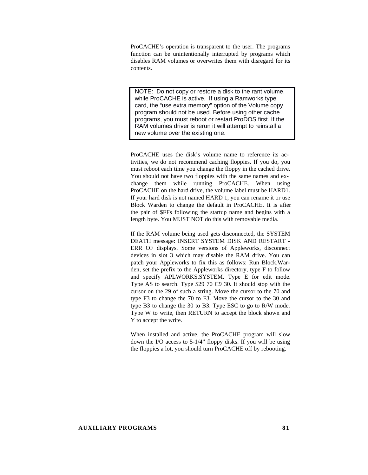ProCACHE's operation is transparent to the user. The programs function can be unintentionally interrupted by programs which disables RAM volumes or overwrites them with disregard for its contents.

 while ProCACHE is active. If using a Ramworks type card, the "use extra memory" option of the Volume copy program should not be used. Before using other cache programs, you must reboot or restart ProDOS first. If the RAM volumes driver is rerun it will attempt to reinstall a new volume over the existing one.

ProCACHE uses the disk's volume name to reference its activities, we do not recommend caching floppies. If you do, you must reboot each time you change the floppy in the cached drive. You should not have two floppies with the same names and exchange them while running ProCACHE. When using ProCACHE on the hard drive, the volume label must be HARD1. If your hard disk is not named HARD 1, you can rename it or use Block Warden to change the default in ProCACHE. It is after the pair of \$FFs following the startup name and begins with a length byte. You MUST NOT do this with removable media.

If the RAM volume being used gets disconnected, the SYSTEM DEATH message: INSERT SYSTEM DISK AND RESTART - ERR OF displays. Some versions of Appleworks, disconnect devices in slot 3 which may disable the RAM drive. You can patch your Appleworks to fix this as follows: Run Block.Warden, set the prefix to the Appleworks directory, type F to follow and specify APLWORKS.SYSTEM. Type E for edit mode. Type AS to search. Type \$29 70 C9 30. It should stop with the cursor on the 29 of such a string. Move the cursor to the 70 and type F3 to change the 70 to F3. Move the cursor to the 30 and type B3 to change the 30 to B3. Type ESC to go to R/W mode. Type W to write, then RETURN to accept the block shown and Y to accept the write. **ANTE:** Do not copy or restore a disk to the rant volume.<br>
Notile ProCACHE is active. If using a Ramwonks type<br>
card, the "sease sext an memory" coption of the Volume copy<br>
program should not be used. Before using other ca

When installed and active, the ProCACHE program will slow down the I/O access to 5-1/4" floppy disks. If you will be using the floppies a lot, you should turn ProCACHE off by rebooting.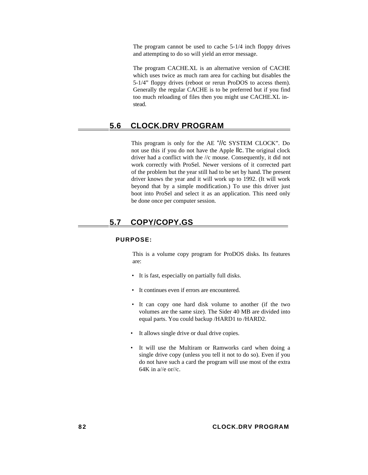The program cannot be used to cache 5-1/4 inch floppy drives and attempting to do so will yield an error message.

The program CACHE.XL is an alternative version of CACHE which uses twice as much ram area for caching but disables the 5-1/4" floppy drives (reboot or rerun ProDOS to access them). Generally the regular CACHE is to be preferred but if you find too much reloading of files then you might use CACHE.XL instead.

# **5.6 CLOCK.DRV PROGRAM**

This program is only for the AE "//c SYSTEM CLOCK". Do not use this if you do not have the Apple llc. The original clock driver had a conflict with the //c mouse. Consequently, it did not work correctly with ProSel. Newer versions of it corrected part of the problem but the year still had to be set by hand. The present driver knows the year and it will work up to 1992. (It will work beyond that by a simple modification.) To use this driver just boot into ProSel and select it as an application. This need only be done once per computer session.

# **5.7 COPY/COPY.GS**

## **PURPOSE:**

This is a volume copy program for ProDOS disks. Its features are:

- It is fast, especially on partially full disks.
- It continues even if errors are encountered.
- It can copy one hard disk volume to another (if the two volumes are the same size). The Sider 40 MB are divided into equal parts. You could backup /HARD1 to /HARD2.
- It allows single drive or dual drive copies.
- It will use the Multiram or Ramworks card when doing a single drive copy (unless you tell it not to do so). Even if you do not have such a card the program will use most of the extra 64K in  $a/(e$  or//c.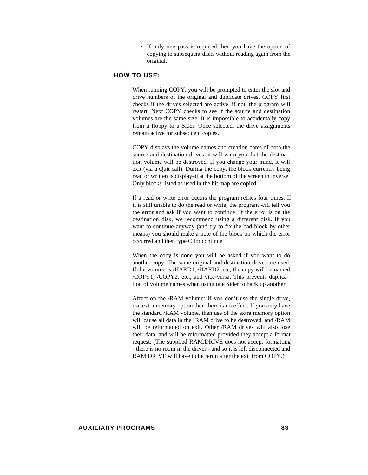• If only one pass is required then you have the option of copying to subsequent disks without reading again from the original.

## **HOW TO USE:**

When running COPY, you will be prompted to enter the slot and drive numbers of the original and duplicate drives. COPY first checks if the drives selected are active, if not, the program will restart. Next COPY checks to see if the source and destination volumes are the same size. It is impossible to accidentally copy from a floppy to a Sider. Once selected, the drive assignments remain active for subsequent copies.

COPY displays the volume names and creation dates of both the source and destination drives, it will warn you that the destination volume will be destroyed. If you change your mind, it will exit (via a Quit call). During the copy, the block currently being read or written is displayed at the bottom of the screen in inverse. Only blocks listed as used in the bit map are copied.

If a read or write error occurs the program retries four times. If it is still unable to do the read or write, the program will tell you the error and ask if you want to continue. If the error is on the destination disk, we recommend using a different disk. If you want to continue anyway (and try to fix the bad block by other means) you should make a note of the block on which the error occurred and then type C for continue.

When the copy is done you will be asked if you want to do another copy. The same original and destination drives are used. If the volume is /HARD1, /HARD2, etc, the copy will be named /COPY1, /COPY2, etc., and vice-versa. This prevents duplication of volume names when using one Sider to back up another.

Affect on the /RAM volume: If you don't use the single drive, use extra memory option then there is no effect. If you only have the standard /RAM volume, then use of the extra memory option will cause all data in the [RAM drive to be destroyed, and /RAM will be reformatted on exit. Other /RAM drives will also lose their data, and will be reformatted provided they accept a format request. (The supplied RAM.DRIVE does not accept formatting - there is no room in the driver - and so it is left disconnected and RAM.DRIVE will have to be rerun after the exit from COPY.)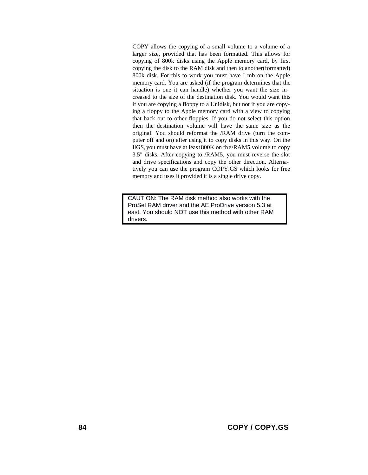COPY allows the copying of a small volume to a volume of a larger size, provided that has been formatted. This allows for copying of 800k disks using the Apple memory card, by first copying the disk to the RAM disk and then to another(formatted) 800k disk. For this to work you must have I mb on the Apple memory card. You are asked (if the program determines that the situation is one it can handle) whether you want the size increased to the size of the destination disk. You would want this if you are copying a floppy to a Unidisk, but not if you are copying a floppy to the Apple memory card with a view to copying that back out to other floppies. If you do not select this option then the destination volume will have the same size as the original. You should reformat the /RAM drive (turn the computer off and on) after using it to copy disks in this way. On the IlGS, you must have at least 800K on the /RAM5 volume to copy 3.5" disks. After copying to /RAM5, you must reverse the slot and drive specifications and copy the other direction. Alternatively you can use the program COPY.GS which looks for free memory and uses it provided it is a single drive copy.

 CAUTION: The RAM disk method also works with the ProSel RAM driver and the AE ProDrive version 5.3 at east. You should NOT use this method with other RAM drivers.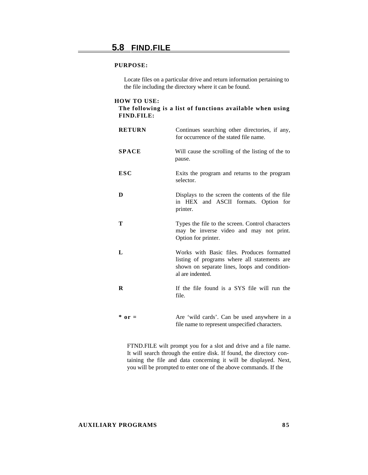Locate files on a particular drive and return information pertaining to the file including the directory where it can be found.

#### **HOW TO USE:**

## **The following is a list of functions available when using FIND.FILE:**

| <b>RETURN</b> | Continues searching other directories, if any,<br>for occurrence of the stated file name.                                                                       |
|---------------|-----------------------------------------------------------------------------------------------------------------------------------------------------------------|
| <b>SPACE</b>  | Will cause the scrolling of the listing of the to<br>pause.                                                                                                     |
| <b>ESC</b>    | Exits the program and returns to the program<br>selector.                                                                                                       |
| D             | Displays to the screen the contents of the file<br>in HEX and ASCII formats. Option for<br>printer.                                                             |
| Т             | Types the file to the screen. Control characters<br>may be inverse video and may not print.<br>Option for printer.                                              |
| L             | Works with Basic files. Produces formatted<br>listing of programs where all statements are<br>shown on separate lines, loops and condition-<br>al are indented. |
| R             | If the file found is a SYS file will run the<br>file.                                                                                                           |
| $*$ or =      | Are 'wild cards'. Can be used anywhere in a<br>file name to represent unspecified characters.                                                                   |

FTND.FILE wilt prompt you for a slot and drive and a file name. It will search through the entire disk. If found, the directory containing the file and data concerning it will be displayed. Next, you will be prompted to enter one of the above commands. If the

## **AUXILIARY PROGRAMS 85**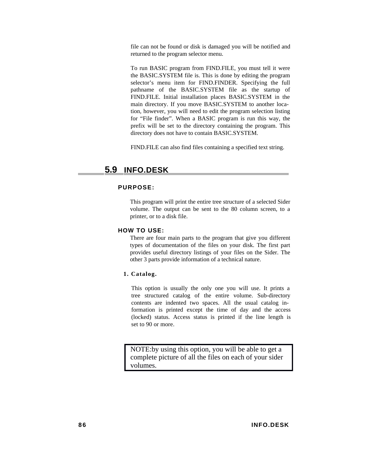file can not be found or disk is damaged you will be notified and returned to the program selector menu.

To run BASIC program from FIND.FILE, you must tell it were the BASIC.SYSTEM file is. This is done by editing the program selector's menu item for FIND.FINDER. Specifying the full pathname of the BASIC.SYSTEM file as the startup of FIND.FILE. Initial installation places BASIC.SYSTEM in the main directory. If you move BASIC.SYSTEM to another location, however, you will need to edit the program selection listing for "File finder". When a BASIC program is run this way, the prefix will be set to the directory containing the program. This directory does not have to contain BASIC.SYSTEM.

FIND.FILE can also find files containing a specified text string.

# **5.9 INFO.DESK**

#### **PURPOSE:**

This program will print the entire tree structure of a selected Sider volume. The output can be sent to the 80 column screen, to a printer, or to a disk file.

#### **HOW TO USE:**

There are four main parts to the program that give you different types of documentation of the files on your disk. The first part provides useful directory listings of your files on the Sider. The other 3 parts provide information of a technical nature.

#### **1. Catalog.**

This option is usually the only one you will use. It prints a tree structured catalog of the entire volume. Sub-directory contents are indented two spaces. All the usual catalog information is printed except the time of day and the access (locked) status. Access status is printed if the line length is set to 90 or more.

NOTE: by using this option, you will be able to get a complete picture of all the files on each of your sider volumes.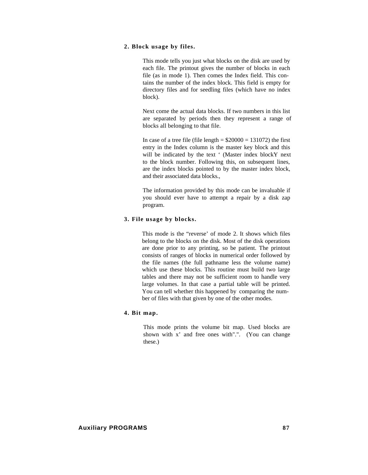## **2. Block usage by files.**

This mode tells you just what blocks on the disk are used by each file. The printout gives the number of blocks in each file (as in mode 1). Then comes the Index field. This contains the number of the index block. This field is empty for directory files and for seedling files (which have no index block).

Next come the actual data blocks. If two numbers in this list are separated by periods then they represent a range of blocks all belonging to that file.

In case of a tree file (file length  $=$  \$20000  $=$  131072) the first entry in the Index column is the master key block and this will be indicated by the text ' (Master index blockY next to the block number. Following this, on subsequent lines, are the index blocks pointed to by the master index block, and their associated data blocks.,

The information provided by this mode can be invaluable if you should ever have to attempt a repair by a disk zap program.

#### **3. File usage by blocks.**

This mode is the "reverse' of mode 2. It shows which files belong to the blocks on the disk. Most of the disk operations are done prior to any printing, so be patient. The printout consists of ranges of blocks in numerical order followed by the file names (the full pathname less the volume name) which use these blocks. This routine must build two large tables and there may not be sufficient room to handle very large volumes. In that case a partial table will be printed. You can tell whether this happened by comparing the number of files with that given by one of the other modes.

# **4. Bit map.**

This mode prints the volume bit map. Used blocks are shown with x' and free ones with".". (You can change these.)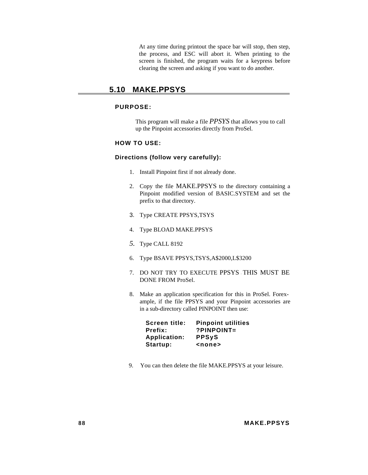At any time during printout the space bar will stop, then step, the process, and ESC will abort it. When printing to the screen is finished, the program waits for a keypress before clearing the screen and asking if you want to do another.

# **5.10 MAKE.PPSYS**

# **PURPOSE:**

This program will make a file *PPSYS* that allows you to call up the Pinpoint accessories directly from ProSel.

# **HOW TO USE:**

## **Directions (follow very carefully):**

- 1. Install Pinpoint first if not already done.
- 2. Copy the file MAKE.PPSYS to the directory containing a Pinpoint modified version of BASIC.SYSTEM and set the prefix to that directory.
- 3. Type CREATE PPSYS,TSYS
- 4. Type BLOAD MAKE.PPSYS
- *5.* Type CALL 8192
- 6. Type BSAVE PPSYS,TSYS,A\$2000,L\$3200
- 7. DO NOT TRY TO EXECUTE PPSYS THIS MUST BE DONE FROM ProSel.
- 8. Make an application specification for this in ProSel. Forexample, if the file PPSYS and your Pinpoint accessories are in a sub-directory called PINPOINT then use:

| Screen title:       | <b>Pinpoint utilities</b> |
|---------------------|---------------------------|
| Prefix:             | $?$ PINPOINT=             |
| <b>Application:</b> | <b>PPSyS</b>              |
| Startup:            | <none></none>             |

9. You can then delete the file MAKE.PPSYS at your leisure.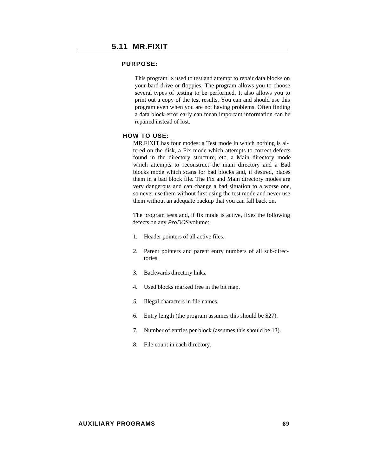This program is used to test and attempt to repair data blocks on your bard drive or floppies. The program allows you to choose several types of testing to be performed. It also allows you to print out a copy of the test results. You can and should use this program even when you are not having problems. Often finding a data block error early can mean important information can be repaired instead of lost.

#### **HOW TO USE:**

MR.FIXIT has four modes: a Test mode in which nothing is altered on the disk, a Fix mode which attempts to correct defects found in the directory structure, etc, a Main directory mode which attempts to reconstruct the main directory and a Bad blocks mode which scans for bad blocks and, if desired, places them in a bad block file. The Fix and Main directory modes are very dangerous and can change a bad situation to a worse one, so never use them without first using the test mode and never use them without an adequate backup that you can fall back on.

The program tests and, if fix mode is active, fixes the following defects on any *ProDOS* volume:

- 1. Header pointers of all active files.
- 2. Parent pointers and parent entry numbers of all sub-directories.
- 3. Backwards directory links.
- 4. Used blocks marked free in the bit map.
- *5.* Illegal characters in file names.
- 6. Entry length (the program assumes this should be \$27).
- 7. Number of entries per block (assumes this should be 13).
- 8. File count in each directory.

# **AUXILIARY PROGRAMS 89**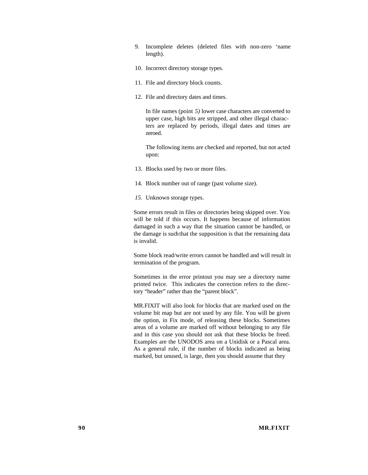- 9. Incomplete deletes (deleted files with non-zero 'name length).
- 10. Incorrect directory storage types.
- 11. File and directory block counts.
- 12. File and directory dates and times.

In file names (point *5)* lower case characters are converted to upper case, high bits are stripped, and other illegal characters are replaced by periods, illegal dates and times are zeroed.

The following items are checked and reported, but not acted upon:

- 13. Blocks used by two or more files.
- 14. Block number out of range (past volume size).
- *15.* Unknown storage types.

Some errors result in files or directories being skipped over. You will be told if this occurs. It happens because of information damaged in such a way that the situation cannot be handled, or the damage is such that the supposition is that the remaining data is invalid.

Some block read/write errors cannot be handled and will result in termination of the program.

Sometimes in the error printout you may see a directory name printed twice. This indicates the correction refers to the directory "header" rather than the "parent block".

MR.FIXIT will also look for blocks that are marked used on the volume bit map but are not used by any file. You will be given the option, in Fix mode, of releasing these blocks. Sometimes areas of a volume are marked off without belonging to any file and in this case you should not ask that these blocks be freed. Examples are the UNODOS area on a Unidisk or a Pascal area. As a general rule, if the number of blocks indicated as being marked, but unused, is large, then you should assume that they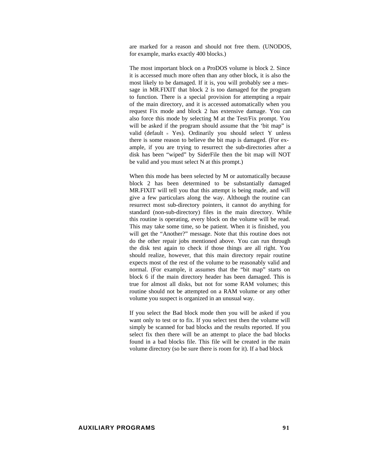are marked for a reason and should not free them. (UNODOS, for example, marks exactly 400 blocks.)

The most important block on a ProDOS volume is block 2. Since it is accessed much more often than any other block, it is also the most likely to be damaged. If it is, you will probably see a message in MR.FIXIT that block 2 is too damaged for the program to function. There is a special provision for attempting a repair of the main directory, and it is accessed automatically when you request Fix mode and block 2 has extensive damage. You can also force this mode by selecting M at the Test/Fix prompt. You will be asked if the program should assume that the 'bit map" is valid (default = Yes). Ordinarily you should select Y unless there is some reason to believe the bit map is damaged. (For example, if you are trying to resurrect the sub-directories after a disk has been "wiped" by SiderFile then the bit map will NOT be valid and you must select N at this prompt.)

When this mode has been selected by M or automatically because block 2 has been determined to be substantially damaged MR.FIXIT will tell you that this attempt is being made, and will give a few particulars along the way. Although the routine can resurrect most sub-directory pointers, it cannot do anything for standard (non-sub-directory) files in the main directory. While this routine is operating, every block on the volume will be read. This may take some time, so be patient. When it is finished, you will get the "Another?" message. Note that this routine does not do the other repair jobs mentioned above. You can run through the disk test again to check if those things are all right. You should realize, however, that this main directory repair routine expects most of the rest of the volume to be reasonably valid and normal. (For example, it assumes that the "bit map" starts on block 6 if the main directory header has been damaged. This is true for almost all disks, but not for some RAM volumes; this routine should not be attempted on a RAM volume or any other volume you suspect is organized in an unusual way.

If you select the Bad block mode then you will be asked if you want only to test or to fix. If you select test then the volume will simply be scanned for bad blocks and the results reported. If you select fix then there will be an attempt to place the bad blocks found in a bad blocks file. This file will be created in the main volume directory (so be sure there is room for it). If a bad block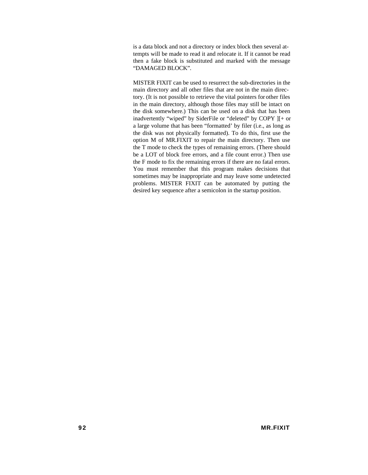is a data block and not a directory or index block then several attempts will be made to read it and relocate it. If it cannot be read then a fake block is substituted and marked with the message "DAMAGED BLOCK".

MISTER FIXIT can be used to resurrect the sub-directories in the main directory and all other files that are not in the main directory. (It is not possible to retrieve the vital pointers for other files in the main directory, although those files may still be intact on the disk somewhere.) This can be used on a disk that has been inadvertently "wiped" by SiderFile or "deleted" by COPY ][+ or a large volume that has been "formatted' by filer (i.e., as long as the disk was not physically formatted). To do this, first use the option M of MR.FIXIT to repair the main directory. Then use the T mode to check the types of remaining errors. (There should be a LOT of block free errors, and a file count error.) Then use the F mode to fix the remaining errors if there are no fatal errors. You must remember that this program makes decisions that sometimes may be inappropriate and may leave some undetected problems. MISTER FIXIT can be automated by putting the desired key sequence after a semicolon in the startup position.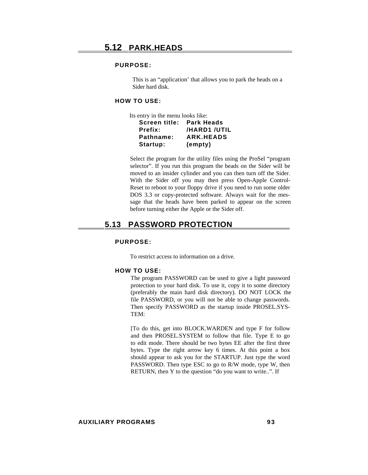This is an "application' that allows you to park the heads on a Sider hard disk.

# **HOW TO USE:**

| Its entry in the menu looks like: |                  |
|-----------------------------------|------------------|
| Screen title: Park Heads          |                  |
| Prefix:                           | /HARD1 /UTIL     |
| Pathname:                         | <b>ARK.HEADS</b> |
| Startup:                          | (empty)          |

Select the program for the utility files using the ProSel "program selector". If you run this program the beads on the Sider will be moved to an insider cylinder and you can then turn off the Sider. With the Sider off you may then press Open-Apple Control-Reset to reboot to your floppy drive if you need to run some older DOS 3.3 or copy-protected software. Always wait for the message that the heads have been parked to appear on the screen before turning either the Apple or the Sider off.

# **5.13 PASSWORD PROTECTION**

#### **PURPOSE:**

To restrict access to information on a drive.

#### **HOW TO USE:**

The program PASSWORD can be used to give a light password protection to your hard disk. To use it, copy it to some directory (preferably the main hard disk directory). DO NOT LOCK the file PASSWORD, or you will not be able to change passwords. Then specify PASSWORD as the startup inside PROSEL.SYS-TEM:

[To do this, get into BLOCK.WARDEN and type F for follow and then PROSEL.SYSTEM to follow that file. Type E to go to edit mode. There should be two bytes EE after the first three bytes. Type the right arrow key 6 times. At this point a box should appear to ask you for the STARTUP. Just type the word PASSWORD. Then type ESC to go to R/W mode, type W, then RETURN, then Y to the question "do you want to write..". If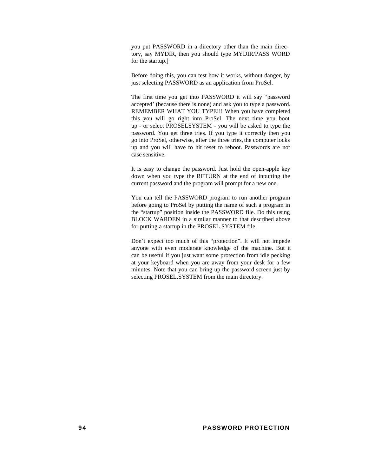you put PASSWORD in a directory other than the main directory, say MYDIR, then you should type MYDIR/PASS WORD for the startup.]

Before doing this, you can test how it works, without danger, by just selecting PASSWORD as an application from ProSel.

The first time you get into PASSWORD it will say "password accepted' (because there is none) and ask you to type a password. REMEMBER WHAT YOU TYPE!!! When you have completed this you will go right into ProSel. The next time you boot up - or select PROSELSYSTEM - you will be asked to type the password. You get three tries. If you type it correctly then you go into ProSel, otherwise, after the three tries, the computer locks up and you will have to hit reset to reboot. Passwords are not case sensitive.

It is easy to change the password. Just hold the open-apple key down when you type the RETURN at the end of inputting the current password and the program will prompt for a new one.

You can tell the PASSWORD program to run another program before going to ProSel by putting the name of such a program in the "startup" position inside the PASSWORD file. Do this using BLOCK WARDEN in a similar manner to that described above for putting a startup in the PROSEL.SYSTEM file.

Don't expect too much of this "protection". It will not impede anyone with even moderate knowledge of the machine. But it can be useful if you just want some protection from idle pecking at your keyboard when you are away from your desk for a few minutes. Note that you can bring up the password screen just by selecting PROSEL.SYSTEM from the main directory.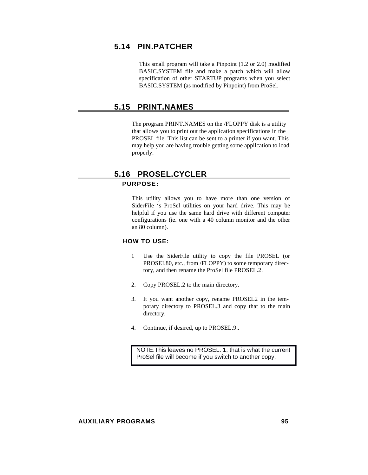# **5.14 PIN.PATCHER**

This small program will take a Pinpoint (1.2 or 2.0) modified BASIC.SYSTEM file and make a patch which will allow specification of other STARTUP programs when you select BASIC.SYSTEM (as modified by Pinpoint) from ProSel.

# **5.15 PRINT.NAMES**

The program PRINT.NAMES on the /FLOPPY disk is a utility that allows you to print out the application specifications in the PROSEL file. This list can be sent to a printer if you want. This may help you are having trouble getting some appilcation to load properly.

# **5.16 PROSEL.CYCLER**

# **PURPOSE:**

This utility allows you to have more than one version of SiderFile 's ProSel utilities on your hard drive. This may be helpful if you use the same hard drive with different computer configurations (ie. one with a 40 column monitor and the other an 80 column).

# **HOW TO USE:**

- 1 Use the SiderFile utility to copy the file PROSEL (or PROSEI.80, etc., from /FLOPPY) to some temporary directory, and then rename the ProSel file PROSEL.2.
- 2. Copy PROSEL.2 to the main directory.
- 3. It you want another copy, rename PROSEL2 in the temporary directory to PROSEL.3 and copy that to the main directory.
- 4. Continue, if desired, up to PROSEL.9..

NOTE: This leaves no PROSEL. 1; that is what the current ProSel file will become if you switch to another copy.

#### **AUXILIARY PROGRAMS 95**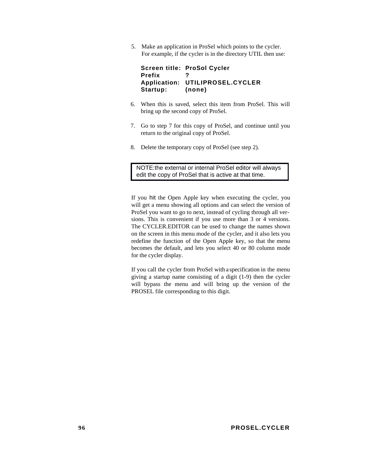5. Make an application in ProSel which points to the cycler. For example, if the cycler is in the directory UTIL then use:

**Screen title: ProSol Cycler Prefix ? Application: UTILIPROSEL.CYCLER Startup: (none)**

- 6. When this is saved, select this item from ProSel. This will bring up the second copy of ProSel.
- 7. Go to step 7 for this copy of ProSel, and continue until you return to the original copy of ProSel.
- 8. Delete the temporary copy of ProSel (see step 2).

NOTE: the external or internal ProSel editor will always edit the copy of ProSel that is active at that time.

If you hit the Open Apple key when executing the cycler, you will get a menu showing all options and can select the version of ProSel you want to go to next, instead of cycling through all versions. This is convenient if you use more than 3 or 4 versions. The CYCLER.EDITOR can be used to change the names shown on the screen in this menu mode of the cycler, and it also lets you redefine the function of the Open Apple key, so that the menu becomes the default, and lets you select 40 or 80 column mode for the cycler display.

If you call the cycler from ProSel with a specification in the menu giving a startup name consisting of a digit (1-9) then the cycler will bypass the menu and will bring up the version of the PROSEL file corresponding to this digit.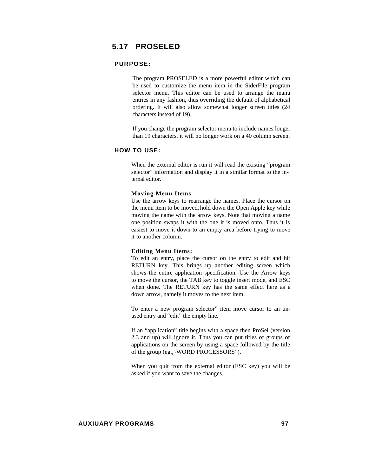The program PROSELED is a more powerful editor which can be used to customize the menu item in the SiderFile program selector menu. This editor can be used to arrange the manu entries in any fashion, thus overriding the default of alphabetical ordering. It will also allow somewhat longer screen titles (24 characters instead of 19).

If you change the program selector menu to include names longer than 19 characters, it will no longer work on a 40 column screen.

#### **HOW TO USE:**

When the external editor is run it will read the existing "program selector" information and display it in a similar format to the internal editor.

#### **Moving Menu Items**

Use the arrow keys to rearrange the names. Place the cursor on the menu item to be moved, hold down the Open Apple key while moving the name with the arrow keys. Note that moving a name one position swaps it with the one it is moved onto. Thus it is easiest to move it down to an empty area before trying to move it to another column.

#### **Editing Menu Items:**

To edit an entry, place the cursor on the entry to edit and hit RETURN key. This brings up another editing screen which shows the entire application specification. Use the Arrow keys to move the cursor, the TAB key to toggle insert mode, and ESC when done. The RETURN key has the same effect here as a down arrow, namely it moves to the next item.

To enter a new program selector" item move cursor to an unused entry and "edit" the empty line.

If an "application" title begins with a space then ProSel (version 2.3 and up) will ignore it. Thus you can put titles of groups of applications on the screen by using a space followed by the title of the group (eg., WORD PROCESSORS").

When you quit from the external editor (ESC key) you will be asked if you want to save the changes.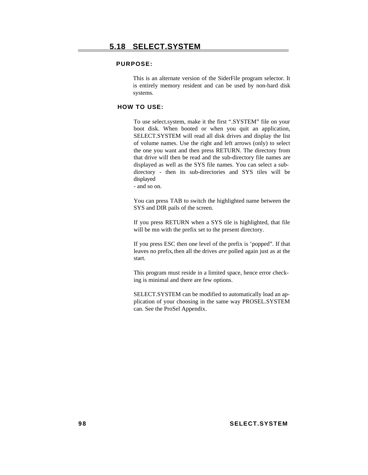This is an alternate version of the SiderFile program selector. It is entirely memory resident and can be used by non-hard disk systems.

# **HOW TO USE:**

To use select.system, make it the first ".SYSTEM" file on your boot disk. When booted or when you quit an application, SELECT.SYSTEM will read all disk drives and display the list of volume names. Use the right and left arrows (only) to select the one you want and then press RETURN. The directory from that drive will then be read and the sub-directory file names are displayed as well as the SYS file names. You can select a subdirectory - then its sub-directories and SYS tiles will be displayed

- and so on.

You can press TAB to switch the highlighted name between the SYS and DIR pails of the screen.

If you press RETURN when a SYS tile is highlighted, that file will be mn with the prefix set to the present directory.

If you press ESC then one level of the prefix is 'popped". If that leaves no prefix, then all the drives *are* polled again just as at the start.

This program must reside in a limited space, hence error checking is minimal and there are few options.

SELECT.SYSTEM can be modified to automatically load an application of your choosing in the same way PROSEL.SYSTEM can. See the ProSel Appendix.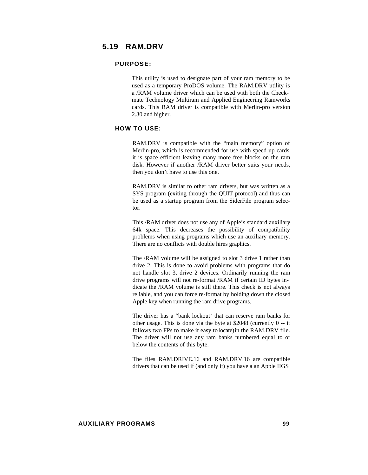This utility is used to designate part of your ram memory to be used as a temporary ProDOS volume. The RAM.DRV utility is a /RAM volume driver which can be used with both the Checkmate Technology Multiram and Applied Engineering Ramworks cards. This RAM driver is compatible with Merlin-pro version 2.30 and higher.

# **HOW TO USE:**

RAM.DRV is compatible with the "main memory" option of Merlin-pro, which is recommended for use with speed up cards. it is space efficient leaving many more free blocks on the ram disk. However if another /RAM driver better suits your needs, then you don't have to use this one.

RAM.DRV is similar to other ram drivers, but was written as a SYS program (exiting through the QUIT protocol) and thus can be used as a startup program from the SiderFile program selector.

This /RAM driver does not use any of Apple's standard auxiliary 64k space. This decreases the possibility of compatibility problems when using programs which use an auxiliary memory. There are no conflicts with double hires graphics.

The /RAM volume will be assigned to slot 3 drive 1 rather than drive 2. This is done to avoid problems with programs that do not handle slot 3, drive 2 devices. Ordinarily running the ram drive programs will not re-format /RAM if certain ID bytes indicate the /RAM volume is still there. This check is not always reliable, and you can force re-format by holding down the closed Apple key when running the ram drive programs.

The driver has a "bank lockout' that can reserve ram banks for other usage. This is done via the byte at \$2048 (currently 0 -- it follows two FPs to make it easy to locate) in the RAM.DRV file. The driver will not use any ram banks numbered equal to or below the contents of this byte.

The files RAM.DRIVE.16 and RAM.DRV.16 are compatible drivers that can be used if (and only it) you have a an Apple IIGS

#### **AUXILIARY PROGRAMS 99**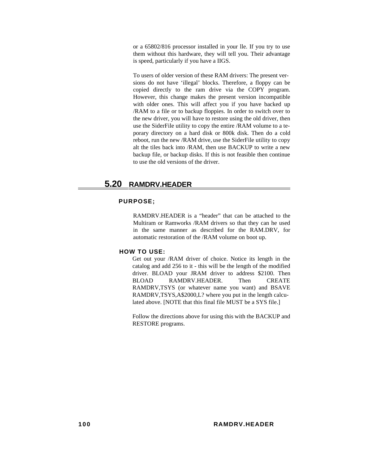or a 65802/816 processor installed in your lle. If you try to use them without this hardware, they will tell you. Their advantage is speed, particularly if you have a IIGS.

To users of older version of these RAM drivers: The present versions do not have 'illegal' blocks. Therefore, a floppy can be copied directly to the ram drive via the COPY program. However, this change makes the present version incompatible with older ones. This will affect you if you have backed up /RAM to a file or to backup floppies. In order to switch over to the new driver, you will have to restore using the old driver, then use the SiderFile utility to copy the entire /RAM volume to a teporary directory on a hard disk or 800k disk. Then do a cold reboot, run the new /RAM drive, use the SiderFile utility to copy alt the tiles back into /RAM, then use BACKUP to write a new backup file, or backup disks. If this is not feasible then continue to use the old versions of the driver.

# **5.20 RAMDRV.HEADER**

## **PURPOSE;**

RAMDRV.HEADER is a "header" that can be attached to the Multiram or Ramworks /RAM drivers so that they can he used in the same manner as described for the RAM.DRV, for automatic restoration of the /RAM volume on boot up.

#### **HOW TO USE:**

Get out your /RAM driver of choice. Notice its length in the catalog and add 256 to it - this will be the length of the modified driver. BLOAD your JRAM driver to address \$2100. Then BLOAD RAMDRV.HEADER. Then CREATE RAMDRV,TSYS (or whatever name you want) and BSAVE RAMDRV,TSYS,A\$2000,L? where you put in the length calculated above. [NOTE that this final file MUST be a SYS file.]

Follow the directions above for using this with the BACKUP and RESTORE programs.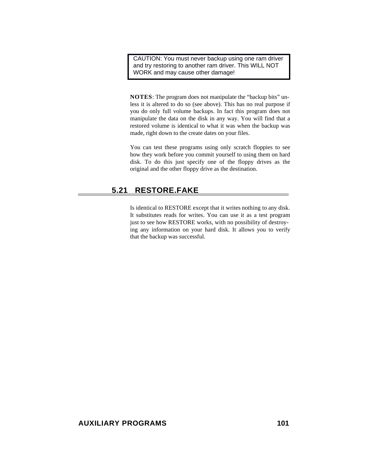CAUTION: You must never backup using one ram driver and try restoring to another ram driver. This WILL NOT WORK and may cause other damage!

**NOTES**: The program does not manipulate the "backup bits" unless it is altered to do so (see above). This has no real purpose if you do only full volume backups. In fact this program does not manipulate the data on the disk in any way. You will find that a restored volume is identical to what it was when the backup was made, right down to the create dates on your files.

You can test these programs using only scratch floppies to see how they work before you commit yourself to using them on hard disk. To do this just specify one of the floppy drives as the original and the other floppy drive as the destination.

## **5.21 RESTORE.FAKE**

Is identical to RESTORE except that it writes nothing to any disk. It substitutes reads for writes. You can use it as a test program just to see how RESTORE works, with no possibility of destroying any information on your hard disk. It allows you to verify that the backup was successful.

## AUXILIARY PROGRAMS 101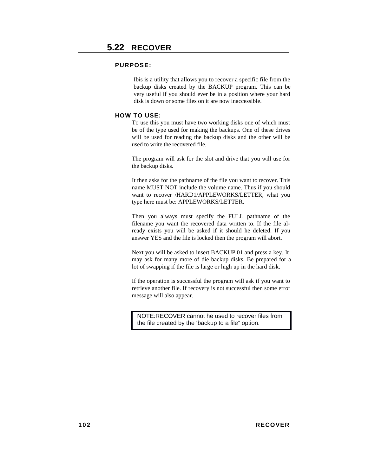#### **PURPOSE:**

Ibis is a utility that allows you to recover a specific file from the backup disks created by the BACKUP program. This can be very useful if you should ever be in a position where your hard disk is down or some files on it are now inaccessible.

#### **HOW TO USE:**

To use this you must have two working disks one of which must be of the type used for making the backups. One of these drives will be used for reading the backup disks and the other will be used to write the recovered file.

The program will ask for the slot and drive that you will use for the backup disks.

It then asks for the pathname of the file you want to recover. This name MUST NOT include the volume name. Thus if you should want to recover /HARD1/APPLEWORKS/LETTER, what you type here must be: APPLEWORKS/LETTER.

Then you always must specify the FULL pathname of the filename you want the recovered data written to. If the file already exists you will be asked if it should he deleted. If you answer YES and the file is locked then the program will abort.

Next you will be asked to insert BACKUP.01 and press a key. It may ask for many more of die backup disks. Be prepared for a lot of swapping if the file is large or high up in the hard disk.

If the operation is successful the program will ask if you want to retrieve another file. If recovery is not successful then some error message will also appear.

NOTE: RECOVER cannot he used to recover files from the file created by the 'backup to a file" option.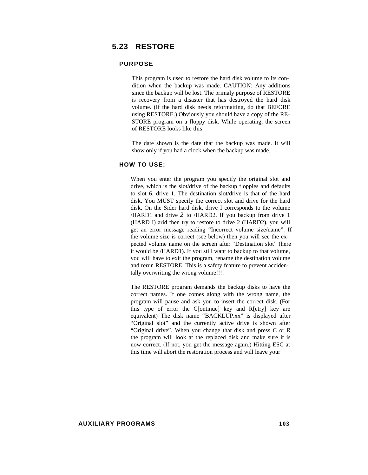#### **PURPOSE**

This program is used to restore the hard disk volume to its condition when the backup was made. CAUTION: Any additions since the backup will be lost. The primaly purpose of RESTORE is recovery from a disaster that has destroyed the hard disk volume. (If the hard disk needs reformatting, do that BEFORE using RESTORE.) Obviously you should have a copy of the RE-STORE program on a floppy disk. While operating, the screen of RESTORE looks like this:

The date shown is the date that the backup was made. It will show only if you had a clock when the backup was made.

#### **HOW TO USE:**

When you enter the program you specify the original slot and drive, which is the slot/drive of the backup floppies and defaults to slot 6, drive 1. The destination slot/drive is that of the hard disk. You MUST specify the correct slot and drive for the hard disk. On the Sider hard disk, drive I corresponds to the volume /HARD1 and drive *2* to /HARD2. If you backup from drive 1 (HARD I) arid then try to restore to drive 2 (HARD2), you will get an error message reading "Incorrect volume size/name". If the volume size is correct (see below) then you will see the expected volume name on the screen after "Destination slot" (here it would be /HARD1). If you still want to backup to that volume, you will have to exit the program, rename the destination volume and rerun RESTORE. This is a safety feature to prevent accidentally overwriting the wrong volume!!!!

The RESTORE program demands the backup disks to have the correct names. If one comes along with the wrong name, the program will pause and ask you to insert the correct disk. (For this type of error the C[ontinue] key and R[etry] key are equivalent) The disk name "BACKLUP.xx" is displayed after "Original slot" and the currently active drive is shown after "Original drive". When you change that disk and press C or R the program will look at the replaced disk and make sure it is now correct. (If not, you get the message again.) Hitting ESC at this time will abort the restoration process and will leave your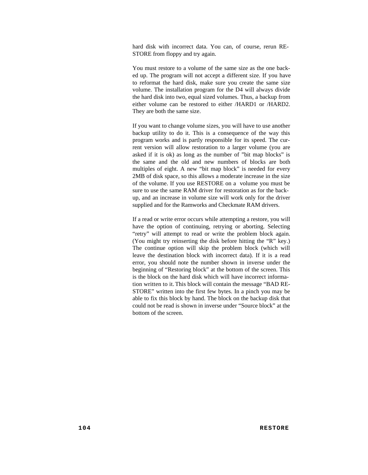hard disk with incorrect data. You can, of course, rerun RE-STORE from floppy and try again.

You must restore to a volume of the same size as the one backed up. The program will not accept a different size. If you have to reformat the hard disk, make sure you create the same size volume. The installation program for the D4 will always divide the hard disk into two, equal sized volumes. Thus, a backup from either volume can be restored to either /HARD1 or /HARD2. They are both the same size.

If you want to change volume sizes, you will have to use another backup utility to do it. This is a consequence of the way this program works and is partly responsible for its speed. The current version will allow restoration to a larger volume (you are asked if it is ok) as long as the number of "bit map blocks" is the same and the old and new numbers of blocks are both multiples of eight. A new "bit map block" is needed for every 2MB of disk space, so this allows a moderate increase in the size of the volume. If you use RESTORE on a volume you must be sure to use the same RAM driver for restoration as for the backup, and an increase in volume size will work only for the driver supplied and for the Ramworks and Checkmate RAM drivers.

If a read or write error occurs while attempting a restore, you will have the option of continuing, retrying or aborting. Selecting "retry" will attempt to read or write the problem block again. (You might try reinserting the disk before hitting the "R" key.) The continue option will skip the problem block (which will leave the destination block with incorrect data). If it is a read error, you should note the number shown in inverse under the beginning of "Restoring block" at the bottom of the screen. This is the block on the hard disk which will have incorrect information written to it. This block will contain the message "BAD RE-STORE" written into the first few bytes. In a pinch you may be able to fix this block by hand. The block on the backup disk that could not be read is shown in inverse under "Source block" at the bottom of the screen.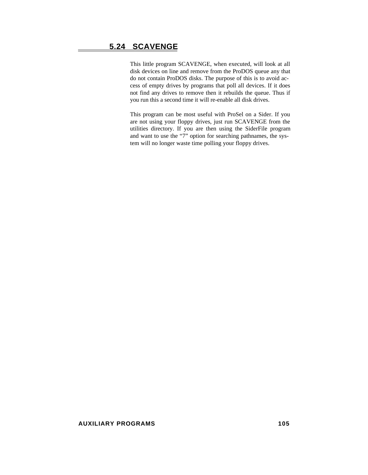## **5.24 SCAVENGE**

This little program SCAVENGE, when executed, will look at all disk devices on line and remove from the ProDOS queue any that do not contain ProDOS disks. The purpose of this is to avoid access of empty drives by programs that poll all devices. If it does not find any drives to remove then it rebuilds the queue. Thus if you run this a second time it will re-enable all disk drives.

This program can be most useful with ProSel on a Sider. If you are not using your floppy drives, just run SCAVENGE from the utilities directory. If you are then using the SiderFile program and want to use the "7" option for searching pathnames, the system will no longer waste time polling your floppy drives.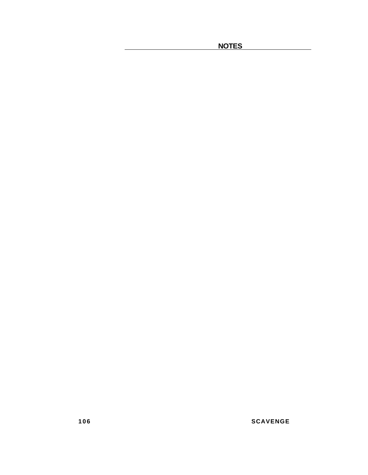**NOTES** 

**106 SCAVENGE**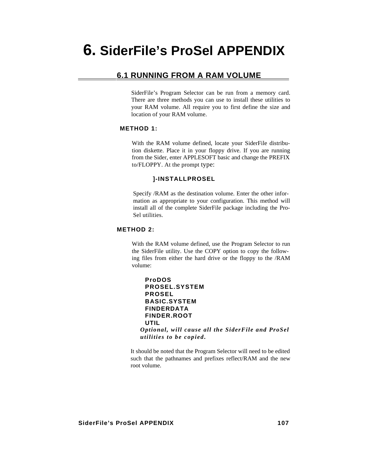## **6.1 RUNNING FROM A RAM VOLUME**

SiderFile's Program Selector can be run from a memory card. There are three methods you can use to install these utilities to your RAM volume. All require you to first define the size and location of your RAM volume.

### **METHOD 1:**

With the RAM volume defined, locate your SiderFile distribution diskette. Place it in your floppy drive. If you are running from the Sider, enter APPLESOFT basic and change the PREFIX to/FLOPPY. At the prompt type:

#### **]-INSTALLPROSEL**

Specify /RAM as the destination volume. Enter the other information as appropriate to your configuration. This method will install all of the complete SiderFile package including the Pro-Sel utilities.

### **METHOD 2:**

With the RAM volume defined, use the Program Selector to run the SiderFile utility. Use the COPY option to copy the following files from either the hard drive or the floppy to the /RAM volume:

| <b>ProDOS</b>                                     |
|---------------------------------------------------|
| <b>PROSEL.SYSTEM</b>                              |
| <b>PROSEL</b>                                     |
| <b>BASIC.SYSTEM</b>                               |
| <b>FINDERDATA</b>                                 |
| <b>FINDER.ROOT</b>                                |
| UTIL                                              |
| Optional, will cause all the SiderFile and ProSel |
| utilities to be copied.                           |

It should be noted that the Program Selector will need to be edited such that the pathnames and prefixes reflect/RAM and the new root volume.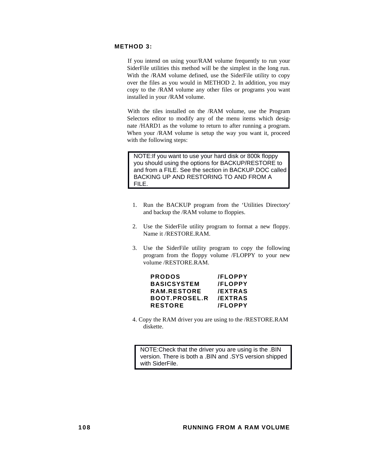### **METHOD 3:**

If you intend on using your/RAM volume frequently to run your SiderFile utilities this method will be the simplest in the long run. With the /RAM volume defined, use the SiderFile utility to copy over the files as you would in METHOD 2. In addition, you may copy to the /RAM volume any other files or programs you want installed in your /RAM volume.

With the tiles installed on the /RAM volume, use the Program Selectors editor to modify any of the menu items which designate /HARD1 as the volume to return to after running a program. When your /RAM volume is setup the way you want it, proceed with the following steps:

NOTE: If you want to use your hard disk or 800k floppy you should using the options for BACKUP/RESTORE to and from a FILE. See the section in BACKUP.DOC called BACKING UP AND RESTORING TO AND FROM A FILE.

- 1. Run the BACKUP program from the 'Utilities Directory' and backup the /RAM volume to floppies.
- 2. Use the SiderFile utility program to format a new floppy. Name it /RESTORE.RAM.
- 3. Use the SiderFile utility program to copy the following program from the floppy volume /FLOPPY to your new volume /RESTORE.RAM.

| <b>PRODOS</b>        | <b>/FLOPPY</b> |
|----------------------|----------------|
| <b>BASICSYSTEM</b>   | <b>/FLOPPY</b> |
| RAM RESTORE          | <b>/EXTRAS</b> |
| <b>BOOT.PROSEL.R</b> | <b>/EXTRAS</b> |
| <b>RESTORE</b>       | <b>/FLOPPY</b> |

4. Copy the RAM driver you are using to the /RESTORE.RAM diskette.

NOTE: Check that the driver you are using is the .BIN version. There is both a .BIN and .SYS version shipped with SiderFile.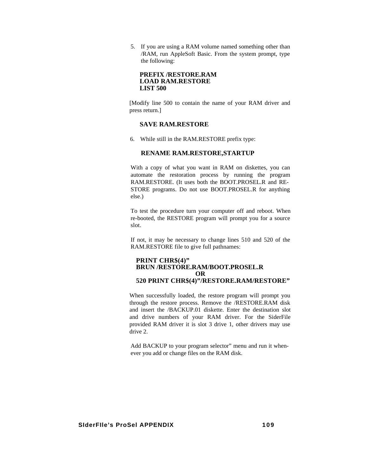5. If you are using a RAM volume named something other than /RAM, run AppleSoft Basic. From the system prompt, type the following:

#### **PREFIX /RESTORE.RAM LOAD RAM.RESTORE LIST 500**

[Modify line 500 to contain the name of your RAM driver and press return.]

#### **SAVE RAM.RESTORE**

6. While still in the RAM.RESTORE prefix type:

#### **RENAME RAM.RESTORE,STARTUP**

With a copy of what you want in RAM on diskettes, you can automate the restoration process by running the program RAM.RESTORE. (It uses both the BOOT.PROSEL.R and RE-STORE programs. Do not use BOOT.PROSEL.R for anything else.)

To test the procedure turn your computer off and reboot. When re-booted, the RESTORE program will prompt you for a source slot.

If not, it may be necessary to change lines 510 and 520 of the RAM.RESTORE file to give full pathnames:

#### **PRINT CHR\$(4)" BRUN /RESTORE.RAM/BOOT.PROSEL.R OR 520 PRINT CHR\$(4)"/RESTORE.RAM/RESTORE"**

When successfully loaded, the restore program will prompt you through the restore process. Remove the /RESTORE.RAM disk and insert the /BACKUP.01 diskette. Enter the destination slot and drive numbers of your RAM driver. For the SiderFile provided RAM driver it is slot 3 drive 1, other drivers may use drive 2.

Add BACKUP to your program selector" menu and run it whenever you add or change files on the RAM disk.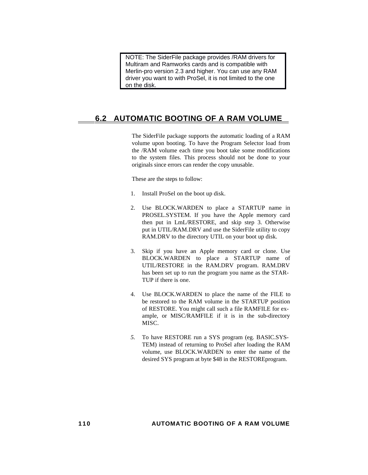NOTE: The SiderFile package provides /RAM drivers for Multiram and Ramworks cards and is compatible with Merlin-pro version 2.3 and higher. You can use any RAM driver you want to with ProSel, it is not limited to the one on the disk.

## **6.2 AUTOMATIC BOOTING OF A RAM VOLUME**

The SiderFile package supports the automatic loading of a RAM volume upon booting. To have the Program Selector load from the /RAM volume each time you boot take some modifications to the system files. This process should not be done to your originals since errors can render the copy unusable.

These are the steps to follow:

- 1. Install ProSel on the boot up disk.
- 2. Use BLOCK.WARDEN to place a STARTUP name in PROSEL.SYSTEM. If you have the Apple memory card then put in LmL/RESTORE, and skip step 3. Otherwise put in UTIL/RAM.DRV and use the SiderFile utility to copy RAM.DRV to the directory UTIL on your boot up disk.
- 3. Skip if you have an Apple memory card or clone. Use BLOCK.WARDEN to place a STARTUP name of UTIL/RESTORE in the RAM.DRV program. RAM.DRV has been set up to run the program you name as the STAR-TUP if there is one.
- 4. Use BLOCK.WARDEN to place the name of the FILE to be restored to the RAM volume in the STARTUP position of RESTORE. You might call such a file RAMFILE for example, or MISC/RAMFILE if it is in the sub-directory MISC.
- *5.* To have RESTORE run a SYS program (eg. BASIC.SYS-TEM) instead of returning to ProSel after loading the RAM volume, use BLOCK.WARDEN to enter the name of the desired SYS program at byte \$48 in the RESTOREprogram.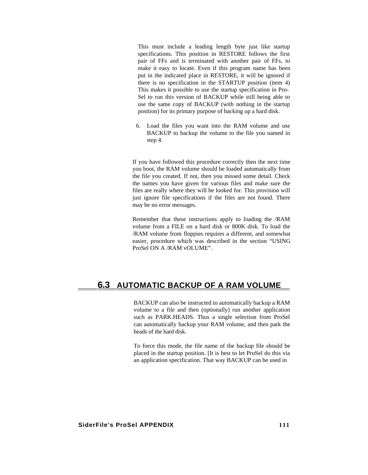This must include a leading length byte just like startup specifications. This position in RESTORE follows the first pair of FFs and is terminated with another pair of FFs, to make it easy to locate. Even if this program name has been put in the indicated place in RESTORE, it will be ignored if there is no specification in the STARTUP position (item 4) This makes it possible to use the startup specification in Pro-Sel to run this version of BACKUP while still being able to use the same copy of BACKUP (with nothing in the startup position) for its primary purpose of backing up a hard disk.

6. Load the files you want into the RAM volume and use BACKUP to backup the volume to the file you named in step 4.

If you have followed this procedure correctly then the next time you boot, the RAM volume should be loaded automatically from the file you created. If not, then you missed some detail. Check the names you have given for various files and make sure the files are really where they will be looked for. This provision will just ignore file specifications if the files are not found. There may be no error messages.

Remember that these instructions apply to loading the /RAM volume from a FILE on a hard disk or 800K disk. To load the /RAM volume from floppies requires a different, and somewhat easier, procedure which was described in the section "USING ProSel ON A /RAM vOLUME".

## **6.3 AUTOMATIC BACKUP OF A RAM VOLUME**

BACKUP can also be instructed to automatically backup a RAM volume to a file and then (optionally) run another application such as PARK.HEADS. Thus a single selection from ProSel can automatically backup your RAM volume, and then park the heads of the hard disk.

To force this mode, the file name of the backup file should be placed in the startup position. [It is best to let ProSel do this via an application specification. That way BACKUP can be used in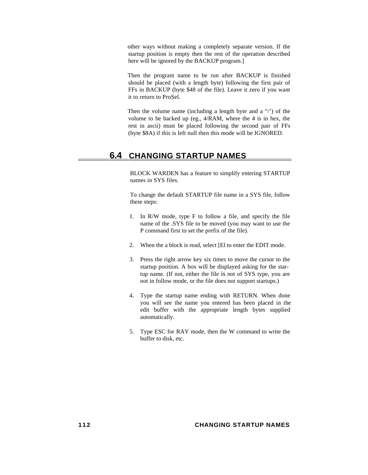other ways without making a completely separate version. If the startup position is empty then the rest of the operation described here will be ignored by the BACKUP program.]

Then the program name to be run after BACKUP is finished should be placed (with a length byte) following the first pair of FFs in BACKUP (byte \$48 of the file). Leave it zero if you want it to return to ProSel.

Then the volume name (including a length byte and a "/') of the volume to be backed up (eg., 4/RAM, where the 4 is in hex, the rest in ascii) must be placed following the second pair of FFs (byte \$8A) if this is left null then this mode will be IGNORED.

## **6.4 CHANGING STARTUP NAMES**

BLOCK WARDEN has a feature to simplify entering STARTUP names in SYS files.

To change the default STARTUP file name in a SYS file, follow these steps:

- 1. In R/W mode, type F to follow a file, and specify the file name of the .SYS file to be moved (you may want to use the P command first to set the prefix of the file).
- 2. When the a block is read, select [El to enter the EDIT mode.
- 3. Press the right arrow key six times to move the cursor to the startup position. A box will be displayed asking for the startup name. (If not, either the file is not of SYS type, you are not in follow mode, or the file does not support startups.)
- 4. Type the startup name ending with RETURN. When done you will see the name you entered has been placed in the edit buffer with the appropriate length bytes supplied automatically.
- 5. Type ESC for RAY mode, then the W command to write the buffer to disk, etc.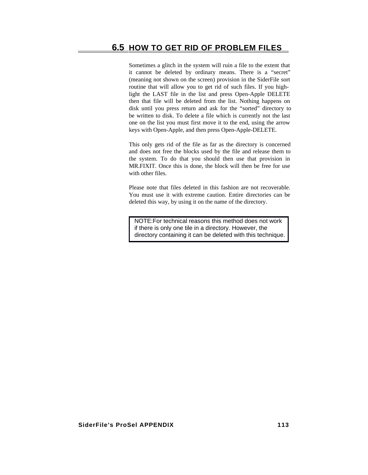Sometimes a glitch in the system will ruin a file to the extent that it cannot be deleted by ordinary means. There is a "secret" (meaning not shown on the screen) provision in the SiderFile sort routine that will allow you to get rid of such files. If you highlight the LAST file in the list and press Open-Apple DELETE then that file will be deleted from the list. Nothing happens on disk until you press return and ask for the "sorted" directory to be written to disk. To delete a file which is currently not the last one on the list you must first move it to the end, using the arrow keys with Open-Apple, and then press Open-Apple-DELETE.

This only gets rid of the file as far as the directory is concerned and does not free the blocks used by the file and release them to the system. To do that you should then use that provision in MR.FIXIT. Once this is done, the block will then be free for use with other files

Please note that files deleted in this fashion are not recoverable. You must use it with extreme caution. Entire directories can be deleted this way, by using it on the name of the directory.

NOTE: For technical reasons this method does not work if there is only one tile in a directory. However, the directory containing it can be deleted with this technique.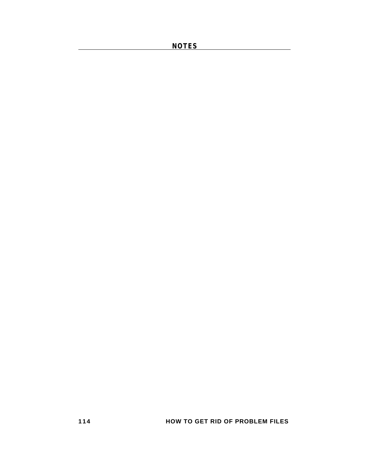**NOTES**

**114 HOW TO GET RID OF PROBLEM FILES**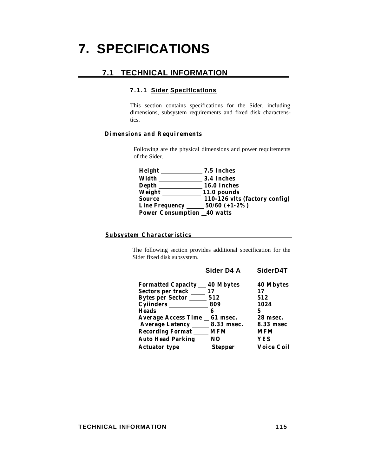# **7. SPECIFICATIONS**

## **7.1 TECHNICAL INFORMATION**

#### **7.1.1 Sider SpecIfIcatIons**

This section contains specifications for the Sider, including dimensions, subsystem requirements and fixed disk charactenstics.

#### **Dimensions and Requirements**

Following are the physical dimensions and power requirements of the Sider.

**Height 7.5 Inches Width 3.4 Inches Depth 16.0 Inches Weight 11.0 pounds Source 110-126 vlts (factory config) Line Frequency 50/60 (+1-2%) Power Consumption 40 watts**

#### **Subsystem Characteristics**

The following section provides additional specification for the Sider fixed disk subsystem.

## **Sider D4 A SiderD4T**

| <b>Formatted Capacity</b>  | 40 Mbytes      | 40 Mbytes         |
|----------------------------|----------------|-------------------|
| Sectors per track          | 17             | 17                |
| <b>Bytes per Sector</b>    | 512            | 512               |
|                            | 809            | 1024              |
| <b>Heads</b>               | 6              |                   |
| <b>Average Access Time</b> | 61 msec.       | 28 msec.          |
| Average Latency 8.33 msec. |                | 8.33 msec         |
| <b>Recording Format</b>    | <b>MFM</b>     | <b>MFM</b>        |
| <b>Auto Head Parking</b>   | N <sub>O</sub> | YES               |
| <b>Actuator type</b>       | <b>Stepper</b> | <b>Voice Coil</b> |

#### **TECHNICAL INFORMATION** 115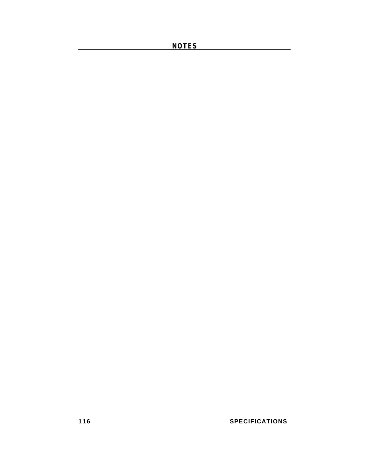**NOTES** 

**116 SPECIFICATIONS**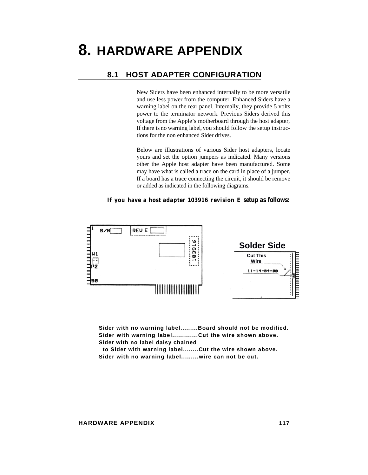# **8. HARDWARE APPENDIX**

## **8.1 HOST ADAPTER CONFIGURATION**

New Siders have been enhanced internally to be more versatile and use less power from the computer. Enhanced Siders have a warning label on the rear panel. Internally, they provide 5 volts power to the terminator network. Previous Siders derived this voltage from the Apple's motherboard through the host adapter, If there is no warning label, you should follow the setup instructions for the non enhanced Sider drives.

Below are illustrations of various Sider host adapters, locate yours and set the option jumpers as indicated. Many versions other the Apple host adapter have been manufactured. Some may have what is called a trace on the card in place of a jumper. If a board has a trace connecting the circuit, it should be remove or added as indicated in the following diagrams.

**If you have a host adapter 103916 revision E setup as follows:** 

**Solder Side Cut This** 

 **Wire**

**Sider with no warning label.........Board should not be modified. Sider with warning label.............Cut the wire shown above. Sider with no label daisy chained to Sider with warning label........Cut the wire shown above. Sider with no warning label.........wire can not be cut.**

**HARDWARE APPENDIX 117**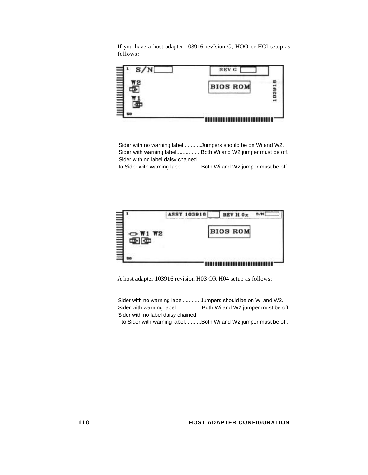If you have a host adapter 103916 revIsion G, HOO or HOl setup as follows:



Sider with no warning label ...........Jumpers should be on Wi and W2. Sider with warning label................Both Wi and W2 jumper must be off. Sider with no label daisy chained

to Sider with warning label ............Both Wi and W2 jumper must be off.



A host adapter 103916 revision H03 OR H04 setup as follows:

Sider with no warning label............Jumpers should be on Wi and W2. Sider with warning label.................Both Wi and W2 jumper must be off. Sider with no label daisy chained

to Sider with warning label...........Both Wi and W2 jumper must be off.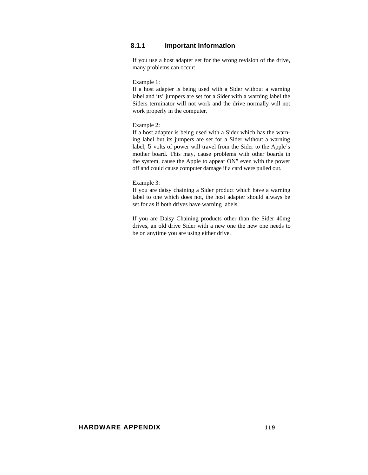### **8.1.1 Important Information**

If you use a host adapter set for the wrong revision of the drive, many problems can occur:

#### Example 1:

If a host adapter is being used with a Sider without a warning label and its' jumpers are set for a Sider with a warning label the Siders terminator will not work and the drive normally will not work properly in the computer.

#### Example 2:

If a host adapter is being used with a Sider which has the warning label but its jumpers are set for a Sider without a warning label, 5 volts of power will travel from the Sider to the Apple's mother board. This may, cause problems with other boards in the system, cause the Apple to appear ON" even with the power off and could cause computer damage if a card were pulled out.

#### Example 3:

If you are daisy chaining a Sider product which have a warning label to one which does not, the host adapter should always be set for as if both drives have warning labels.

If you are Daisy Chaining products other than the Sider 40mg drives, an old drive Sider with a new one the new one needs to be on anytime you are using either drive.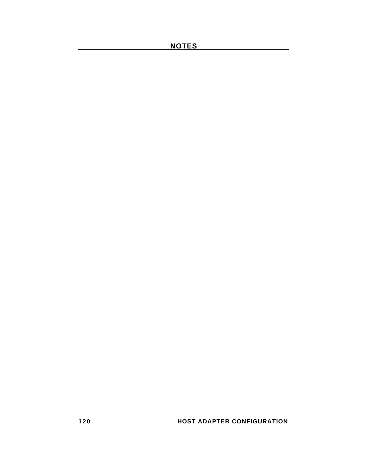**120 HOST ADAPTER CONFIGURATION**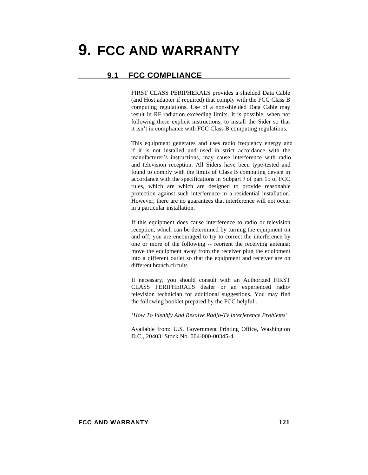# **9. FCC AND WARRANTY**

## **9.1 FCC COMPLIANCE**

FIRST CLASS PERIPHERALS provides a shielded Data Cable (and Host adapter if required) that comply with the FCC Class B computing regulations. Use of a non-shielded Data Cable may result in RF radiation exceeding limits. It is possible, when not following these explicit instructions, to install the Sider so that it isn't in compliance with FCC Class B computing regulations.

This equipment generates and uses radio frequency energy and if it is not installed and used in strict accordance with the manufacturer's instructions, may cause interference with radio and television reception. All Siders have been type-tested and found to comply with the limits of Class B computing device in accordance with the specifications in Subpart J of part 15 of FCC rules, which are which are designed to provide reasonable protection against such interference in a residential installation. However, there are no guarantees that interference will not occur in a particular installation.

If this equipment does cause interference to radio or television reception, which can be determined by turning the equipment on and off, you are encouraged to try to correct the interference by one or more of the following -- reorient the receiving antenna; move the equipment away from the receiver plug the equipment into a different outlet so that the equipment and receiver are on different branch circuits.

If necessary, you should consult with an Authorized FIRST CLASS PERIPHERALS dealer or an experienced radio/ television technician for additional suggestions. You may find the following booklet prepared by the FCC helpful:.

*'How To Idenhfy And Resolve Radjo-Tv interference Problems'*

Available from: U.S. Government Printing Office, Washington D.C., 20403: Stock No. 004-000-00345-4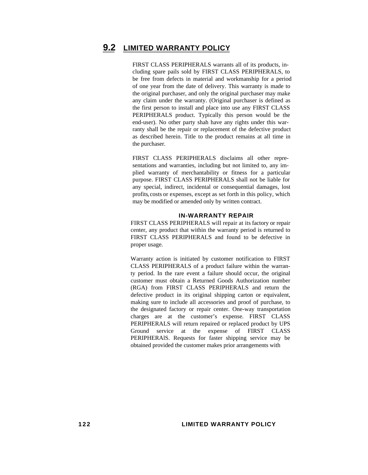## **9.2 LIMITED WARRANTY POLICY**

FIRST CLASS PERIPHERALS warrants all of its products, including spare pails sold by FIRST CLASS PERIPHERALS, to be free from defects in material and workmanship for a period of one year from the date of delivery. This warranty is made to the original purchaser, and only the original purchaser may make any claim under the warranty. (Original purchaser is defined as the first person to install and place into use any FIRST CLASS PERIPHERALS product. Typically this person would be the end-user). No other party shah have any rights under this warranty shall be the repair or replacement of the defective product as described herein. Title to the product remains at all time in the purchaser.

FIRST CLASS PERIPHERALS disclaims all other representations and warranties, including but not limited to, any implied warranty of merchantability or fitness for a particular purpose. FIRST CLASS PERIPHERALS shall not be liable for any special, indirect, incidental or consequential damages, lost profits, costs or expenses, except as set forth in this policy, which may be modified or amended only by written contract.

#### **IN-WARRANTY REPAIR**

FIRST CLASS PERIPHERALS will repair at its factory or repair center, any product that within the warranty period is returned to FIRST CLASS PERIPHERALS and found to be defective in proper usage.

Warranty action is initiated by customer notification to FIRST CLASS PERIPHERALS of a product failure within the warranty period. In the rare event a failure should occur, the original customer must obtain a Returned Goods Authorization number (RGA) from FIRST CLASS PERIPHERALS and return the defective product in its original shipping carton or equivalent, making sure to include all accessories and proof of purchase, to the designated factory or repair center. One-way transportation charges are at the customer's expense. FIRST CLASS PERIPHERALS will return repaired or replaced product by UPS Ground service at the expense of FIRST CLASS PERIPHERAlS. Requests for faster shipping service may be obtained provided the customer makes prior arrangements with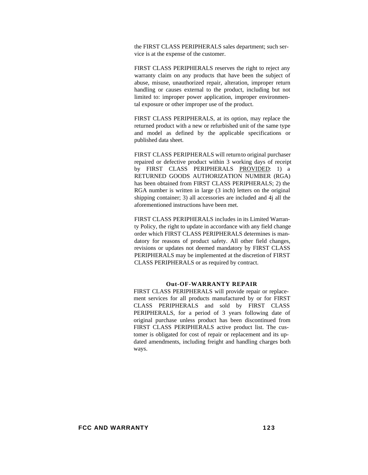the FIRST CLASS PERIPHERALS sales department; such service is at the expense of the customer.

FIRST CLASS PERIPHERALS reserves the right to reject any warranty claim on any products that have been the subject of abuse, misuse, unauthorized repair, alteration, improper return handling or causes external to the product, including but not limited to: improper power application, improper environmental exposure or other improper use of the product.

FIRST CLASS PERIPHERALS, at its option, may replace the returned product with a new or refurbished unit of the same type and model as defined by the applicable specifications or published data sheet.

FIRST CLASS PERIPHERALS will returnto original purchaser repaired or defective product within 3 working days of receipt by FIRST CLASS PERIPHERALS PROVIDED: 1) a RETURNED GOODS AUTHORIZATION NUMBER (RGA) has been obtained from FIRST CLASS PERIPHERALS; 2) the RGA number is written in large (3 inch) letters on the original shipping container; 3) all accessories are included and 4j all the aforementioned instructions have been met.

FIRST CLASS PERIPHERALS includes in its Limited Warranty Policy, the right to update in accordance with any field change order which FIRST CLASS PERIPHERALS determines is mandatory for reasons of product safety. All other field changes, revisions or updates not deemed mandatory by FIRST CLASS PERIPHERALS may be implemented at the discretion of FIRST CLASS PERIPHERALS or as required by contract.

#### **Out-OF-WARRANTY REPAIR**

FIRST CLASS PERIPHERALS will provide repair or replacement services for all products manufactured by or for FIRST CLASS PERIPHERALS and sold by FIRST CLASS PERIPHERALS, for a period of 3 years following date of original purchase unless product has been discontinued from FIRST CLASS PERIPHERALS active product list. The customer is obligated for cost of repair or replacement and its updated amendments, including freight and handling charges both ways.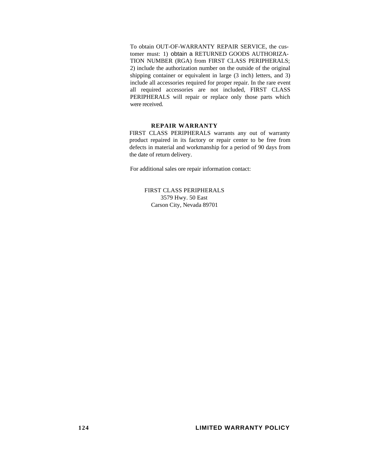To obtain OUT-OF-WARRANTY REPAIR SERVICE, the customer must: 1) obtain a RETURNED GOODS AUTHORIZA-TION NUMBER (RGA) from FIRST CLASS PERIPHERALS; 2) include the authorization number on the outside of the original shipping container or equivalent in large (3 inch) letters, and 3) include all accessories required for proper repair. In the rare event all required accessories are not included, FIRST CLASS PERIPHERALS will repair or replace only those parts which were received.

#### **REPAIR WARRANTY**

FIRST CLASS PERIPHERALS warrants any out of warranty product repaired in its factory or repair center to be free from defects in material and workmanship for a period of 90 days from the date of return delivery.

For additional sales ore repair information contact:

FIRST CLASS PERIPHERALS 3579 Hwy. 50 East Carson City, Nevada 89701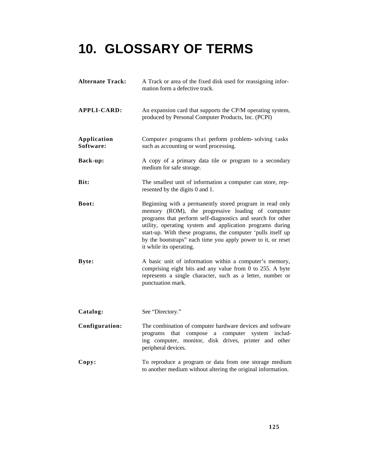# **10. GLOSSARY OF TERMS**

**Alternate Track:** A Track or area of the fixed disk used for reassigning information form a defective track. **APPLI-CARD:** An expansion card that supports the CP/M operating system, produced by Personal Computer Products, Inc. (PCPI) **Application** Computer programs that perform problem-solving tasks **Software:** such as accounting or word processing. **Back-up:** A copy of a primary data tile or program to a secondary medium for safe storage. **Bit:** The smallest unit of information a computer can store, represented by the digits 0 and 1. **Boot:** Beginning with a permanently stored program in read only memory (ROM), the progressive loading of computer programs that perform self-diagnostics and search for other utility, operating system and application programs during start-up. With these programs, the computer 'pulls itself up by the bootstraps" each time you apply power to it, or reset it while its operating. **Byte:** A basic unit of information within a computer's memory, comprising eight bits and any value from 0 to 255. A byte represents a single character, such as a letter, number or punctuation mark. Catalog: See "Directory." **Configuration:** The combination of computer hardware devices and software programs that compose a computer system including computer, monitor, disk drives, printer and other peripheral devices. **Copy:** To reproduce a program or data from one storage medium to another medium without altering the original information.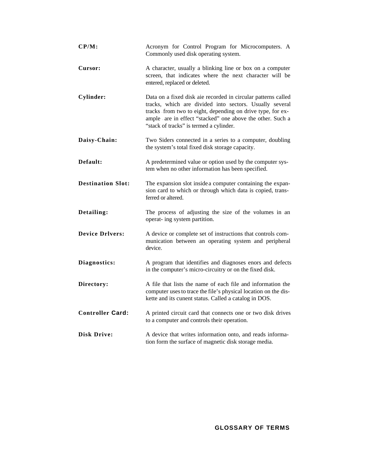| $CP/M$ :                 | Acronym for Control Program for Microcomputers. A<br>Commonly used disk operating system.                                                                                                                                                                                                      |
|--------------------------|------------------------------------------------------------------------------------------------------------------------------------------------------------------------------------------------------------------------------------------------------------------------------------------------|
| Cursor:                  | A character, usually a blinking line or box on a computer<br>screen, that indicates where the next character will be<br>entered, replaced or deleted.                                                                                                                                          |
| Cylinder:                | Data on a fixed disk aie recorded in circular patterns called<br>tracks, which are divided into sectors. Usually several<br>tracks from two to eight, depending on drive type, for ex-<br>ample are in effect "stacked" one above the other. Such a<br>"stack of tracks" is termed a cylinder. |
| Daisy-Chain:             | Two Siders connected in a series to a computer, doubling<br>the system's total fixed disk storage capacity.                                                                                                                                                                                    |
| Default:                 | A predetermined value or option used by the computer sys-<br>tem when no other information has been specified.                                                                                                                                                                                 |
| <b>Destination Slot:</b> | The expansion slot inside a computer containing the expan-<br>sion card to which or through which data is copied, trans-<br>ferred or altered.                                                                                                                                                 |
| Detailing:               | The process of adjusting the size of the volumes in an<br>operat- ing system partition.                                                                                                                                                                                                        |
| <b>Device Drlvers:</b>   | A device or complete set of instructions that controls com-<br>munication between an operating system and peripheral<br>device.                                                                                                                                                                |
| Diagnostics:             | A program that identifies and diagnoses enors and defects<br>in the computer's micro-circuitry or on the fixed disk.                                                                                                                                                                           |
| Directory:               | A file that lists the name of each file and information the<br>computer uses to trace the file's physical location on the dis-<br>kette and its cunent status. Called a catalog in DOS.                                                                                                        |
| <b>Controller Card:</b>  | A printed circuit card that connects one or two disk drives<br>to a computer and controls their operation.                                                                                                                                                                                     |
| <b>Disk Drive:</b>       | A device that writes information onto, and reads informa-<br>tion form the surface of magnetic disk storage media.                                                                                                                                                                             |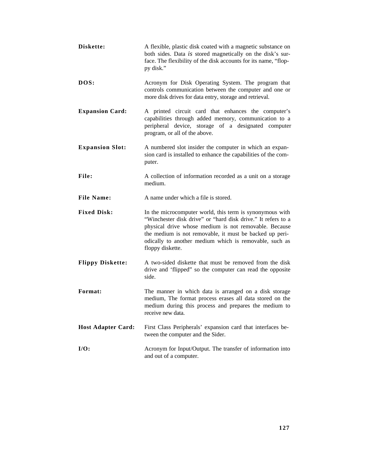| Diskette:                 | A flexible, plastic disk coated with a magnetic substance on<br>both sides. Data is stored magnetically on the disk's sur-<br>face. The flexibility of the disk accounts for its name, "flop-<br>py disk."                                                                                                                 |
|---------------------------|----------------------------------------------------------------------------------------------------------------------------------------------------------------------------------------------------------------------------------------------------------------------------------------------------------------------------|
| DOS:                      | Acronym for Disk Operating System. The program that<br>controls communication between the computer and one or<br>more disk drives for data entry, storage and retrieval.                                                                                                                                                   |
| <b>Expansion Card:</b>    | A printed circuit card that enhances the computer's<br>capabilities through added memory, communication to a<br>peripheral device, storage of a designated computer<br>program, or all of the above.                                                                                                                       |
| <b>Expansion Slot:</b>    | A numbered slot insider the computer in which an expan-<br>sion card is installed to enhance the capabilities of the com-<br>puter.                                                                                                                                                                                        |
| File:                     | A collection of information recorded as a unit on a storage<br>medium.                                                                                                                                                                                                                                                     |
| <b>File Name:</b>         | A name under which a file is stored.                                                                                                                                                                                                                                                                                       |
| <b>Fixed Disk:</b>        | In the microcomputer world, this term is synonymous with<br>"Winchester disk drive" or "hard disk drive." It refers to a<br>physical drive whose medium is not removable. Because<br>the medium is not removable, it must be backed up peri-<br>odically to another medium which is removable, such as<br>floppy diskette. |
| <b>Flippy Diskette:</b>   | A two-sided diskette that must be removed from the disk<br>drive and 'flipped" so the computer can read the opposite<br>side.                                                                                                                                                                                              |
| Format:                   | The manner in which data is arranged on a disk storage<br>medium, The format process erases all data stored on the<br>medium during this process and prepares the medium to<br>receive new data.                                                                                                                           |
| <b>Host Adapter Card:</b> | First Class Peripherals' expansion card that interfaces be-<br>tween the computer and the Sider.                                                                                                                                                                                                                           |
| $I/O$ :                   | Acronym for Input/Output. The transfer of information into<br>and out of a computer.                                                                                                                                                                                                                                       |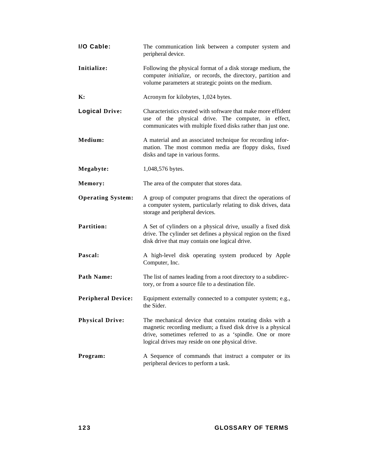| I/O Cable:                | The communication link between a computer system and<br>peripheral device.                                                                                                                                                              |
|---------------------------|-----------------------------------------------------------------------------------------------------------------------------------------------------------------------------------------------------------------------------------------|
| Initialize:               | Following the physical format of a disk storage medium, the<br>computer <i>initialize</i> , or records, the directory, partition and<br>volume parameters at strategic points on the medium.                                            |
| К:                        | Acronym for kilobytes, 1,024 bytes.                                                                                                                                                                                                     |
| <b>Logical Drive:</b>     | Characteristics created with software that make more effident<br>use of the physical drive. The computer, in effect,<br>communicates with multiple fixed disks rather than just one.                                                    |
| Medium:                   | A material and an associated technique for recording infor-<br>mation. The most common media are floppy disks, fixed<br>disks and tape in various forms.                                                                                |
| Megabyte:                 | 1,048,576 bytes.                                                                                                                                                                                                                        |
| Memory:                   | The area of the computer that stores data.                                                                                                                                                                                              |
| <b>Operating System:</b>  | A group of computer programs that direct the operations of<br>a computer system, particularly relating to disk drives, data<br>storage and peripheral devices.                                                                          |
| <b>Partition:</b>         | A Set of cylinders on a physical drive, usually a fixed disk<br>drive. The cylinder set defines a physical region on the fixed<br>disk drive that may contain one logical drive.                                                        |
| Pascal:                   | A high-level disk operating system produced by Apple<br>Computer, Inc.                                                                                                                                                                  |
| <b>Path Name:</b>         | The list of names leading from a root directory to a subdirec-<br>tory, or from a source file to a destination file.                                                                                                                    |
| <b>Peripheral Device:</b> | Equipment externally connected to a computer system; e.g.,<br>the Sider.                                                                                                                                                                |
| <b>Physical Drive:</b>    | The mechanical device that contains rotating disks with a<br>magnetic recording medium; a fixed disk drive is a physical<br>drive, sometimes referred to as a 'spindle. One or more<br>logical drives may reside on one physical drive. |
| Program:                  | A Sequence of commands that instruct a computer or its<br>peripheral devices to perform a task.                                                                                                                                         |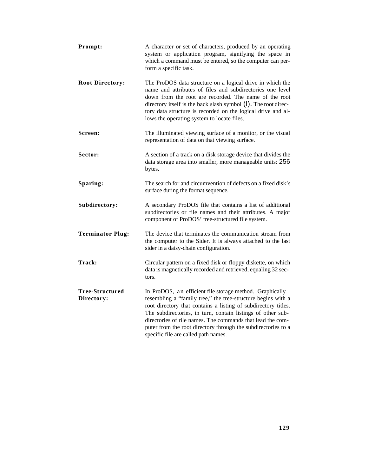| Prompt:                              | A character or set of characters, produced by an operating<br>system or application program, signifying the space in<br>which a command must be entered, so the computer can per-<br>form a specific task.                                                                                                                                                                                                                       |
|--------------------------------------|----------------------------------------------------------------------------------------------------------------------------------------------------------------------------------------------------------------------------------------------------------------------------------------------------------------------------------------------------------------------------------------------------------------------------------|
| <b>Root Directory:</b>               | The ProDOS data structure on a logical drive in which the<br>name and attributes of files and subdirectories one level<br>down from the root are recorded. The name of the root<br>directory itself is the back slash symbol $(l)$ . The root direc-<br>tory data structure is recorded on the logical drive and al-<br>lows the operating system to locate files.                                                               |
| Screen:                              | The illuminated viewing surface of a monitor, or the visual<br>representation of data on that viewing surface.                                                                                                                                                                                                                                                                                                                   |
| Sector:                              | A section of a track on a disk storage device that divides the<br>data storage area into smaller, more manageable units: 256<br>bytes.                                                                                                                                                                                                                                                                                           |
| Sparing:                             | The search for and circumvention of defects on a fixed disk's<br>surface during the format sequence.                                                                                                                                                                                                                                                                                                                             |
| Subdirectory:                        | A secondary ProDOS file that contains a list of additional<br>subdirectories or file names and their attributes. A major<br>component of ProDOS' tree-structured file system.                                                                                                                                                                                                                                                    |
| <b>Terminator Plug:</b>              | The device that terminates the communication stream from<br>the computer to the Sider. It is always attached to the last<br>sider in a daisy-chain configuration.                                                                                                                                                                                                                                                                |
| Track:                               | Circular pattern on a fixed disk or floppy diskette, on which<br>data is magnetically recorded and retrieved, equaling 32 sec-<br>tors.                                                                                                                                                                                                                                                                                          |
| <b>Tree-Structured</b><br>Directory: | In ProDOS, an efficient file storage method. Graphically<br>resembling a "family tree," the tree-structure begins with a<br>root directory that contains a listing of subdirectory titles.<br>The subdirectories, in turn, contain listings of other sub-<br>directories of rile names. The commands that lead the com-<br>puter from the root directory through the subdirectories to a<br>specific file are called path names. |